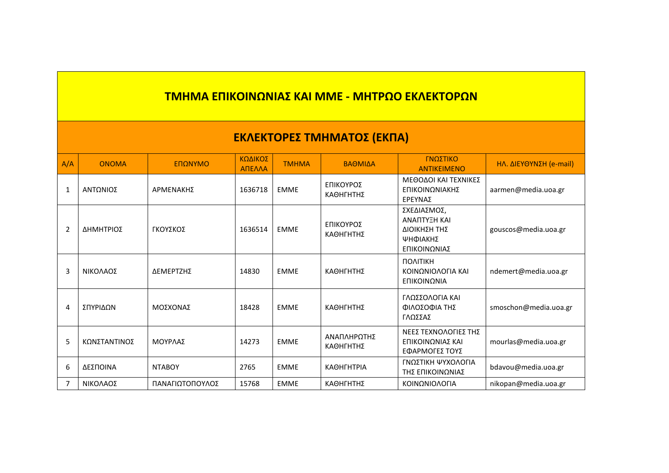## **ΤΜΗΜΑ ΕΠΙΚΟΙΝΩΝΙΑΣ ΚΑΙ ΜΜΕ - ΜΗΤΡΩΟ ΕΚΛΕΚΤΟΡΩΝ**

## **ΕΚΛΕΚΤΟΡΕΣ ΤΜΗΜΑΤΟΣ (ΕΚΠΑ)**

| A/A            | <b>ONOMA</b> | ΕΠΩΝΥΜΟ         | ΚΩΔΙΚΟΣ<br>ΑΠΕΛΛΑ | <b>TMHMA</b> | ΒΑΘΜΙΔΑ                  | ΓΝΩΣΤΙΚΟ<br><b>ANTIKEIMENO</b>                                          | <b>ΗΛ. ΔΙΕΥΘΥΝΣΗ (e-mail)</b> |
|----------------|--------------|-----------------|-------------------|--------------|--------------------------|-------------------------------------------------------------------------|-------------------------------|
| 1              | ΑΝΤΩΝΙΟΣ     | ΑΡΜΕΝΑΚΗΣ       | 1636718           | <b>EMME</b>  | ΕΠΙΚΟΥΡΟΣ<br>ΚΑΘΗΓΗΤΗΣ   | ΜΕΘΟΔΟΙ ΚΑΙ ΤΕΧΝΙΚΕΣ<br>ΕΠΙΚΟΙΝΩΝΙΑΚΗΣ<br>ΕΡΕΥΝΑΣ                       | aarmen@media.uoa.gr           |
| $\overline{2}$ | ΔΗΜΗΤΡΙΟΣ    | ΓΚΟΥΣΚΟΣ        | 1636514           | <b>EMME</b>  | ΕΠΙΚΟΥΡΟΣ<br>ΚΑΘΗΓΗΤΗΣ   | ΣΧΕΔΙΑΣΜΟΣ,<br>ΑΝΑΠΤΥΞΗ ΚΑΙ<br>ΔΙΟΙΚΗΣΗ ΤΗΣ<br>ΨΗΦΙΑΚΗΣ<br>ΕΠΙΚΟΙΝΩΝΙΑΣ | gouscos@media.uoa.gr          |
| 3              | ΝΙΚΟΛΑΟΣ     | ΔΕΜΕΡΤΖΗΣ       | 14830             | <b>EMME</b>  | ΚΑΘΗΓΗΤΗΣ                | <b><i><u>NOVILIKH</u></i></b><br>ΚΟΙΝΩΝΙΟΛΟΓΙΑ ΚΑΙ<br>ΕΠΙΚΟΙΝΩΝΙΑ       | ndemert@media.uoa.gr          |
| 4              | ΣΠΥΡΙΔΩΝ     | ΜΟΣΧΟΝΑΣ        | 18428             | <b>EMME</b>  | ΚΑΘΗΓΗΤΗΣ                | ΓΛΩΣΣΟΛΟΓΙΑ ΚΑΙ<br>ΦΙΛΟΣΟΦΙΑ ΤΗΣ<br>ΓΛΩΣΣΑΣ                             | smoschon@media.uoa.gr         |
| 5              | ΚΩΝΣΤΑΝΤΙΝΟΣ | ΜΟΥΡΛΑΣ         | 14273             | <b>EMME</b>  | ΑΝΑΠΛΗΡΩΤΗΣ<br>ΚΑΘΗΓΗΤΗΣ | ΝΕΕΣ ΤΕΧΝΟΛΟΓΙΕΣ ΤΗΣ<br>ΕΠΙΚΟΙΝΩΝΙΑΣ ΚΑΙ<br>ΕΦΑΡΜΟΓΕΣ ΤΟΥΣ              | mourlas@media.uoa.gr          |
| 6              | ΔΕΣΠΟΙΝΑ     | <b>NTABOY</b>   | 2765              | <b>EMME</b>  | ΚΑΘΗΓΗΤΡΙΑ               | ΓΝΩΣΤΙΚΗ ΨΥΧΟΛΟΓΙΑ<br>ΤΗΣ ΕΠΙΚΟΙΝΩΝΙΑΣ                                  | bdavou@media.uoa.gr           |
| $\overline{7}$ | ΝΙΚΟΛΑΟΣ     | ΠΑΝΑΓΙΩΤΟΠΟΥΛΟΣ | 15768             | <b>EMME</b>  | ΚΑΘΗΓΗΤΗΣ                | ΚΟΙΝΩΝΙΟΛΟΓΙΑ                                                           | nikopan@media.uoa.gr          |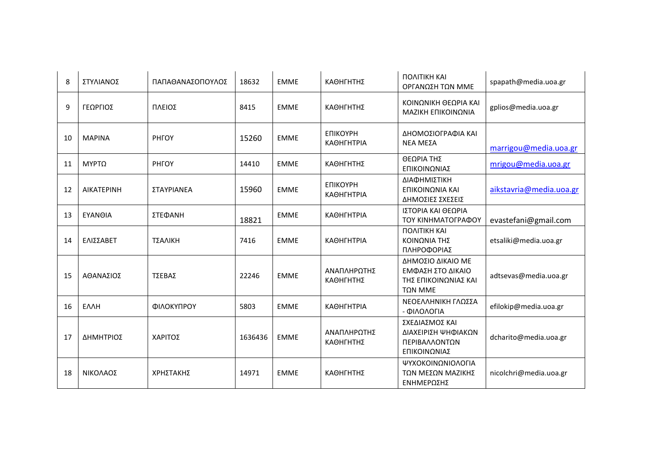| 8  | ΣΤΥΛΙΑΝΟΣ         | ΠΑΠΑΘΑΝΑΣΟΠΟΥΛΟΣ | 18632   | <b>EMME</b> | ΚΑΘΗΓΗΤΗΣ                            | <b><i><u>NONITIKH</u></i></b> KAI<br>ΟΡΓΑΝΩΣΗ ΤΩΝ ΜΜΕ                            | spapath@media.uoa.gr    |
|----|-------------------|------------------|---------|-------------|--------------------------------------|----------------------------------------------------------------------------------|-------------------------|
| 9  | ΓΕΩΡΓΙΟΣ          | ΠΛΕΙΟΣ           | 8415    | <b>EMME</b> | ΚΑΘΗΓΗΤΗΣ                            | ΚΟΙΝΩΝΙΚΗ ΘΕΩΡΙΑ ΚΑΙ<br>ΜΑΖΙΚΗ ΕΠΙΚΟΙΝΩΝΙΑ                                       | gplios@media.uoa.gr     |
| 10 | <b>MAPINA</b>     | <b>PHFOY</b>     | 15260   | <b>EMME</b> | <b>ЕПІКОҮРН</b><br><b>КАӨНГНТРІА</b> | ΔΗΟΜΟΣΙΟΓΡΑΦΙΑ ΚΑΙ<br>ΝΕΑ ΜΕΣΑ                                                   | marrigou@media.uoa.gr   |
| 11 | <b>ΜΥΡΤΩ</b>      | <b>PHFOY</b>     | 14410   | <b>EMME</b> | ΚΑΘΗΓΗΤΗΣ                            | ΘΕΩΡΙΑ ΤΗΣ<br>ΕΠΙΚΟΙΝΩΝΙΑΣ                                                       | mrigou@media.uoa.gr     |
| 12 | <b>AIKATEPINH</b> | ΣΤΑΥΡΙΑΝΕΑ       | 15960   | <b>EMME</b> | <b>ЕПІКОУРН</b><br>ΚΑΘΗΓΗΤΡΙΑ        | ΔΙΑΦΗΜΙΣΤΙΚΗ<br>ΕΠΙΚΟΙΝΩΝΙΑ ΚΑΙ<br>ΔΗΜΟΣΙΕΣ ΣΧΕΣΕΙΣ                              | aikstavria@media.uoa.gr |
| 13 | ΕΥΑΝΘΙΑ           | ΣΤΕΦΑΝΗ          | 18821   | <b>EMME</b> | ΚΑΘΗΓΗΤΡΙΑ                           | ΙΣΤΟΡΙΑ ΚΑΙ ΘΕΩΡΙΑ<br>ΤΟΥ ΚΙΝΗΜΑΤΟΓΡΑΦΟΥ                                         | evastefani@gmail.com    |
| 14 | ΕΛΙΣΣΑΒΕΤ         | ΤΣΑΛΙΚΗ          | 7416    | <b>EMME</b> | <b>КАӨНГНТРІА</b>                    | <b><i><u>NONITIKH</u></i></b> KAI<br>ΚΟΙΝΩΝΙΑ ΤΗΣ<br>ΠΛΗΡΟΦΟΡΙΑΣ                 | etsaliki@media.uoa.gr   |
| 15 | ΑΘΑΝΑΣΙΟΣ         | ΤΣΕΒΑΣ           | 22246   | <b>EMME</b> | ΑΝΑΠΛΗΡΩΤΗΣ<br>ΚΑΘΗΓΗΤΗΣ             | ΔΗΜΟΣΙΟ ΔΙΚΑΙΟ ΜΕ<br>ΕΜΦΑΣΗ ΣΤΟ ΔΙΚΑΙΟ<br>ΤΗΣ ΕΠΙΚΟΙΝΩΝΙΑΣ ΚΑΙ<br><b>TΩN MME</b> | adtsevas@media.uoa.gr   |
| 16 | <b>EAAH</b>       | ΦΙΛΟΚΥΠΡΟΥ       | 5803    | <b>EMME</b> | ΚΑΘΗΓΗΤΡΙΑ                           | ΝΕΟΕΛΛΗΝΙΚΗ ΓΛΩΣΣΑ<br>- ΦΙΛΟΛΟΓΙΑ                                                | efilokip@media.uoa.gr   |
| 17 | ΔΗΜΗΤΡΙΟΣ         | ΧΑΡΙΤΟΣ          | 1636436 | <b>EMME</b> | ΑΝΑΠΛΗΡΩΤΗΣ<br>ΚΑΘΗΓΗΤΗΣ             | ΣΧΕΔΙΑΣΜΟΣ ΚΑΙ<br>ΔΙΑΧΕΙΡΙΣΗ ΨΗΦΙΑΚΩΝ<br>ΠΕΡΙΒΑΛΛΟΝΤΩΝ<br>ΕΠΙΚΟΙΝΩΝΙΑΣ           | dcharito@media.uoa.gr   |
| 18 | ΝΙΚΟΛΑΟΣ          | ΧΡΗΣΤΑΚΗΣ        | 14971   | <b>EMME</b> | ΚΑΘΗΓΗΤΗΣ                            | ΨΥΧΟΚΟΙΝΩΝΙΟΛΟΓΙΑ<br>ΤΩΝ ΜΕΣΩΝ ΜΑΖΙΚΗΣ<br>ΕΝΗΜΕΡΩΣΗΣ                             | nicolchri@media.uoa.gr  |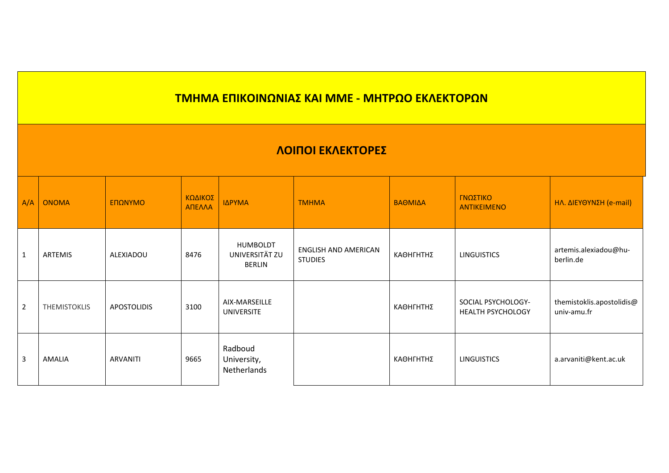## **ΛΟΙΠΟΙ ΕΚΛΕΚΤΟΡΕΣ**

| A/A            | <b>ONOMA</b>        | ΕΠΩΝΥΜΟ            | ΚΩΔΙΚΟΣ<br>ΑΠΕΛΛΑ | ΙΔΡΥΜΑ                                             | <b>TMHMA</b>                           | ΒΑΘΜΙΔΑ   | ΓΝΩΣΤΙΚΟ<br><b>ANTIKEIMENO</b>                 | ΗΛ. ΔΙΕΥΘΥΝΣΗ (e-mail)                   |
|----------------|---------------------|--------------------|-------------------|----------------------------------------------------|----------------------------------------|-----------|------------------------------------------------|------------------------------------------|
| $\mathbf{1}$   | ARTEMIS             | ALEXIADOU          | 8476              | <b>HUMBOLDT</b><br>UNIVERSITÄT ZU<br><b>BERLIN</b> | ENGLISH AND AMERICAN<br><b>STUDIES</b> | ΚΑΘΗΓΗΤΗΣ | <b>LINGUISTICS</b>                             | artemis.alexiadou@hu-<br>berlin.de       |
| $\overline{2}$ | <b>THEMISTOKLIS</b> | <b>APOSTOLIDIS</b> | 3100              | AIX-MARSEILLE<br><b>UNIVERSITE</b>                 |                                        | ΚΑΘΗΓΗΤΗΣ | SOCIAL PSYCHOLOGY-<br><b>HEALTH PSYCHOLOGY</b> | themistoklis.apostolidis@<br>univ-amu.fr |
| 3              | <b>AMALIA</b>       | ARVANITI           | 9665              | Radboud<br>University,<br>Netherlands              |                                        | ΚΑΘΗΓΗΤΗΣ | <b>LINGUISTICS</b>                             | a.arvaniti@kent.ac.uk                    |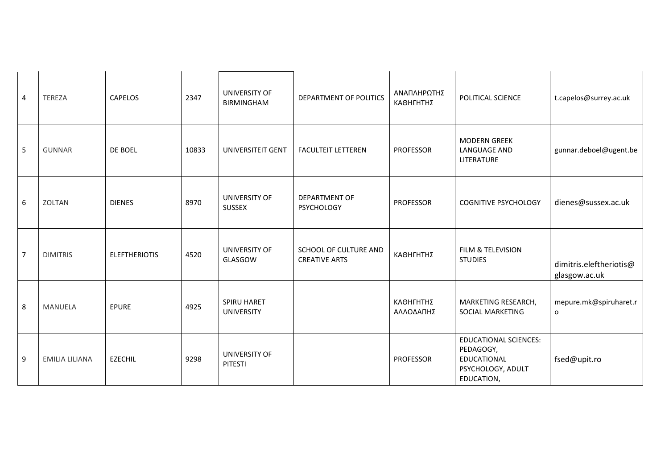| 4              | <b>TEREZA</b>         | CAPELOS              | 2347  | UNIVERSITY OF<br><b>BIRMINGHAM</b> | DEPARTMENT OF POLITICS                        | ΑΝΑΠΛΗΡΩΤΗΣ<br>ΚΑΘΗΓΗΤΗΣ | POLITICAL SCIENCE                                                                           | t.capelos@surrey.ac.uk                   |
|----------------|-----------------------|----------------------|-------|------------------------------------|-----------------------------------------------|--------------------------|---------------------------------------------------------------------------------------------|------------------------------------------|
| 5              | <b>GUNNAR</b>         | DE BOEL              | 10833 | UNIVERSITEIT GENT                  | <b>FACULTEIT LETTEREN</b>                     | <b>PROFESSOR</b>         | <b>MODERN GREEK</b><br>LANGUAGE AND<br>LITERATURE                                           | gunnar.deboel@ugent.be                   |
| 6              | ZOLTAN                | <b>DIENES</b>        | 8970  | UNIVERSITY OF<br>SUSSEX            | <b>DEPARTMENT OF</b><br><b>PSYCHOLOGY</b>     | <b>PROFESSOR</b>         | <b>COGNITIVE PSYCHOLOGY</b>                                                                 | dienes@sussex.ac.uk                      |
| $\overline{7}$ | <b>DIMITRIS</b>       | <b>ELEFTHERIOTIS</b> | 4520  | UNIVERSITY OF<br>GLASGOW           | SCHOOL OF CULTURE AND<br><b>CREATIVE ARTS</b> | ΚΑΘΗΓΗΤΗΣ                | FILM & TELEVISION<br><b>STUDIES</b>                                                         | dimitris.eleftheriotis@<br>glasgow.ac.uk |
| 8              | <b>MANUELA</b>        | <b>EPURE</b>         | 4925  | SPIRU HARET<br><b>UNIVERSITY</b>   |                                               | ΚΑΘΗΓΗΤΗΣ<br>ΑΛΛΟΔΑΠΗΣ   | MARKETING RESEARCH,<br>SOCIAL MARKETING                                                     | mepure.mk@spiruharet.r<br>o              |
| 9              | <b>EMILIA LILIANA</b> | <b>EZECHIL</b>       | 9298  | UNIVERSITY OF<br>PITESTI           |                                               | <b>PROFESSOR</b>         | <b>EDUCATIONAL SCIENCES:</b><br>PEDAGOGY,<br>EDUCATIONAL<br>PSYCHOLOGY, ADULT<br>EDUCATION, | fsed@upit.ro                             |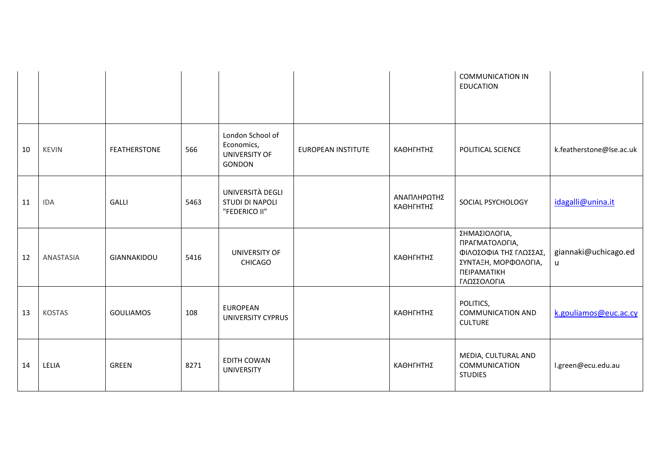|    |               |                     |      |                                                           |                           |                          | <b>COMMUNICATION IN</b><br><b>EDUCATION</b>                                                                     |                           |
|----|---------------|---------------------|------|-----------------------------------------------------------|---------------------------|--------------------------|-----------------------------------------------------------------------------------------------------------------|---------------------------|
| 10 | <b>KEVIN</b>  | <b>FEATHERSTONE</b> | 566  | London School of<br>Economics,<br>UNIVERSITY OF<br>GONDON | <b>EUROPEAN INSTITUTE</b> | ΚΑΘΗΓΗΤΗΣ                | POLITICAL SCIENCE                                                                                               | k.featherstone@lse.ac.uk  |
| 11 | <b>IDA</b>    | GALLI               | 5463 | UNIVERSITÀ DEGLI<br>STUDI DI NAPOLI<br>"FEDERICO II"      |                           | ΑΝΑΠΛΗΡΩΤΗΣ<br>ΚΑΘΗΓΗΤΗΣ | SOCIAL PSYCHOLOGY                                                                                               | idagalli@unina.it         |
| 12 | ANASTASIA     | GIANNAKIDOU         | 5416 | UNIVERSITY OF<br><b>CHICAGO</b>                           |                           | ΚΑΘΗΓΗΤΗΣ                | ΣΗΜΑΣΙΟΛΟΓΙΑ,<br>ΠΡΑΓΜΑΤΟΛΟΓΙΑ,<br>ΦΙΛΟΣΟΦΙΑ ΤΗΣ ΓΛΩΣΣΑΣ,<br>ΣΥΝΤΑΞΗ, ΜΟΡΦΟΛΟΓΙΑ,<br>ΠΕΙΡΑΜΑΤΙΚΗ<br>ΓΛΩΣΣΟΛΟΓΙΑ | giannaki@uchicago.ed<br>u |
| 13 | <b>KOSTAS</b> | <b>GOULIAMOS</b>    | 108  | <b>EUROPEAN</b><br>UNIVERSITY CYPRUS                      |                           | ΚΑΘΗΓΗΤΗΣ                | POLITICS,<br><b>COMMUNICATION AND</b><br><b>CULTURE</b>                                                         | k.gouliamos@euc.ac.cy     |
| 14 | LELIA         | GREEN               | 8271 | <b>EDITH COWAN</b><br><b>UNIVERSITY</b>                   |                           | ΚΑΘΗΓΗΤΗΣ                | MEDIA, CULTURAL AND<br>COMMUNICATION<br><b>STUDIES</b>                                                          | l.green@ecu.edu.au        |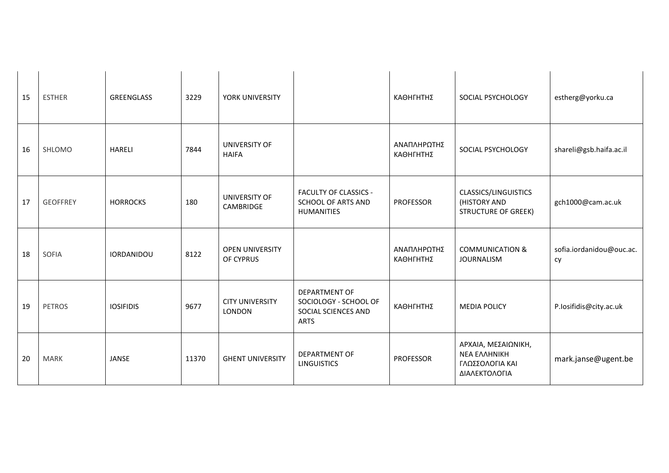| 15 | <b>ESTHER</b>   | GREENGLASS        | 3229  | YORK UNIVERSITY                         |                                                                              | ΚΑΘΗΓΗΤΗΣ                | SOCIAL PSYCHOLOGY                                                              | estherg@yorku.ca               |
|----|-----------------|-------------------|-------|-----------------------------------------|------------------------------------------------------------------------------|--------------------------|--------------------------------------------------------------------------------|--------------------------------|
| 16 | SHLOMO          | <b>HARELI</b>     | 7844  | UNIVERSITY OF<br><b>HAIFA</b>           |                                                                              | ΑΝΑΠΛΗΡΩΤΗΣ<br>ΚΑΘΗΓΗΤΗΣ | SOCIAL PSYCHOLOGY                                                              | shareli@gsb.haifa.ac.il        |
| 17 | <b>GEOFFREY</b> | <b>HORROCKS</b>   | 180   | UNIVERSITY OF<br>CAMBRIDGE              | <b>FACULTY OF CLASSICS -</b><br>SCHOOL OF ARTS AND<br><b>HUMANITIES</b>      | <b>PROFESSOR</b>         | CLASSICS/LINGUISTICS<br>(HISTORY AND<br><b>STRUCTURE OF GREEK)</b>             | gch1000@cam.ac.uk              |
| 18 | SOFIA           | <b>IORDANIDOU</b> | 8122  | <b>OPEN UNIVERSITY</b><br>OF CYPRUS     |                                                                              | ΑΝΑΠΛΗΡΩΤΗΣ<br>ΚΑΘΗΓΗΤΗΣ | <b>COMMUNICATION &amp;</b><br><b>JOURNALISM</b>                                | sofia.iordanidou@ouc.ac.<br>cy |
| 19 | <b>PETROS</b>   | <b>IOSIFIDIS</b>  | 9677  | <b>CITY UNIVERSITY</b><br><b>LONDON</b> | DEPARTMENT OF<br>SOCIOLOGY - SCHOOL OF<br>SOCIAL SCIENCES AND<br><b>ARTS</b> | ΚΑΘΗΓΗΤΗΣ                | <b>MEDIA POLICY</b>                                                            | P.losifidis@city.ac.uk         |
| 20 | <b>MARK</b>     | JANSE             | 11370 | <b>GHENT UNIVERSITY</b>                 | DEPARTMENT OF<br><b>LINGUISTICS</b>                                          | <b>PROFESSOR</b>         | ΑΡΧΑΙΑ, ΜΕΣΑΙΩΝΙΚΗ,<br><b>NEA EAAHNIKH</b><br>ΓΛΩΣΣΟΛΟΓΙΑ ΚΑΙ<br>ΔΙΑΛΕΚΤΟΛΟΓΙΑ | mark.janse@ugent.be            |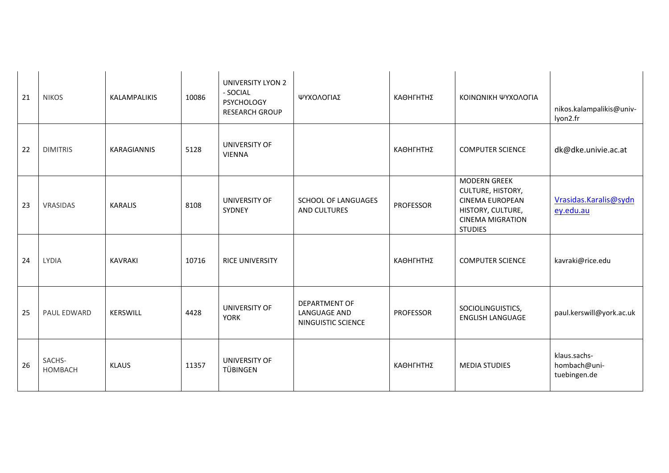| 21 | <b>NIKOS</b>             | KALAMPALIKIS   | 10086 | <b>UNIVERSITY LYON 2</b><br>- SOCIAL<br><b>PSYCHOLOGY</b><br><b>RESEARCH GROUP</b> | ΨΥΧΟΛΟΓΙΑΣ                                          | ΚΑΘΗΓΗΤΗΣ        | ΚΟΙΝΩΝΙΚΗ ΨΥΧΟΛΟΓΙΑ                                                                                                                         | nikos.kalampalikis@univ-<br>lyon2.fr         |
|----|--------------------------|----------------|-------|------------------------------------------------------------------------------------|-----------------------------------------------------|------------------|---------------------------------------------------------------------------------------------------------------------------------------------|----------------------------------------------|
| 22 | <b>DIMITRIS</b>          | KARAGIANNIS    | 5128  | UNIVERSITY OF<br><b>VIENNA</b>                                                     |                                                     | ΚΑΘΗΓΗΤΗΣ        | <b>COMPUTER SCIENCE</b>                                                                                                                     | dk@dke.univie.ac.at                          |
| 23 | VRASIDAS                 | <b>KARALIS</b> | 8108  | UNIVERSITY OF<br>SYDNEY                                                            | SCHOOL OF LANGUAGES<br>AND CULTURES                 | <b>PROFESSOR</b> | <b>MODERN GREEK</b><br><b>CULTURE, HISTORY,</b><br><b>CINEMA EUROPEAN</b><br>HISTORY, CULTURE,<br><b>CINEMA MIGRATION</b><br><b>STUDIES</b> | Vrasidas.Karalis@sydn<br>ey.edu.au           |
| 24 | <b>LYDIA</b>             | <b>KAVRAKI</b> | 10716 | RICE UNIVERSITY                                                                    |                                                     | ΚΑΘΗΓΗΤΗΣ        | <b>COMPUTER SCIENCE</b>                                                                                                                     | kavraki@rice.edu                             |
| 25 | PAUL EDWARD              | KERSWILL       | 4428  | UNIVERSITY OF<br><b>YORK</b>                                                       | DEPARTMENT OF<br>LANGUAGE AND<br>NINGUISTIC SCIENCE | <b>PROFESSOR</b> | SOCIOLINGUISTICS,<br><b>ENGLISH LANGUAGE</b>                                                                                                | paul.kerswill@york.ac.uk                     |
| 26 | SACHS-<br><b>HOMBACH</b> | <b>KLAUS</b>   | 11357 | UNIVERSITY OF<br>TÜBINGEN                                                          |                                                     | ΚΑΘΗΓΗΤΗΣ        | <b>MEDIA STUDIES</b>                                                                                                                        | klaus.sachs-<br>hombach@uni-<br>tuebingen.de |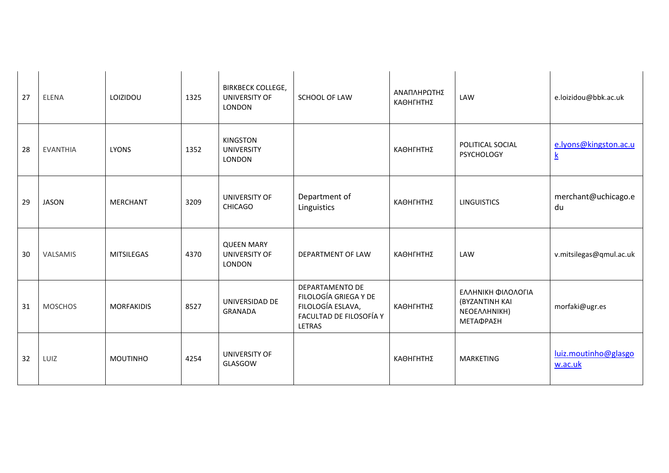| 27 | <b>ELENA</b>    | LOIZIDOU          | 1325 | <b>BIRKBECK COLLEGE,</b><br>UNIVERSITY OF<br><b>LONDON</b> | SCHOOL OF LAW                                                                                             | ΑΝΑΠΛΗΡΩΤΗΣ<br>ΚΑΘΗΓΗΤΗΣ | LAW                                                               | e.loizidou@bbk.ac.uk                     |
|----|-----------------|-------------------|------|------------------------------------------------------------|-----------------------------------------------------------------------------------------------------------|--------------------------|-------------------------------------------------------------------|------------------------------------------|
| 28 | <b>EVANTHIA</b> | <b>LYONS</b>      | 1352 | <b>KINGSTON</b><br><b>UNIVERSITY</b><br>LONDON             |                                                                                                           | ΚΑΘΗΓΗΤΗΣ                | POLITICAL SOCIAL<br><b>PSYCHOLOGY</b>                             | e.lyons@kingston.ac.u<br>$\underline{k}$ |
| 29 | <b>JASON</b>    | <b>MERCHANT</b>   | 3209 | UNIVERSITY OF<br><b>CHICAGO</b>                            | Department of<br>Linguistics                                                                              | ΚΑΘΗΓΗΤΗΣ                | <b>LINGUISTICS</b>                                                | merchant@uchicago.e<br>du                |
| 30 | <b>VALSAMIS</b> | <b>MITSILEGAS</b> | 4370 | <b>QUEEN MARY</b><br>UNIVERSITY OF<br>LONDON               | DEPARTMENT OF LAW                                                                                         | ΚΑΘΗΓΗΤΗΣ                | LAW                                                               | v.mitsilegas@qmul.ac.uk                  |
| 31 | <b>MOSCHOS</b>  | <b>MORFAKIDIS</b> | 8527 | UNIVERSIDAD DE<br><b>GRANADA</b>                           | DEPARTAMENTO DE<br>FILOLOGÍA GRIEGA Y DE<br>FILOLOGÍA ESLAVA,<br>FACULTAD DE FILOSOFÍA Y<br><b>LETRAS</b> | ΚΑΘΗΓΗΤΗΣ                | ΕΛΛΗΝΙΚΗ ΦΙΛΟΛΟΓΙΑ<br>(BYZANTINH KAI<br>NEOEAAHNIKH)<br>ΜΕΤΑΦΡΑΣΗ | morfaki@ugr.es                           |
| 32 | LUIZ            | <b>MOUTINHO</b>   | 4254 | UNIVERSITY OF<br>GLASGOW                                   |                                                                                                           | ΚΑΘΗΓΗΤΗΣ                | MARKETING                                                         | luiz.moutinho@glasgo<br>w.ac.uk          |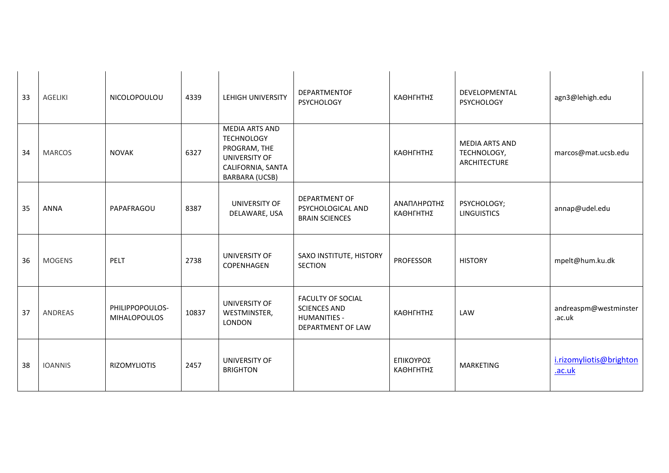| 33 | <b>AGELIKI</b> | NICOLOPOULOU                           | 4339  | <b>LEHIGH UNIVERSITY</b>                                                                                                  | <b>DEPARTMENTOF</b><br><b>PSYCHOLOGY</b>                                                    | ΚΑΘΗΓΗΤΗΣ                | DEVELOPMENTAL<br><b>PSYCHOLOGY</b>                   | agn3@lehigh.edu                   |
|----|----------------|----------------------------------------|-------|---------------------------------------------------------------------------------------------------------------------------|---------------------------------------------------------------------------------------------|--------------------------|------------------------------------------------------|-----------------------------------|
| 34 | <b>MARCOS</b>  | <b>NOVAK</b>                           | 6327  | <b>MEDIA ARTS AND</b><br><b>TECHNOLOGY</b><br>PROGRAM, THE<br>UNIVERSITY OF<br>CALIFORNIA, SANTA<br><b>BARBARA (UCSB)</b> |                                                                                             | ΚΑΘΗΓΗΤΗΣ                | <b>MEDIA ARTS AND</b><br>TECHNOLOGY,<br>ARCHITECTURE | marcos@mat.ucsb.edu               |
| 35 | <b>ANNA</b>    | PAPAFRAGOU                             | 8387  | UNIVERSITY OF<br>DELAWARE, USA                                                                                            | <b>DEPARTMENT OF</b><br>PSYCHOLOGICAL AND<br><b>BRAIN SCIENCES</b>                          | ΑΝΑΠΛΗΡΩΤΗΣ<br>ΚΑΘΗΓΗΤΗΣ | PSYCHOLOGY;<br><b>LINGUISTICS</b>                    | annap@udel.edu                    |
| 36 | <b>MOGENS</b>  | PELT                                   | 2738  | UNIVERSITY OF<br>COPENHAGEN                                                                                               | SAXO INSTITUTE, HISTORY<br><b>SECTION</b>                                                   | <b>PROFESSOR</b>         | <b>HISTORY</b>                                       | mpelt@hum.ku.dk                   |
| 37 | ANDREAS        | PHILIPPOPOULOS-<br><b>MIHALOPOULOS</b> | 10837 | UNIVERSITY OF<br>WESTMINSTER,<br>LONDON                                                                                   | <b>FACULTY OF SOCIAL</b><br><b>SCIENCES AND</b><br><b>HUMANITIES -</b><br>DEPARTMENT OF LAW | ΚΑΘΗΓΗΤΗΣ                | LAW                                                  | andreaspm@westminster<br>.ac.uk   |
| 38 | <b>IOANNIS</b> | <b>RIZOMYLIOTIS</b>                    | 2457  | UNIVERSITY OF<br><b>BRIGHTON</b>                                                                                          |                                                                                             | ΕΠΙΚΟΥΡΟΣ<br>ΚΑΘΗΓΗΤΗΣ   | MARKETING                                            | i.rizomyliotis@brighton<br>.ac.uk |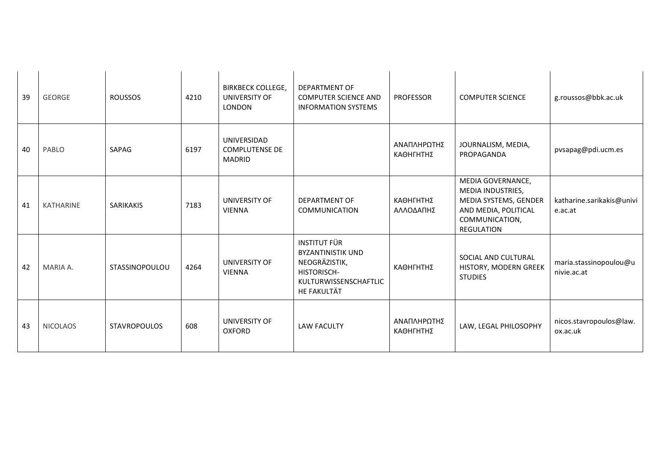| 39 | <b>GEORGE</b>    | <b>ROUSSOS</b>      | 4210 | <b>BIRKBECK COLLEGE,</b><br><b>UNIVERSITY OF</b><br><b>LONDON</b> | DEPARTMENT OF<br><b>COMPUTER SCIENCE AND</b><br><b>INFORMATION SYSTEMS</b>                                                     | <b>PROFESSOR</b>         | <b>COMPUTER SCIENCE</b>                                                                                                        | g.roussos@bbk.ac.uk                   |
|----|------------------|---------------------|------|-------------------------------------------------------------------|--------------------------------------------------------------------------------------------------------------------------------|--------------------------|--------------------------------------------------------------------------------------------------------------------------------|---------------------------------------|
| 40 | PABLO            | SAPAG               | 6197 | UNIVERSIDAD<br><b>COMPLUTENSE DE</b><br><b>MADRID</b>             |                                                                                                                                | ΑΝΑΠΛΗΡΩΤΗΣ<br>ΚΑΘΗΓΗΤΗΣ | JOURNALISM, MEDIA,<br>PROPAGANDA                                                                                               | pvsapag@pdi.ucm.es                    |
| 41 | <b>KATHARINE</b> | <b>SARIKAKIS</b>    | 7183 | UNIVERSITY OF<br><b>VIENNA</b>                                    | <b>DEPARTMENT OF</b><br>COMMUNICATION                                                                                          | ΚΑΘΗΓΗΤΗΣ<br>ΑΛΛΟΔΑΠΗΣ   | MEDIA GOVERNANCE,<br>MEDIA INDUSTRIES,<br>MEDIA SYSTEMS, GENDER<br>AND MEDIA, POLITICAL<br>COMMUNICATION,<br><b>REGULATION</b> | katharine.sarikakis@univi<br>e.ac.at  |
| 42 | MARIA A.         | STASSINOPOULOU      | 4264 | UNIVERSITY OF<br><b>VIENNA</b>                                    | <b>INSTITUT FÜR</b><br><b>BYZANTINISTIK UND</b><br>NEOGRÄZISTIK,<br><b>HISTORISCH-</b><br>KULTURWISSENSCHAFTLIC<br>HE FAKULTÄT | ΚΑΘΗΓΗΤΗΣ                | SOCIAL AND CULTURAL<br>HISTORY, MODERN GREEK<br><b>STUDIES</b>                                                                 | maria.stassinopoulou@u<br>nivie.ac.at |
| 43 | <b>NICOLAOS</b>  | <b>STAVROPOULOS</b> | 608  | UNIVERSITY OF<br><b>OXFORD</b>                                    | <b>LAW FACULTY</b>                                                                                                             | ΑΝΑΠΛΗΡΩΤΗΣ<br>ΚΑΘΗΓΗΤΗΣ | LAW, LEGAL PHILOSOPHY                                                                                                          | nicos.stavropoulos@law.<br>ox.ac.uk   |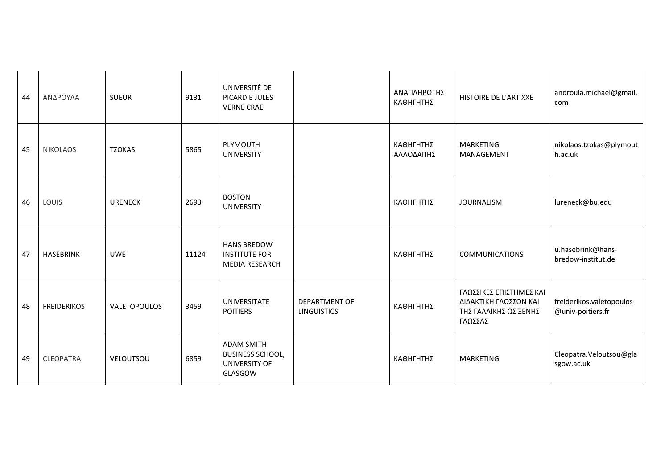| 44 | ΑΝΔΡΟΥΛΑ           | <b>SUEUR</b>   | 9131  | UNIVERSITÉ DE<br>PICARDIE JULES<br><b>VERNE CRAE</b>                            |                                            | ΑΝΑΠΛΗΡΩΤΗΣ<br>ΚΑΘΗΓΗΤΗΣ | HISTOIRE DE L'ART XXE                                                                | androula.michael@gmail.<br>com                |
|----|--------------------|----------------|-------|---------------------------------------------------------------------------------|--------------------------------------------|--------------------------|--------------------------------------------------------------------------------------|-----------------------------------------------|
| 45 | <b>NIKOLAOS</b>    | <b>TZOKAS</b>  | 5865  | PLYMOUTH<br><b>UNIVERSITY</b>                                                   |                                            | ΚΑΘΗΓΗΤΗΣ<br>ΑΛΛΟΔΑΠΗΣ   | MARKETING<br>MANAGEMENT                                                              | nikolaos.tzokas@plymout<br>h.ac.uk            |
| 46 | LOUIS              | <b>URENECK</b> | 2693  | <b>BOSTON</b><br><b>UNIVERSITY</b>                                              |                                            | ΚΑΘΗΓΗΤΗΣ                | <b>JOURNALISM</b>                                                                    | lureneck@bu.edu                               |
| 47 | <b>HASEBRINK</b>   | <b>UWE</b>     | 11124 | <b>HANS BREDOW</b><br><b>INSTITUTE FOR</b><br><b>MEDIA RESEARCH</b>             |                                            | ΚΑΘΗΓΗΤΗΣ                | <b>COMMUNICATIONS</b>                                                                | u.hasebrink@hans-<br>bredow-institut.de       |
| 48 | <b>FREIDERIKOS</b> | VALETOPOULOS   | 3459  | <b>UNIVERSITATE</b><br><b>POITIERS</b>                                          | <b>DEPARTMENT OF</b><br><b>LINGUISTICS</b> | ΚΑΘΗΓΗΤΗΣ                | ΓΛΩΣΣΙΚΕΣ ΕΠΙΣΤΗΜΕΣ ΚΑΙ<br>ΔΙΔΑΚΤΙΚΗ ΓΛΩΣΣΩΝ ΚΑΙ<br>ΤΗΣ ΓΑΛΛΙΚΗΣ ΩΣ ΞΕΝΗΣ<br>ΓΛΩΣΣΑΣ | freiderikos.valetopoulos<br>@univ-poitiers.fr |
| 49 | <b>CLEOPATRA</b>   | VELOUTSOU      | 6859  | <b>ADAM SMITH</b><br><b>BUSINESS SCHOOL,</b><br><b>UNIVERSITY OF</b><br>GLASGOW |                                            | ΚΑΘΗΓΗΤΗΣ                | MARKETING                                                                            | Cleopatra. Veloutsou@gla<br>sgow.ac.uk        |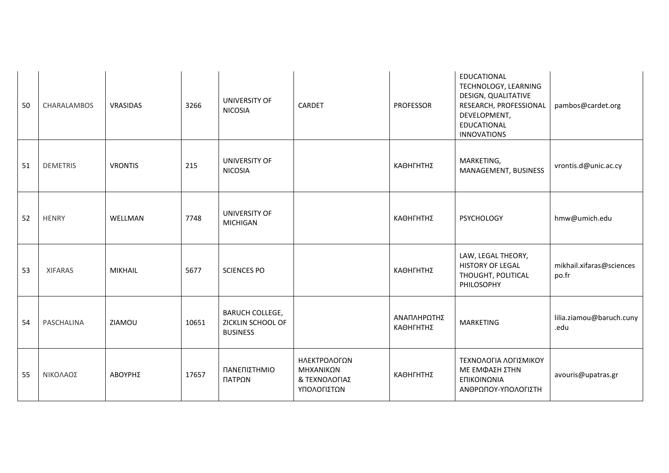| 50 | CHARALAMBOS     | VRASIDAS       | 3266  | UNIVERSITY OF<br><b>NICOSIA</b>                                | CARDET                                                    | <b>PROFESSOR</b>         | EDUCATIONAL<br>TECHNOLOGY, LEARNING<br>DESIGN, QUALITATIVE<br>RESEARCH, PROFESSIONAL<br>DEVELOPMENT,<br>EDUCATIONAL<br><b>INNOVATIONS</b> | pambos@cardet.org                 |
|----|-----------------|----------------|-------|----------------------------------------------------------------|-----------------------------------------------------------|--------------------------|-------------------------------------------------------------------------------------------------------------------------------------------|-----------------------------------|
| 51 | <b>DEMETRIS</b> | <b>VRONTIS</b> | 215   | UNIVERSITY OF<br><b>NICOSIA</b>                                |                                                           | ΚΑΘΗΓΗΤΗΣ                | MARKETING,<br>MANAGEMENT, BUSINESS                                                                                                        | vrontis.d@unic.ac.cy              |
| 52 | <b>HENRY</b>    | WELLMAN        | 7748  | UNIVERSITY OF<br><b>MICHIGAN</b>                               |                                                           | ΚΑΘΗΓΗΤΗΣ                | <b>PSYCHOLOGY</b>                                                                                                                         | hmw@umich.edu                     |
| 53 | <b>XIFARAS</b>  | MIKHAIL        | 5677  | <b>SCIENCES PO</b>                                             |                                                           | ΚΑΘΗΓΗΤΗΣ                | LAW, LEGAL THEORY,<br>HISTORY OF LEGAL<br>THOUGHT, POLITICAL<br>PHILOSOPHY                                                                | mikhail.xifaras@sciences<br>po.fr |
| 54 | PASCHALINA      | ZIAMOU         | 10651 | <b>BARUCH COLLEGE,</b><br>ZICKLIN SCHOOL OF<br><b>BUSINESS</b> |                                                           | ΑΝΑΠΛΗΡΩΤΗΣ<br>ΚΑΘΗΓΗΤΗΣ | <b>MARKETING</b>                                                                                                                          | lilia.ziamou@baruch.cuny<br>.edu  |
| 55 | ΝΙΚΟΛΑΟΣ        | ΑΒΟΥΡΗΣ        | 17657 | ΠΑΝΕΠΙΣΤΗΜΙΟ<br>ΠΑΤΡΩΝ                                         | ΗΛΕΚΤΡΟΛΟΓΩΝ<br>ΜΗΧΑΝΙΚΩΝ<br>& ΤΕΧΝΟΛΟΓΙΑΣ<br>ΥΠΟΛΟΓΙΣΤΩΝ | ΚΑΘΗΓΗΤΗΣ                | ΤΕΧΝΟΛΟΓΙΑ ΛΟΓΙΣΜΙΚΟΥ<br>ΜΕ ΕΜΦΑΣΗ ΣΤΗΝ<br>ΕΠΙΚΟΙΝΩΝΙΑ<br>ΑΝΘΡΩΠΟΥ-ΥΠΟΛΟΓΙΣΤΗ                                                             | avouris@upatras.gr                |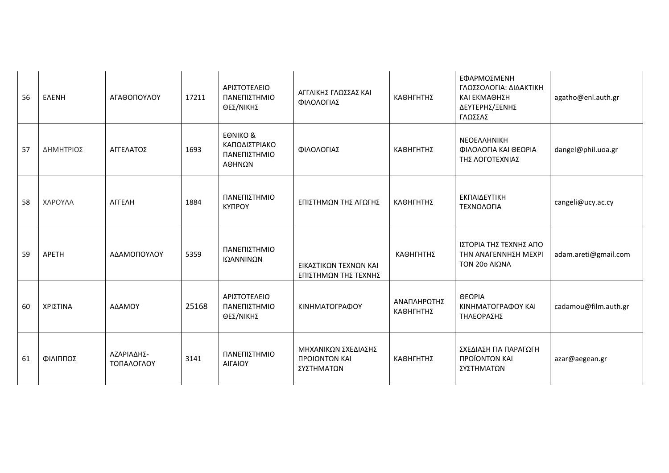| 56 | <b>EAENH</b> | ΑΓΑΘΟΠΟΥΛΟΥ              | 17211 | ΑΡΙΣΤΟΤΕΛΕΙΟ<br>ΠΑΝΕΠΙΣΤΗΜΙΟ<br>ΘΕΣ/ΝΙΚΗΣ                      | ΑΓΓΛΙΚΗΣ ΓΛΩΣΣΑΣ ΚΑΙ<br>ΦΙΛΟΛΟΓΙΑΣ                 | ΚΑΘΗΓΗΤΗΣ                | ΕΦΑΡΜΟΣΜΕΝΗ<br>ΓΛΩΣΣΟΛΟΓΙΑ: ΔΙΔΑΚΤΙΚΗ<br>ΚΑΙ ΕΚΜΑΘΗΣΗ<br>ΔΕΥΤΕΡΗΣ/ΞΕΝΗΣ<br>ΓΛΩΣΣΑΣ | agatho@enl.auth.gr   |
|----|--------------|--------------------------|-------|----------------------------------------------------------------|----------------------------------------------------|--------------------------|------------------------------------------------------------------------------------|----------------------|
| 57 | ΔΗΜΗΤΡΙΟΣ    | ΑΓΓΕΛΑΤΟΣ                | 1693  | <b>EONIKO &amp;</b><br>ΚΑΠΟΔΙΣΤΡΙΑΚΟ<br>ΠΑΝΕΠΙΣΤΗΜΙΟ<br>ΑΘΗΝΩΝ | ΦΙΛΟΛΟΓΙΑΣ                                         | ΚΑΘΗΓΗΤΗΣ                | <b>NEOEAAHNIKH</b><br>ΦΙΛΟΛΟΓΙΑ ΚΑΙ ΘΕΩΡΙΑ<br>ΤΗΣ ΛΟΓΟΤΕΧΝΙΑΣ                      | dangel@phil.uoa.gr   |
| 58 | ΧΑΡΟΥΛΑ      | ΑΓΓΕΛΗ                   | 1884  | ΠΑΝΕΠΙΣΤΗΜΙΟ<br>КҮПРОҮ                                         | ΕΠΙΣΤΗΜΩΝ ΤΗΣ ΑΓΩΓΗΣ                               | ΚΑΘΗΓΗΤΗΣ                | ΕΚΠΑΙΔΕΥΤΙΚΗ<br>ΤΕΧΝΟΛΟΓΙΑ                                                         | cangeli@ucy.ac.cy    |
| 59 | APETH        | ΑΔΑΜΟΠΟΥΛΟΥ              | 5359  | ΠΑΝΕΠΙΣΤΗΜΙΟ<br>ΙΩΑΝΝΙΝΩΝ                                      | ΕΙΚΑΣΤΙΚΩΝ ΤΕΧΝΩΝ ΚΑΙ<br>ΕΠΙΣΤΗΜΩΝ ΤΗΣ ΤΕΧΝΗΣ      | ΚΑΘΗΓΗΤΗΣ                | ΙΣΤΟΡΙΑ ΤΗΣ ΤΕΧΝΗΣ ΑΠΟ<br>ΤΗΝ ΑΝΑΓΕΝΝΗΣΗ ΜΕΧΡΙ<br><b>TON 20o AIΩNA</b>             | adam.areti@gmail.com |
| 60 | ΧΡΙΣΤΙΝΑ     | ΑΔΑΜΟΥ                   | 25168 | ΑΡΙΣΤΟΤΕΛΕΙΟ<br>ΠΑΝΕΠΙΣΤΗΜΙΟ<br>ΘΕΣ/ΝΙΚΗΣ                      | ΚΙΝΗΜΑΤΟΓΡΑΦΟΥ                                     | ΑΝΑΠΛΗΡΩΤΗΣ<br>ΚΑΘΗΓΗΤΗΣ | ΘΕΩΡΙΑ<br>ΚΙΝΗΜΑΤΟΓΡΑΦΟΥ ΚΑΙ<br>ΤΗΛΕΟΡΑΣΗΣ                                         | cadamou@film.auth.gr |
| 61 | ΦΙΛΙΠΠΟΣ     | ΑΖΑΡΙΑΔΗΣ-<br>ΤΟΠΑΛΟΓΛΟΥ | 3141  | ΠΑΝΕΠΙΣΤΗΜΙΟ<br>ΑΙΓΑΙΟΥ                                        | ΜΗΧΑΝΙΚΩΝ ΣΧΕΔΙΑΣΗΣ<br>ΠΡΟΙΟΝΤΩΝ ΚΑΙ<br>ΣΥΣΤΗΜΑΤΩΝ | ΚΑΘΗΓΗΤΗΣ                | ΣΧΕΔΙΑΣΗ ΓΙΑ ΠΑΡΑΓΩΓΗ<br>ΠΡΟΪΟΝΤΩΝ ΚΑΙ<br>ΣΥΣΤΗΜΑΤΩΝ                               | azar@aegean.gr       |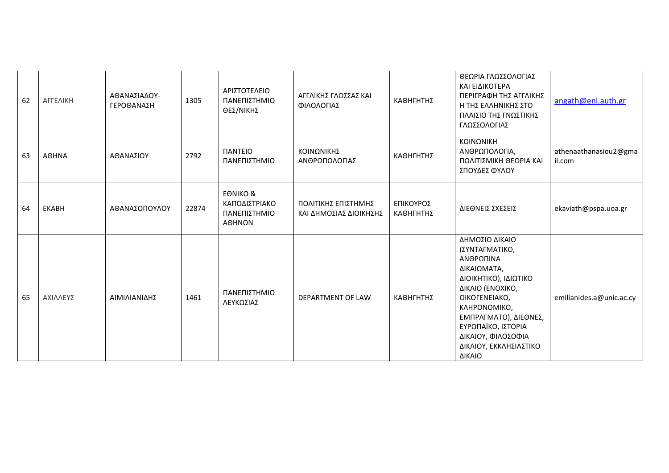| 62 | ΑΓΓΕΛΙΚΗ     | ΑΘΑΝΑΣΙΑΔΟΥ-<br>ΓΕΡΟΘΑΝΑΣΗ | 1305  | ΑΡΙΣΤΟΤΕΛΕΙΟ<br>ΠΑΝΕΠΙΣΤΗΜΙΟ<br>ΘΕΣ/ΝΙΚΗΣ                      | ΑΓΓΛΙΚΗΣ ΓΛΩΣΣΑΣ ΚΑΙ<br>ΦΙΛΟΛΟΓΙΑΣ            | ΚΑΘΗΓΗΤΗΣ              | ΘΕΩΡΙΑ ΓΛΩΣΣΟΛΟΓΙΑΣ<br>ΚΑΙ ΕΙΔΙΚΟΤΕΡΑ<br>ΠΕΡΙΓΡΑΦΗ ΤΗΣ ΑΓΓΛΙΚΗΣ<br>Η ΤΗΣ ΕΛΛΗΝΙΚΗΣ ΣΤΟ<br>ΠΛΑΙΣΙΟ ΤΗΣ ΓΝΩΣΤΙΚΗΣ<br>ΓΛΩΣΣΟΛΟΓΙΑΣ                                                                                                                     | angath@enl.auth.gr              |
|----|--------------|----------------------------|-------|----------------------------------------------------------------|-----------------------------------------------|------------------------|-----------------------------------------------------------------------------------------------------------------------------------------------------------------------------------------------------------------------------------------------------|---------------------------------|
| 63 | <b>AOHNA</b> | ΑΘΑΝΑΣΙΟΥ                  | 2792  | <b><i>NANTEIO</i></b><br>ΠΑΝΕΠΙΣΤΗΜΙΟ                          | ΚΟΙΝΩΝΙΚΗΣ<br>ΑΝΘΡΩΠΟΛΟΓΙΑΣ                   | ΚΑΘΗΓΗΤΗΣ              | ΚΟΙΝΩΝΙΚΗ<br>ΑΝΘΡΩΠΟΛΟΓΙΑ,<br>ΠΟΛΙΤΙΣΜΙΚΗ ΘΕΩΡΙΑ ΚΑΙ<br>ΣΠΟΥΔΕΣ ΦΥΛΟΥ                                                                                                                                                                               | athenaathanasiou2@gma<br>il.com |
| 64 | <b>EKABH</b> | ΑΘΑΝΑΣΟΠΟΥΛΟΥ              | 22874 | <b>EONIKO &amp;</b><br>ΚΑΠΟΔΙΣΤΡΙΑΚΟ<br>ΠΑΝΕΠΙΣΤΗΜΙΟ<br>ΑΘΗΝΩΝ | ΠΟΛΙΤΙΚΗΣ ΕΠΙΣΤΗΜΗΣ<br>ΚΑΙ ΔΗΜΟΣΙΑΣ ΔΙΟΙΚΗΣΗΣ | ΕΠΙΚΟΥΡΟΣ<br>ΚΑΘΗΓΗΤΗΣ | ΔΙΕΘΝΕΙΣ ΣΧΕΣΕΙΣ                                                                                                                                                                                                                                    | ekaviath@pspa.uoa.gr            |
| 65 | ΑΧΙΛΛΕΥΣ     | ΑΙΜΙΛΙΑΝΙΔΗΣ               | 1461  | ΠΑΝΕΠΙΣΤΗΜΙΟ<br>ΛΕΥΚΩΣΙΑΣ                                      | DEPARTMENT OF LAW                             | ΚΑΘΗΓΗΤΗΣ              | ΔΗΜΟΣΙΟ ΔΙΚΑΙΟ<br>(ΣΥΝΤΑΓΜΑΤΙΚΟ,<br>ΑΝΘΡΩΠΙΝΑ<br>ΔΙΚΑΙΩΜΑΤΑ,<br>ΔΙΟΙΚΗΤΙΚΟ), ΙΔΙΩΤΙΚΟ<br>ΔΙΚΑΙΟ (ΕΝΟΧΙΚΟ,<br>OIKOFENEIAKO,<br>ΚΛΗΡΟΝΟΜΙΚΟ,<br>ΕΜΠΡΑΓΜΑΤΟ), ΔΙΕΘΝΕΣ,<br>ΕΥΡΩΠΑΪΚΟ, ΙΣΤΟΡΙΑ<br>ΔΙΚΑΙΟΥ, ΦΙΛΟΣΟΦΙΑ<br>ΔΙΚΑΙΟΥ, ΕΚΚΛΗΣΙΑΣΤΙΚΟ<br>ΔΙΚΑΙΟ | emilianides.a@unic.ac.cy        |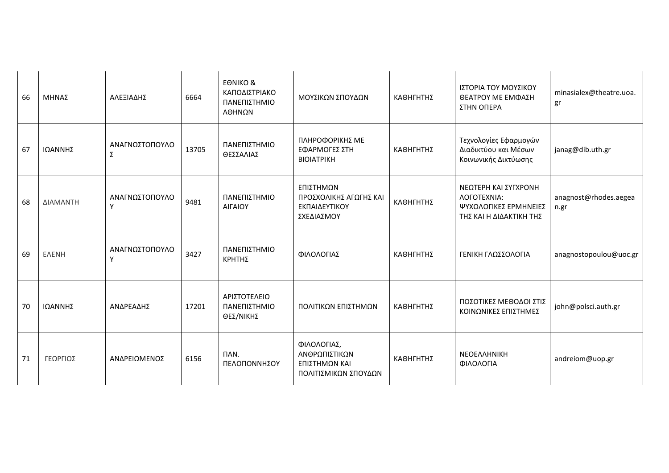| 66 | ΜΗΝΑΣ        | ΑΛΕΞΙΑΔΗΣ           | 6664  | <b>EONIKO &amp;</b><br>ΚΑΠΟΔΙΣΤΡΙΑΚΟ<br>ΠΑΝΕΠΙΣΤΗΜΙΟ<br>ΑΘΗΝΩΝ | ΜΟΥΣΙΚΩΝ ΣΠΟΥΔΩΝ                                                      | ΚΑΘΗΓΗΤΗΣ | ΙΣΤΟΡΙΑ ΤΟΥ ΜΟΥΣΙΚΟΥ<br>ΘΕΑΤΡΟΥ ΜΕ ΕΜΦΑΣΗ<br>ΣΤΗΝ ΟΠΕΡΑ                                 | minasialex@theatre.uoa.<br>gr |
|----|--------------|---------------------|-------|----------------------------------------------------------------|-----------------------------------------------------------------------|-----------|-----------------------------------------------------------------------------------------|-------------------------------|
| 67 | ΙΩΑΝΝΗΣ      | ΑΝΑΓΝΩΣΤΟΠΟΥΛΟ<br>Σ | 13705 | ΠΑΝΕΠΙΣΤΗΜΙΟ<br>ΘΕΣΣΑΛΙΑΣ                                      | ΠΛΗΡΟΦΟΡΙΚΗΣ ΜΕ<br>ΕΦΑΡΜΟΓΕΣ ΣΤΗ<br><b>BIOIATPIKH</b>                 | ΚΑΘΗΓΗΤΗΣ | Τεχνολογίες Εφαρμογών<br>Διαδικτύου και Μέσων<br>Κοινωνικής Δικτύωσης                   | janag@dib.uth.gr              |
| 68 | ΔΙΑΜΑΝΤΗ     | ΑΝΑΓΝΩΣΤΟΠΟΥΛΟ<br>Υ | 9481  | ΠΑΝΕΠΙΣΤΗΜΙΟ<br><b>AIFAIOY</b>                                 | ΕΠΙΣΤΗΜΩΝ<br>ΠΡΟΣΧΟΛΙΚΗΣ ΑΓΩΓΗΣ ΚΑΙ<br>ΕΚΠΑΙΔΕΥΤΙΚΟΥ<br>ΣΧΕΔΙΑΣΜΟΥ    | ΚΑΘΗΓΗΤΗΣ | ΝΕΩΤΕΡΗ ΚΑΙ ΣΥΓΧΡΟΝΗ<br>ΛΟΓΟΤΕΧΝΙΑ:<br>ΨΥΧΟΛΟΓΙΚΕΣ ΕΡΜΗΝΕΙΕΣ<br>ΤΗΣ ΚΑΙ Η ΔΙΔΑΚΤΙΚΗ ΤΗΣ | anagnost@rhodes.aegea<br>n.gr |
| 69 | <b>ENENH</b> | ΑΝΑΓΝΩΣΤΟΠΟΥΛΟ<br>Y | 3427  | ΠΑΝΕΠΙΣΤΗΜΙΟ<br>ΚΡΗΤΗΣ                                         | ΦΙΛΟΛΟΓΙΑΣ                                                            | ΚΑΘΗΓΗΤΗΣ | ΓΕΝΙΚΗ ΓΛΩΣΣΟΛΟΓΙΑ                                                                      | anagnostopoulou@uoc.gr        |
| 70 | ΙΩΑΝΝΗΣ      | ΑΝΔΡΕΑΔΗΣ           | 17201 | ΑΡΙΣΤΟΤΕΛΕΙΟ<br>ΠΑΝΕΠΙΣΤΗΜΙΟ<br>ΘΕΣ/ΝΙΚΗΣ                      | ΠΟΛΙΤΙΚΩΝ ΕΠΙΣΤΗΜΩΝ                                                   | ΚΑΘΗΓΗΤΗΣ | ΠΟΣΟΤΙΚΕΣ ΜΕΘΟΔΟΙ ΣΤΙΣ<br>ΚΟΙΝΩΝΙΚΕΣ ΕΠΙΣΤΗΜΕΣ                                          | john@polsci.auth.gr           |
| 71 | ΓΕΩΡΓΙΟΣ     | ΑΝΔΡΕΙΩΜΕΝΟΣ        | 6156  | ПAN.<br>ΠΕΛΟΠΟΝΝΗΣΟΥ                                           | ΦΙΛΟΛΟΓΙΑΣ,<br>ΑΝΘΡΩΠΙΣΤΙΚΩΝ<br>ΕΠΙΣΤΗΜΩΝ ΚΑΙ<br>ΠΟΛΙΤΙΣΜΙΚΩΝ ΣΠΟΥΔΩΝ | ΚΑΘΗΓΗΤΗΣ | NEOEAAHNIKH<br>ΦΙΛΟΛΟΓΙΑ                                                                | andreiom@uop.gr               |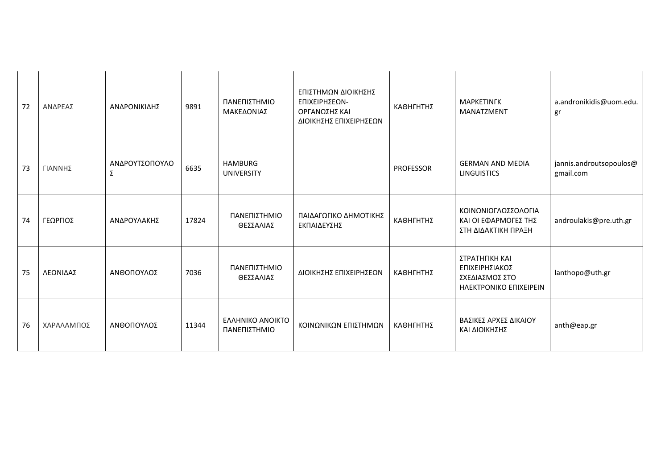| 72 | ΑΝΔΡΕΑΣ    | ΑΝΔΡΟΝΙΚΙΔΗΣ        | 9891  | ΠΑΝΕΠΙΣΤΗΜΙΟ<br>ΜΑΚΕΔΟΝΙΑΣ          | ΕΠΙΣΤΗΜΩΝ ΔΙΟΙΚΗΣΗΣ<br>ΕΠΙΧΕΙΡΗΣΕΩΝ-<br>ΟΡΓΑΝΩΣΗΣ ΚΑΙ<br>ΔΙΟΙΚΗΣΗΣ ΕΠΙΧΕΙΡΗΣΕΩΝ | ΚΑΘΗΓΗΤΗΣ        | <b>MAPKETINFK</b><br><b>MANATZMENT</b>                                       | a.andronikidis@uom.edu.<br>gr        |
|----|------------|---------------------|-------|-------------------------------------|---------------------------------------------------------------------------------|------------------|------------------------------------------------------------------------------|--------------------------------------|
| 73 | ΓΙΑΝΝΗΣ    | ΑΝΔΡΟΥΤΣΟΠΟΥΛΟ<br>Σ | 6635  | <b>HAMBURG</b><br><b>UNIVERSITY</b> |                                                                                 | <b>PROFESSOR</b> | <b>GERMAN AND MEDIA</b><br><b>LINGUISTICS</b>                                | jannis.androutsopoulos@<br>gmail.com |
| 74 | ΓΕΩΡΓΙΟΣ   | ΑΝΔΡΟΥΛΑΚΗΣ         | 17824 | ΠΑΝΕΠΙΣΤΗΜΙΟ<br>ΘΕΣΣΑΛΙΑΣ           | ΠΑΙΔΑΓΩΓΙΚΟ ΔΗΜΟΤΙΚΗΣ<br>ΕΚΠΑΙΔΕΥΣΗΣ                                            | ΚΑΘΗΓΗΤΗΣ        | ΚΟΙΝΩΝΙΟΓΛΩΣΣΟΛΟΓΙΑ<br>ΚΑΙ ΟΙ ΕΦΑΡΜΟΓΕΣ ΤΗΣ<br>ΣΤΗ ΔΙΔΑΚΤΙΚΗ ΠΡΑΞΗ           | androulakis@pre.uth.gr               |
| 75 | ΛΕΩΝΙΔΑΣ   | ΑΝΘΟΠΟΥΛΟΣ          | 7036  | ΠΑΝΕΠΙΣΤΗΜΙΟ<br>ΘΕΣΣΑΛΙΑΣ           | ΔΙΟΙΚΗΣΗΣ ΕΠΙΧΕΙΡΗΣΕΩΝ                                                          | ΚΑΘΗΓΗΤΗΣ        | ΣΤΡΑΤΗΓΙΚΗ ΚΑΙ<br>ΕΠΙΧΕΙΡΗΣΙΑΚΟΣ<br>ΣΧΕΔΙΑΣΜΟΣ ΣΤΟ<br>HAEKTPONIKO EΠIXEIPEIN | lanthopo@uth.gr                      |
| 76 | ΧΑΡΑΛΑΜΠΟΣ | ΑΝΘΟΠΟΥΛΟΣ          | 11344 | ΕΛΛΗΝΙΚΟ ΑΝΟΙΚΤΟ<br>ΠΑΝΕΠΙΣΤΗΜΙΟ    | ΚΟΙΝΩΝΙΚΩΝ ΕΠΙΣΤΗΜΩΝ                                                            | ΚΑΘΗΓΗΤΗΣ        | ΒΑΣΙΚΕΣ ΑΡΧΕΣ ΔΙΚΑΙΟΥ<br>ΚΑΙ ΔΙΟΙΚΗΣΗΣ                                       | anth@eap.gr                          |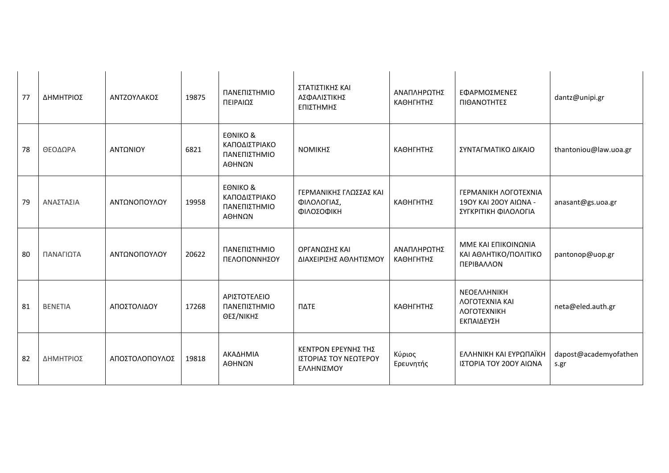| 77 | ΔΗΜΗΤΡΙΟΣ      | ΑΝΤΖΟΥΛΑΚΟΣ    | 19875 | ΠΑΝΕΠΙΣΤΗΜΙΟ<br>ΠΕΙΡΑΙΩΣ                                       | ΣΤΑΤΙΣΤΙΚΗΣ ΚΑΙ<br>ΑΣΦΑΛΙΣΤΙΚΗΣ<br>ΕΠΙΣΤΗΜΗΣ               | ΑΝΑΠΛΗΡΩΤΗΣ<br>ΚΑΘΗΓΗΤΗΣ | ΕΦΑΡΜΟΣΜΕΝΕΣ<br>ΠΙΘΑΝΟΤΗΤΕΣ                                                            | dantz@unipi.gr                |
|----|----------------|----------------|-------|----------------------------------------------------------------|------------------------------------------------------------|--------------------------|----------------------------------------------------------------------------------------|-------------------------------|
| 78 | ΘΕΟΔΩΡΑ        | ΑΝΤΩΝΙΟΥ       | 6821  | <b>EONIKO &amp;</b><br>ΚΑΠΟΔΙΣΤΡΙΑΚΟ<br>ΠΑΝΕΠΙΣΤΗΜΙΟ<br>ΑΘΗΝΩΝ | ΝΟΜΙΚΗΣ                                                    | ΚΑΘΗΓΗΤΗΣ                | ΣΥΝΤΑΓΜΑΤΙΚΟ ΔΙΚΑΙΟ                                                                    | thantoniou@law.uoa.gr         |
| 79 | ΑΝΑΣΤΑΣΙΑ      | ΑΝΤΩΝΟΠΟΥΛΟΥ   | 19958 | <b>EONIKO &amp;</b><br>ΚΑΠΟΔΙΣΤΡΙΑΚΟ<br>ΠΑΝΕΠΙΣΤΗΜΙΟ<br>ΑΘΗΝΩΝ | ΓΕΡΜΑΝΙΚΗΣ ΓΛΩΣΣΑΣ ΚΑΙ<br>ΦΙΛΟΛΟΓΙΑΣ,<br>ΦΙΛΟΣΟΦΙΚΗ        | ΚΑΘΗΓΗΤΗΣ                | <b>ΓΕΡΜΑΝΙΚΗ ΛΟΓΟΤΕΧΝΙΑ</b><br>190Υ ΚΑΙ 200Υ ΑΙΩΝΑ -<br>ΣΥΓΚΡΙΤΙΚΗ ΦΙΛΟΛΟΓΙΑ           | anasant@gs.uoa.gr             |
| 80 | ΠΑΝΑΓΙΩΤΑ      | ΑΝΤΩΝΟΠΟΥΛΟΥ   | 20622 | ΠΑΝΕΠΙΣΤΗΜΙΟ<br>ΠΕΛΟΠΟΝΝΗΣΟΥ                                   | ΟΡΓΑΝΩΣΗΣ ΚΑΙ<br>ΔΙΑΧΕΙΡΙΣΗΣ ΑΘΛΗΤΙΣΜΟΥ                    | ΑΝΑΠΛΗΡΩΤΗΣ<br>ΚΑΘΗΓΗΤΗΣ | ΜΜΕ ΚΑΙ ΕΠΙΚΟΙΝΩΝΙΑ<br>ΚΑΙ ΑΘΛΗΤΙΚΟ/ΠΟΛΙΤΙΚΟ<br>ΠΕΡΙΒΑΛΛΟΝ                             | pantonop@uop.gr               |
| 81 | <b>BENETIA</b> | ΑΠΟΣΤΟΛΙΔΟΥ    | 17268 | ΑΡΙΣΤΟΤΕΛΕΙΟ<br>ΠΑΝΕΠΙΣΤΗΜΙΟ<br>ΘΕΣ/ΝΙΚΗΣ                      | ΠΔΤΕ                                                       | ΚΑΘΗΓΗΤΗΣ                | ΝΕΟΕΛΛΗΝΙΚΗ<br><b><i>AOFOTEXNIA KAI</i></b><br><b><i>AOFOTEXNIKH</i></b><br>ΕΚΠΑΙΔΕΥΣΗ | neta@eled.auth.gr             |
| 82 | ΔΗΜΗΤΡΙΟΣ      | ΑΠΟΣΤΟΛΟΠΟΥΛΟΣ | 19818 | ΑΚΑΔΗΜΙΑ<br>ΑΘΗΝΩΝ                                             | ΚΕΝΤΡΟΝ ΕΡΕΥΝΗΣ ΤΗΣ<br>ΙΣΤΟΡΙΑΣ ΤΟΥ ΝΕΩΤΕΡΟΥ<br>ΕΛΛΗΝΙΣΜΟΥ | Κύριος<br>Ερευνητής      | ΕΛΛΗΝΙΚΗ ΚΑΙ ΕΥΡΩΠΑΪΚΗ<br>ΙΣΤΟΡΙΑ ΤΟΥ 20ΟΥ ΑΙΩΝΑ                                       | dapost@academyofathen<br>s.gr |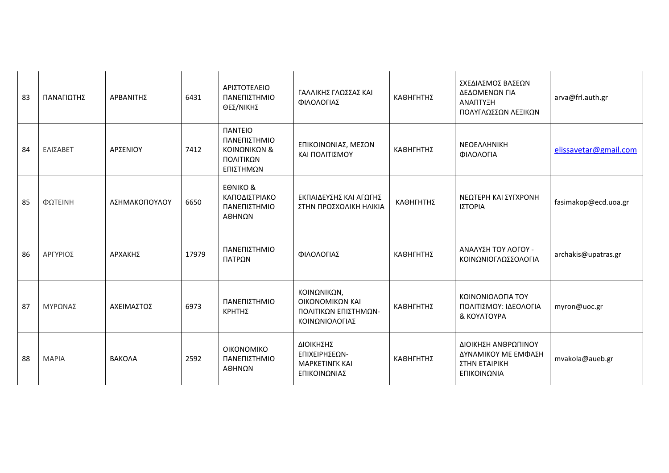| 83 | ΠΑΝΑΓΙΩΤΗΣ   | ΑΡΒΑΝΙΤΗΣ     | 6431  | ΑΡΙΣΤΟΤΕΛΕΙΟ<br>ΠΑΝΕΠΙΣΤΗΜΙΟ<br>ΘΕΣ/ΝΙΚΗΣ                                              | ΓΑΛΛΙΚΗΣ ΓΛΩΣΣΑΣ ΚΑΙ<br>ΦΙΛΟΛΟΓΙΑΣ                                       | ΚΑΘΗΓΗΤΗΣ | ΣΧΕΔΙΑΣΜΟΣ ΒΑΣΕΩΝ<br>ΔΕΔΟΜΕΝΩΝ ΓΙΑ<br>ΑΝΑΠΤΥΞΗ<br>ΠΟΛΥΓΛΩΣΣΩΝ ΛΕΞΙΚΩΝ      | arva@frl.auth.gr      |
|----|--------------|---------------|-------|----------------------------------------------------------------------------------------|--------------------------------------------------------------------------|-----------|----------------------------------------------------------------------------|-----------------------|
| 84 | ΕΛΙΣΑΒΕΤ     | ΑΡΣΕΝΙΟΥ      | 7412  | <b><i><u>IANTEIO</u></i></b><br>ΠΑΝΕΠΙΣΤΗΜΙΟ<br>ΚΟΙΝΩΝΙΚΩΝ &<br>ΠΟΛΙΤΙΚΩΝ<br>ΕΠΙΣΤΗΜΩΝ | ΕΠΙΚΟΙΝΩΝΙΑΣ, ΜΕΣΩΝ<br>ΚΑΙ ΠΟΛΙΤΙΣΜΟΥ                                    | ΚΑΘΗΓΗΤΗΣ | <b>NEOEAAHNIKH</b><br>ΦΙΛΟΛΟΓΙΑ                                            | elissavetar@gmail.com |
| 85 | ΦΩΤΕΙΝΗ      | ΑΣΗΜΑΚΟΠΟΥΛΟΥ | 6650  | <b>EONIKO &amp;</b><br>ΚΑΠΟΔΙΣΤΡΙΑΚΟ<br>ΠΑΝΕΠΙΣΤΗΜΙΟ<br>ΑΘΗΝΩΝ                         | ΕΚΠΑΙΔΕΥΣΗΣ ΚΑΙ ΑΓΩΓΗΣ<br>ΣΤΗΝ ΠΡΟΣΧΟΛΙΚΗ ΗΛΙΚΙΑ                         | ΚΑΘΗΓΗΤΗΣ | ΝΕΩΤΕΡΗ ΚΑΙ ΣΥΓΧΡΟΝΗ<br>ΙΣΤΟΡΙΑ                                            | fasimakop@ecd.uoa.gr  |
| 86 | ΑΡΓΥΡΙΟΣ     | ΑΡΧΑΚΗΣ       | 17979 | ΠΑΝΕΠΙΣΤΗΜΙΟ<br>ΠΑΤΡΩΝ                                                                 | ΦΙΛΟΛΟΓΙΑΣ                                                               | ΚΑΘΗΓΗΤΗΣ | ΑΝΑΛΥΣΗ ΤΟΥ ΛΟΓΟΥ -<br>ΚΟΙΝΩΝΙΟΓΛΩΣΣΟΛΟΓΙΑ                                 | archakis@upatras.gr   |
| 87 | ΜΥΡΩΝΑΣ      | ΑΧΕΙΜΑΣΤΟΣ    | 6973  | ΠΑΝΕΠΙΣΤΗΜΙΟ<br><b>ΚΡΗΤΗΣ</b>                                                          | ΚΟΙΝΩΝΙΚΩΝ,<br>ΟΙΚΟΝΟΜΙΚΩΝ ΚΑΙ<br>ΠΟΛΙΤΙΚΩΝ ΕΠΙΣΤΗΜΩΝ-<br>ΚΟΙΝΩΝΙΟΛΟΓΙΑΣ | ΚΑΘΗΓΗΤΗΣ | ΚΟΙΝΩΝΙΟΛΟΓΙΑ ΤΟΥ<br>ΠΟΛΙΤΙΣΜΟΥ: ΙΔΕΟΛΟΓΙΑ<br>& KOYATOYPA                  | myron@uoc.gr          |
| 88 | <b>MAPIA</b> | BAKOAA        | 2592  | <b>OIKONOMIKO</b><br>ΠΑΝΕΠΙΣΤΗΜΙΟ<br>ΑΘΗΝΩΝ                                            | ΔΙΟΙΚΗΣΗΣ<br>ΕΠΙΧΕΙΡΗΣΕΩΝ-<br><b>MAPKETINFK KAI</b><br>ΕΠΙΚΟΙΝΩΝΙΑΣ      | ΚΑΘΗΓΗΤΗΣ | ΔΙΟΙΚΗΣΗ ΑΝΘΡΩΠΙΝΟΥ<br>ΔΥΝΑΜΙΚΟΥ ΜΕ ΕΜΦΑΣΗ<br>ΣΤΗΝ ΕΤΑΙΡΙΚΗ<br>ΕΠΙΚΟΙΝΩΝΙΑ | mvakola@aueb.gr       |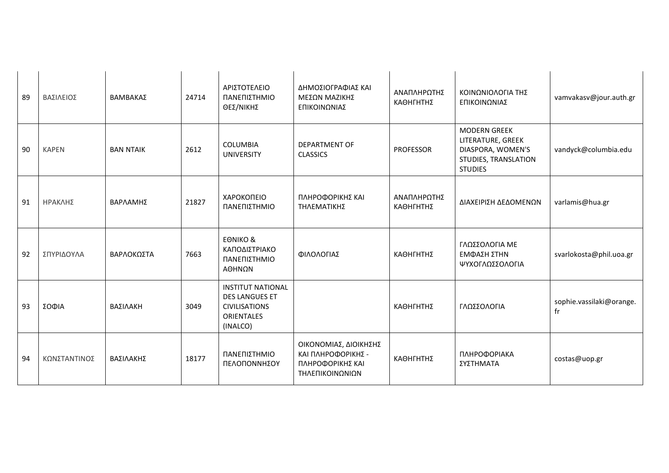| 89 | ΒΑΣΙΛΕΙΟΣ    | ΒΑΜΒΑΚΑΣ         | 24714 | ΑΡΙΣΤΟΤΕΛΕΙΟ<br>ΠΑΝΕΠΙΣΤΗΜΙΟ<br>ΘΕΣ/ΝΙΚΗΣ                                                                  | ΔΗΜΟΣΙΟΓΡΑΦΙΑΣ ΚΑΙ<br>ΜΕΣΩΝ ΜΑΖΙΚΗΣ<br>ΕΠΙΚΟΙΝΩΝΙΑΣ                                | ΑΝΑΠΛΗΡΩΤΗΣ<br>ΚΑΘΗΓΗΤΗΣ | ΚΟΙΝΩΝΙΟΛΟΓΙΑ ΤΗΣ<br>ΕΠΙΚΟΙΝΩΝΙΑΣ                                                                       | vamvakasv@jour.auth.gr         |
|----|--------------|------------------|-------|------------------------------------------------------------------------------------------------------------|------------------------------------------------------------------------------------|--------------------------|---------------------------------------------------------------------------------------------------------|--------------------------------|
| 90 | <b>KAPEN</b> | <b>BAN NTAIK</b> | 2612  | <b>COLUMBIA</b><br><b>UNIVERSITY</b>                                                                       | <b>DEPARTMENT OF</b><br><b>CLASSICS</b>                                            | <b>PROFESSOR</b>         | <b>MODERN GREEK</b><br>LITERATURE, GREEK<br>DIASPORA, WOMEN'S<br>STUDIES, TRANSLATION<br><b>STUDIES</b> | vandyck@columbia.edu           |
| 91 | ΗΡΑΚΛΗΣ      | ΒΑΡΛΑΜΗΣ         | 21827 | ΧΑΡΟΚΟΠΕΙΟ<br>ΠΑΝΕΠΙΣΤΗΜΙΟ                                                                                 | ΠΛΗΡΟΦΟΡΙΚΗΣ ΚΑΙ<br>ΤΗΛΕΜΑΤΙΚΗΣ                                                    | ΑΝΑΠΛΗΡΩΤΗΣ<br>ΚΑΘΗΓΗΤΗΣ | ΔΙΑΧΕΙΡΙΣΗ ΔΕΔΟΜΕΝΩΝ                                                                                    | varlamis@hua.gr                |
| 92 | ΣΠΥΡΙΔΟΥΛΑ   | ΒΑΡΛΟΚΩΣΤΑ       | 7663  | <b>EONIKO &amp;</b><br>ΚΑΠΟΔΙΣΤΡΙΑΚΟ<br>ΠΑΝΕΠΙΣΤΗΜΙΟ<br>ΑΘΗΝΩΝ                                             | ΦΙΛΟΛΟΓΙΑΣ                                                                         | ΚΑΘΗΓΗΤΗΣ                | ΓΛΩΣΣΟΛΟΓΙΑ ΜΕ<br>ΕΜΦΑΣΗ ΣΤΗΝ<br>ΨΥΧΟΓΛΩΣΣΟΛΟΓΙΑ                                                        | svarlokosta@phil.uoa.gr        |
| 93 | ΣΟΦΙΑ        | ΒΑΣΙΛΑΚΗ         | 3049  | <b>INSTITUT NATIONAL</b><br><b>DES LANGUES ET</b><br><b>CIVILISATIONS</b><br><b>ORIENTALES</b><br>(INALCO) |                                                                                    | ΚΑΘΗΓΗΤΗΣ                | ΓΛΩΣΣΟΛΟΓΙΑ                                                                                             | sophie.vassilaki@orange.<br>fr |
| 94 | ΚΩΝΣΤΑΝΤΙΝΟΣ | ΒΑΣΙΛΑΚΗΣ        | 18177 | ΠΑΝΕΠΙΣΤΗΜΙΟ<br>ΠΕΛΟΠΟΝΝΗΣΟΥ                                                                               | ΟΙΚΟΝΟΜΙΑΣ, ΔΙΟΙΚΗΣΗΣ<br>ΚΑΙ ΠΛΗΡΟΦΟΡΙΚΗΣ -<br>ΠΛΗΡΟΦΟΡΙΚΗΣ ΚΑΙ<br>ΤΗΛΕΠΙΚΟΙΝΩΝΙΩΝ | ΚΑΘΗΓΗΤΗΣ                | ΠΛΗΡΟΦΟΡΙΑΚΑ<br>ΣΥΣΤΗΜΑΤΑ                                                                               | costas@uop.gr                  |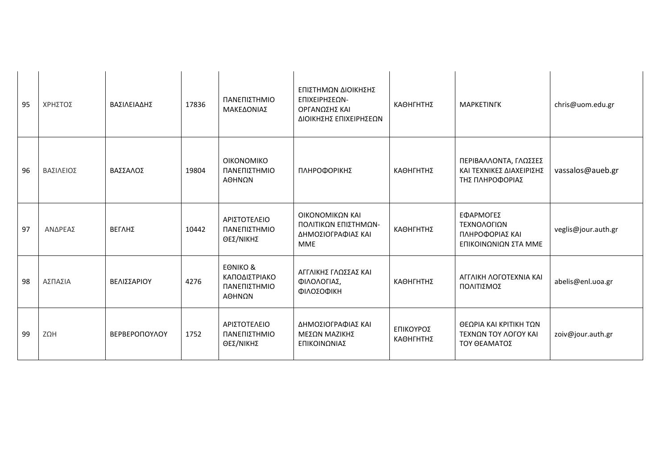| 95 | ΧΡΗΣΤΟΣ   | ΒΑΣΙΛΕΙΑΔΗΣ          | 17836 | ΠΑΝΕΠΙΣΤΗΜΙΟ<br>ΜΑΚΕΔΟΝΙΑΣ                                     | ΕΠΙΣΤΗΜΩΝ ΔΙΟΙΚΗΣΗΣ<br>ΕΠΙΧΕΙΡΗΣΕΩΝ-<br><b>ΟΡΓΑΝΩΣΗΣ ΚΑΙ</b><br>ΔΙΟΙΚΗΣΗΣ ΕΠΙΧΕΙΡΗΣΕΩΝ | ΚΑΘΗΓΗΤΗΣ              | <b>MAPKETINFK</b>                                                    | chris@uom.edu.gr    |
|----|-----------|----------------------|-------|----------------------------------------------------------------|----------------------------------------------------------------------------------------|------------------------|----------------------------------------------------------------------|---------------------|
| 96 | ΒΑΣΙΛΕΙΟΣ | ΒΑΣΣΑΛΟΣ             | 19804 | <b>OIKONOMIKO</b><br>ΠΑΝΕΠΙΣΤΗΜΙΟ<br>ΑΘΗΝΩΝ                    | ΠΛΗΡΟΦΟΡΙΚΗΣ                                                                           | ΚΑΘΗΓΗΤΗΣ              | ΠΕΡΙΒΑΛΛΟΝΤΑ, ΓΛΩΣΣΕΣ<br>ΚΑΙ ΤΕΧΝΙΚΕΣ ΔΙΑΧΕΙΡΙΣΗΣ<br>ΤΗΣ ΠΛΗΡΟΦΟΡΙΑΣ | vassalos@aueb.gr    |
| 97 | ΑΝΔΡΕΑΣ   | ΒΕΓΛΗΣ               | 10442 | ΑΡΙΣΤΟΤΕΛΕΙΟ<br>ΠΑΝΕΠΙΣΤΗΜΙΟ<br>ΘΕΣ/ΝΙΚΗΣ                      | ΟΙΚΟΝΟΜΙΚΩΝ ΚΑΙ<br>ΠΟΛΙΤΙΚΩΝ ΕΠΙΣΤΗΜΩΝ-<br>ΔΗΜΟΣΙΟΓΡΑΦΙΑΣ ΚΑΙ<br>MME                   | ΚΑΘΗΓΗΤΗΣ              | ΕΦΑΡΜΟΓΕΣ<br>ΤΕΧΝΟΛΟΓΙΩΝ<br>ΠΛΗΡΟΦΟΡΙΑΣ ΚΑΙ<br>ΕΠΙΚΟΙΝΩΝΙΩΝ ΣΤΑ ΜΜΕ  | veglis@jour.auth.gr |
| 98 | ΑΣΠΑΣΙΑ   | ΒΕΛΙΣΣΑΡΙΟΥ          | 4276  | <b>EONIKO &amp;</b><br>ΚΑΠΟΔΙΣΤΡΙΑΚΟ<br>ΠΑΝΕΠΙΣΤΗΜΙΟ<br>ΑΘΗΝΩΝ | ΑΓΓΛΙΚΗΣ ΓΛΩΣΣΑΣ ΚΑΙ<br>ΦΙΛΟΛΟΓΙΑΣ,<br>ΦΙΛΟΣΟΦΙΚΗ                                      | ΚΑΘΗΓΗΤΗΣ              | ΑΓΓΛΙΚΗ ΛΟΓΟΤΕΧΝΙΑ ΚΑΙ<br>ΠΟΛΙΤΙΣΜΟΣ                                 | abelis@enl.uoa.gr   |
| 99 | ZΩH       | <b>BEPBEPONOYAOY</b> | 1752  | ΑΡΙΣΤΟΤΕΛΕΙΟ<br>ΠΑΝΕΠΙΣΤΗΜΙΟ<br>ΘΕΣ/ΝΙΚΗΣ                      | ΔΗΜΟΣΙΟΓΡΑΦΙΑΣ ΚΑΙ<br>ΜΕΣΩΝ ΜΑΖΙΚΗΣ<br>ΕΠΙΚΟΙΝΩΝΙΑΣ                                    | ΕΠΙΚΟΥΡΟΣ<br>ΚΑΘΗΓΗΤΗΣ | ΘΕΩΡΙΑ ΚΑΙ ΚΡΙΤΙΚΗ ΤΩΝ<br>ΤΕΧΝΩΝ ΤΟΥ ΛΟΓΟΥ ΚΑΙ<br>ΤΟΥ ΘΕΑΜΑΤΟΣ       | zoiv@jour.auth.gr   |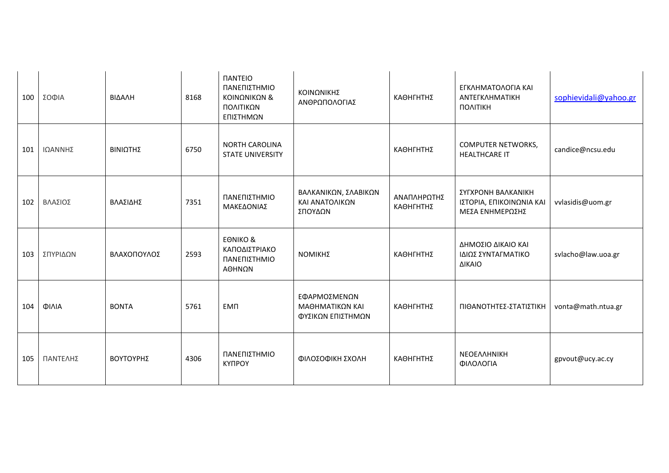| 100 | ΣΟΦΙΑ    | ΒΙΔΑΛΗ       | 8168 | <b><i><u>IANTEIO</u></i></b><br>ΠΑΝΕΠΙΣΤΗΜΙΟ<br>ΚΟΙΝΩΝΙΚΩΝ &<br>ΠΟΛΙΤΙΚΩΝ<br>ΕΠΙΣΤΗΜΩΝ | ΚΟΙΝΩΝΙΚΗΣ<br>ΑΝΘΡΩΠΟΛΟΓΙΑΣ                          | ΚΑΘΗΓΗΤΗΣ                | ΕΓΚΛΗΜΑΤΟΛΟΓΙΑ ΚΑΙ<br>ΑΝΤΕΓΚΛΗΜΑΤΙΚΗ<br>ΠΟΛΙΤΙΚΗ                  | sophievidali@yahoo.gr |
|-----|----------|--------------|------|----------------------------------------------------------------------------------------|------------------------------------------------------|--------------------------|-------------------------------------------------------------------|-----------------------|
| 101 | ΙΩΑΝΝΗΣ  | ΒΙΝΙΩΤΗΣ     | 6750 | <b>NORTH CAROLINA</b><br><b>STATE UNIVERSITY</b>                                       |                                                      | ΚΑΘΗΓΗΤΗΣ                | <b>COMPUTER NETWORKS,</b><br><b>HEALTHCARE IT</b>                 | candice@ncsu.edu      |
| 102 | ΒΛΑΣΙΟΣ  | ΒΛΑΣΙΔΗΣ     | 7351 | ΠΑΝΕΠΙΣΤΗΜΙΟ<br>ΜΑΚΕΔΟΝΙΑΣ                                                             | ΒΑΛΚΑΝΙΚΩΝ, ΣΛΑΒΙΚΩΝ<br>ΚΑΙ ΑΝΑΤΟΛΙΚΩΝ<br>ΣΠΟΥΔΩΝ    | ΑΝΑΠΛΗΡΩΤΗΣ<br>ΚΑΘΗΓΗΤΗΣ | ΣΥΓΧΡΟΝΗ ΒΑΛΚΑΝΙΚΗ<br>ΙΣΤΟΡΙΑ, ΕΠΙΚΟΙΝΩΝΙΑ ΚΑΙ<br>ΜΕΣΑ ΕΝΗΜΕΡΩΣΗΣ | vvlasidis@uom.gr      |
| 103 | ΣΠΥΡΙΔΩΝ | ΒΛΑΧΟΠΟΥΛΟΣ  | 2593 | <b>EONIKO &amp;</b><br>ΚΑΠΟΔΙΣΤΡΙΑΚΟ<br>ΠΑΝΕΠΙΣΤΗΜΙΟ<br>ΑΘΗΝΩΝ                         | ΝΟΜΙΚΗΣ                                              | ΚΑΘΗΓΗΤΗΣ                | ΔΗΜΟΣΙΟ ΔΙΚΑΙΟ ΚΑΙ<br>ΙΔΙΩΣ ΣΥΝΤΑΓΜΑΤΙΚΟ<br>ΔΙΚΑΙΟ                | svlacho@law.uoa.gr    |
| 104 | ΦΙΛΙΑ    | <b>BONTA</b> | 5761 | <b>EMN</b>                                                                             | ΕΦΑΡΜΟΣΜΕΝΩΝ<br>ΜΑΘΗΜΑΤΙΚΩΝ ΚΑΙ<br>ΦΥΣΙΚΩΝ ΕΠΙΣΤΗΜΩΝ | ΚΑΘΗΓΗΤΗΣ                | ΠΙΘΑΝΟΤΗΤΕΣ-ΣΤΑΤΙΣΤΙΚΗ                                            | vonta@math.ntua.gr    |
| 105 | ΠΑΝΤΕΛΗΣ | ΒΟΥΤΟΥΡΗΣ    | 4306 | ΠΑΝΕΠΙΣΤΗΜΙΟ<br>КҮПРОҮ                                                                 | ΦΙΛΟΣΟΦΙΚΗ ΣΧΟΛΗ                                     | ΚΑΘΗΓΗΤΗΣ                | ΝΕΟΕΛΛΗΝΙΚΗ<br>ΦΙΛΟΛΟΓΙΑ                                          | gpvout@ucy.ac.cy      |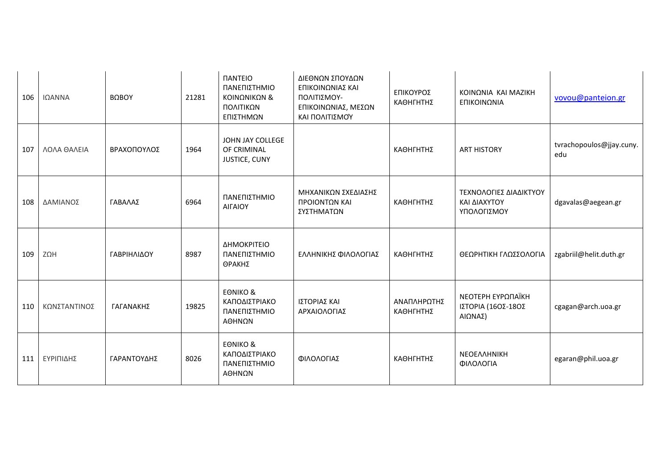| 106 | ΙΩΑΝΝΑ       | ΒΩΒΟΥ       | 21281 | <b><i><u>ITANTEIO</u></i></b><br>ΠΑΝΕΠΙΣΤΗΜΙΟ<br>ΚΟΙΝΩΝΙΚΩΝ &<br>ΠΟΛΙΤΙΚΩΝ<br>ΕΠΙΣΤΗΜΩΝ | ΔΙΕΘΝΩΝ ΣΠΟΥΔΩΝ<br>ΕΠΙΚΟΙΝΩΝΙΑΣ ΚΑΙ<br>ΠΟΛΙΤΙΣΜΟΥ-<br>ΕΠΙΚΟΙΝΩΝΙΑΣ, ΜΕΣΩΝ<br>ΚΑΙ ΠΟΛΙΤΙΣΜΟΎ | ΕΠΙΚΟΥΡΟΣ<br>ΚΑΘΗΓΗΤΗΣ   | ΚΟΙΝΩΝΙΑ ΚΑΙ ΜΑΖΙΚΗ<br>ΕΠΙΚΟΙΝΩΝΙΑ                    | vovou@panteion.gr               |
|-----|--------------|-------------|-------|-----------------------------------------------------------------------------------------|---------------------------------------------------------------------------------------------|--------------------------|-------------------------------------------------------|---------------------------------|
| 107 | ΛΟΛΑ ΘΑΛΕΙΑ  | ΒΡΑΧΟΠΟΥΛΟΣ | 1964  | JOHN JAY COLLEGE<br>OF CRIMINAL<br>JUSTICE, CUNY                                        |                                                                                             | ΚΑΘΗΓΗΤΗΣ                | <b>ART HISTORY</b>                                    | tvrachopoulos@jjay.cuny.<br>edu |
| 108 | ΔΑΜΙΑΝΟΣ     | ΓΑΒΑΛΑΣ     | 6964  | ΠΑΝΕΠΙΣΤΗΜΙΟ<br>ΑΙΓΑΙΟΥ                                                                 | ΜΗΧΑΝΙΚΩΝ ΣΧΕΔΙΑΣΗΣ<br>ΠΡΟΙΟΝΤΩΝ ΚΑΙ<br>ΣΥΣΤΗΜΑΤΩΝ                                          | ΚΑΘΗΓΗΤΗΣ                | ΤΕΧΝΟΛΟΓΙΕΣ ΔΙΑΔΙΚΤΥΟΥ<br>ΚΑΙ ΔΙΑΧΥΤΟΥ<br>ΥΠΟΛΟΓΙΣΜΟΥ | dgavalas@aegean.gr              |
| 109 | ΖΩΗ          | ΓΑΒΡΙΗΛΙΔΟΥ | 8987  | ΔΗΜΟΚΡΙΤΕΙΟ<br>ΠΑΝΕΠΙΣΤΗΜΙΟ<br>ΘΡΑΚΗΣ                                                   | ΕΛΛΗΝΙΚΗΣ ΦΙΛΟΛΟΓΙΑΣ                                                                        | ΚΑΘΗΓΗΤΗΣ                | ΘΕΩΡΗΤΙΚΗ ΓΛΩΣΣΟΛΟΓΙΑ                                 | zgabriil@helit.duth.gr          |
| 110 | ΚΩΝΣΤΑΝΤΙΝΟΣ | ΓΑΓΑΝΑΚΗΣ   | 19825 | <b>EONIKO &amp;</b><br>ΚΑΠΟΔΙΣΤΡΙΑΚΟ<br>ΠΑΝΕΠΙΣΤΗΜΙΟ<br>ΑΘΗΝΩΝ                          | ΙΣΤΟΡΙΑΣ ΚΑΙ<br>ΑΡΧΑΙΟΛΟΓΙΑΣ                                                                | ΑΝΑΠΛΗΡΩΤΗΣ<br>ΚΑΘΗΓΗΤΗΣ | ΝΕΟΤΕΡΗ ΕΥΡΩΠΑΪΚΗ<br>ΙΣΤΟΡΙΑ (16ΟΣ-18ΟΣ<br>AIΩNAΣ)    | cgagan@arch.uoa.gr              |
| 111 | ΕΥΡΙΠΙΔΗΣ    | ΓΑΡΑΝΤΟΥΔΗΣ | 8026  | <b>EONIKO &amp;</b><br>ΚΑΠΟΔΙΣΤΡΙΑΚΟ<br>ΠΑΝΕΠΙΣΤΗΜΙΟ<br>ΑΘΗΝΩΝ                          | ΦΙΛΟΛΟΓΙΑΣ                                                                                  | ΚΑΘΗΓΗΤΗΣ                | ΝΕΟΕΛΛΗΝΙΚΗ<br>ΦΙΛΟΛΟΓΙΑ                              | egaran@phil.uoa.gr              |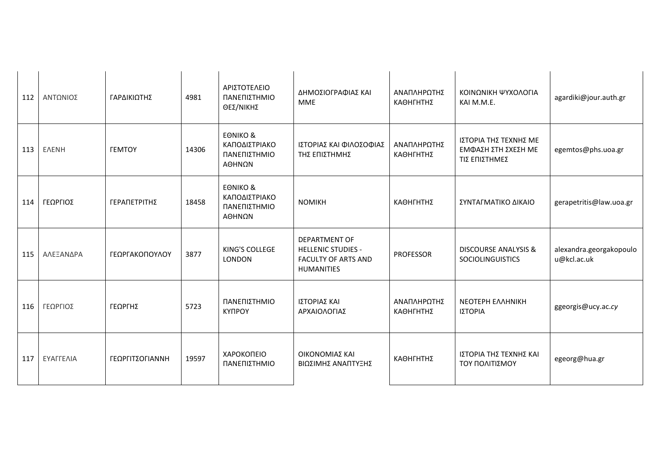| 112 | ΑΝΤΩΝΙΟΣ     | ΓΑΡΔΙΚΙΩΤΗΣ          | 4981  | ΑΡΙΣΤΟΤΕΛΕΙΟ<br>ΠΑΝΕΠΙΣΤΗΜΙΟ<br>ΘΕΣ/ΝΙΚΗΣ                      | ΔΗΜΟΣΙΟΓΡΑΦΙΑΣ ΚΑΙ<br><b>MME</b>                                                              | ΑΝΑΠΛΗΡΩΤΗΣ<br>ΚΑΘΗΓΗΤΗΣ | ΚΟΙΝΩΝΙΚΗ ΨΥΧΟΛΟΓΙΑ<br>KAI M.M.E.                             | agardiki@jour.auth.gr                  |
|-----|--------------|----------------------|-------|----------------------------------------------------------------|-----------------------------------------------------------------------------------------------|--------------------------|---------------------------------------------------------------|----------------------------------------|
| 113 | <b>ENENH</b> | <b><i>FEMTOY</i></b> | 14306 | <b>EONIKO &amp;</b><br>ΚΑΠΟΔΙΣΤΡΙΑΚΟ<br>ΠΑΝΕΠΙΣΤΗΜΙΟ<br>ΑΘΗΝΩΝ | ΙΣΤΟΡΙΑΣ ΚΑΙ ΦΙΛΟΣΟΦΙΑΣ<br>ΤΗΣ ΕΠΙΣΤΗΜΗΣ                                                      | ΑΝΑΠΛΗΡΩΤΗΣ<br>ΚΑΘΗΓΗΤΗΣ | ΙΣΤΟΡΙΑ ΤΗΣ ΤΕΧΝΗΣ ΜΕ<br>ΕΜΦΑΣΗ ΣΤΗ ΣΧΕΣΗ ΜΕ<br>ΤΙΣ ΕΠΙΣΤΗΜΕΣ | egemtos@phs.uoa.gr                     |
| 114 | ΓΕΩΡΓΙΟΣ     | ΓΕΡΑΠΕΤΡΙΤΗΣ         | 18458 | <b>EONIKO &amp;</b><br>ΚΑΠΟΔΙΣΤΡΙΑΚΟ<br>ΠΑΝΕΠΙΣΤΗΜΙΟ<br>ΑΘΗΝΩΝ | <b>NOMIKH</b>                                                                                 | ΚΑΘΗΓΗΤΗΣ                | ΣΥΝΤΑΓΜΑΤΙΚΟ ΔΙΚΑΙΟ                                           | gerapetritis@law.uoa.gr                |
| 115 | ΑΛΕΞΑΝΔΡΑ    | ΓΕΩΡΓΑΚΟΠΟΥΛΟΥ       | 3877  | KING'S COLLEGE<br>LONDON                                       | DEPARTMENT OF<br><b>HELLENIC STUDIES -</b><br><b>FACULTY OF ARTS AND</b><br><b>HUMANITIES</b> | <b>PROFESSOR</b>         | <b>DISCOURSE ANALYSIS &amp;</b><br>SOCIOLINGUISTICS           | alexandra.georgakopoulo<br>u@kcl.ac.uk |
| 116 | ΓΕΩΡΓΙΟΣ     | ΓΕΩΡΓΗΣ              | 5723  | ΠΑΝΕΠΙΣΤΗΜΙΟ<br><b>KYNPOY</b>                                  | ΙΣΤΟΡΙΑΣ ΚΑΙ<br>ΑΡΧΑΙΟΛΟΓΙΑΣ                                                                  | ΑΝΑΠΛΗΡΩΤΗΣ<br>ΚΑΘΗΓΗΤΗΣ | <b>NEOTEPH EAAHNIKH</b><br>ΙΣΤΟΡΙΑ                            | ggeorgis@ucy.ac.cy                     |
| 117 | ΕΥΑΓΓΕΛΙΑ    | ΓΕΩΡΓΙΤΣΟΓΙΑΝΝΗ      | 19597 | ΧΑΡΟΚΟΠΕΙΟ<br>ΠΑΝΕΠΙΣΤΗΜΙΟ                                     | ΟΙΚΟΝΟΜΙΑΣ ΚΑΙ<br>ΒΙΩΣΙΜΗΣ ΑΝΑΠΤΥΞΗΣ                                                          | ΚΑΘΗΓΗΤΗΣ                | ΙΣΤΟΡΙΑ ΤΗΣ ΤΕΧΝΗΣ ΚΑΙ<br>ΤΟΥ ΠΟΛΙΤΙΣΜΟΥ                      | egeorg@hua.gr                          |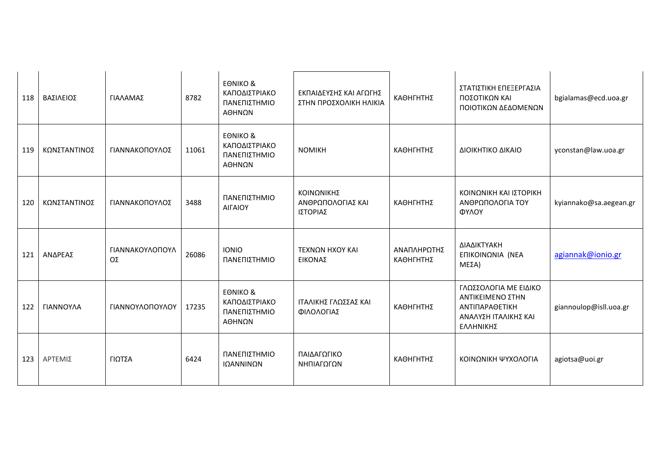| 118 | ΒΑΣΙΛΕΙΟΣ    | ΓΙΑΛΑΜΑΣ              | 8782  | <b>EONIKO &amp;</b><br>ΚΑΠΟΔΙΣΤΡΙΑΚΟ<br>ΠΑΝΕΠΙΣΤΗΜΙΟ<br>ΑΘΗΝΩΝ | ΕΚΠΑΙΔΕΥΣΗΣ ΚΑΙ ΑΓΩΓΗΣ<br>ΣΤΗΝ ΠΡΟΣΧΟΛΙΚΗ ΗΛΙΚΙΑ | ΚΑΘΗΓΗΤΗΣ                | ΣΤΑΤΙΣΤΙΚΗ ΕΠΕΞΕΡΓΑΣΙΑ<br>ΠΟΣΟΤΙΚΩΝ ΚΑΙ<br>ΠΟΙΟΤΙΚΩΝ ΔΕΔΟΜΕΝΩΝ                                   | bgialamas@ecd.uoa.gr   |
|-----|--------------|-----------------------|-------|----------------------------------------------------------------|--------------------------------------------------|--------------------------|--------------------------------------------------------------------------------------------------|------------------------|
| 119 | ΚΩΝΣΤΑΝΤΙΝΟΣ | ΓΙΑΝΝΑΚΟΠΟΥΛΟΣ        | 11061 | <b>EONIKO &amp;</b><br>ΚΑΠΟΔΙΣΤΡΙΑΚΟ<br>ΠΑΝΕΠΙΣΤΗΜΙΟ<br>ΑΘΗΝΩΝ | <b>NOMIKH</b>                                    | ΚΑΘΗΓΗΤΗΣ                | ΔΙΟΙΚΗΤΙΚΟ ΔΙΚΑΙΟ                                                                                | yconstan@law.uoa.gr    |
| 120 | ΚΩΝΣΤΑΝΤΙΝΟΣ | ΓΙΑΝΝΑΚΟΠΟΥΛΟΣ        | 3488  | ΠΑΝΕΠΙΣΤΗΜΙΟ<br>ΑΙΓΑΙΟΥ                                        | ΚΟΙΝΩΝΙΚΗΣ<br>ΑΝΘΡΩΠΟΛΟΓΙΑΣ ΚΑΙ<br>ΙΣΤΟΡΙΑΣ      | ΚΑΘΗΓΗΤΗΣ                | ΚΟΙΝΩΝΙΚΗ ΚΑΙ ΙΣΤΟΡΙΚΗ<br>ΑΝΘΡΩΠΟΛΟΓΙΑ ΤΟΥ<br>ΦΥΛΟΥ                                              | kyiannako@sa.aegean.gr |
| 121 | ΑΝΔΡΕΑΣ      | ΓΙΑΝΝΑΚΟΥΛΟΠΟΥΛ<br>OΣ | 26086 | <b>IONIO</b><br>ΠΑΝΕΠΙΣΤΗΜΙΟ                                   | ΤΕΧΝΩΝ ΗΧΟΥ ΚΑΙ<br>ΕΙΚΟΝΑΣ                       | ΑΝΑΠΛΗΡΩΤΗΣ<br>ΚΑΘΗΓΗΤΗΣ | ΔΙΑΔΙΚΤΥΑΚΗ<br>ΕΠΙΚΟΙΝΩΝΙΑ (ΝΕΑ<br>ΜΕΣΑ)                                                         | agiannak@ionio.gr      |
| 122 | ΓΙΑΝΝΟΥΛΑ    | ΓΙΑΝΝΟΥΛΟΠΟΥΛΟΥ       | 17235 | <b>EONIKO &amp;</b><br>ΚΑΠΟΔΙΣΤΡΙΑΚΟ<br>ΠΑΝΕΠΙΣΤΗΜΙΟ<br>ΑΘΗΝΩΝ | ΙΤΑΛΙΚΗΣ ΓΛΩΣΣΑΣ ΚΑΙ<br>ΦΙΛΟΛΟΓΙΑΣ               | ΚΑΘΗΓΗΤΗΣ                | ΓΛΩΣΣΟΛΟΓΙΑ ΜΕ ΕΙΔΙΚΟ<br>ΑΝΤΙΚΕΙΜΕΝΟ ΣΤΗΝ<br>ΑΝΤΙΠΑΡΑΘΕΤΙΚΗ<br>ΑΝΑΛΥΣΗ ΙΤΑΛΙΚΗΣ ΚΑΙ<br>ΕΛΛΗΝΙΚΗΣ | giannoulop@isll.uoa.gr |
| 123 | ΑΡΤΕΜΙΣ      | ΓΙΩΤΣΑ                | 6424  | ΠΑΝΕΠΙΣΤΗΜΙΟ<br>ΙΩΑΝΝΙΝΩΝ                                      | ΠΑΙΔΑΓΩΓΙΚΟ<br>ΝΗΠΙΑΓΩΓΩΝ                        | ΚΑΘΗΓΗΤΗΣ                | ΚΟΙΝΩΝΙΚΗ ΨΥΧΟΛΟΓΙΑ                                                                              | agiotsa@uoi.gr         |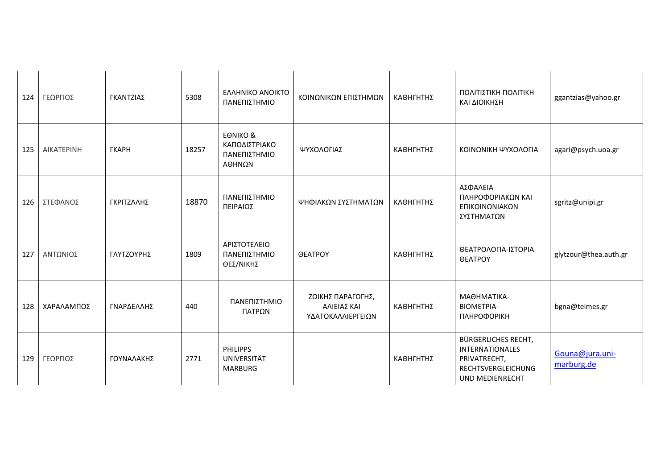| 124 | ΓΕΩΡΓΙΟΣ   | ΓΚΑΝΤΖΙΑΣ    | 5308  | ΕΛΛΗΝΙΚΟ ΑΝΟΙΚΤΟ<br>ΠΑΝΕΠΙΣΤΗΜΙΟ                               | ΚΟΙΝΩΝΙΚΩΝ ΕΠΙΣΤΗΜΩΝ                                  | ΚΑΘΗΓΗΤΗΣ | ΠΟΛΙΤΙΣΤΙΚΗ ΠΟΛΙΤΙΚΗ<br>ΚΑΙ ΔΙΟΙΚΗΣΗ                                                                                 | ggantzias@yahoo.gr            |
|-----|------------|--------------|-------|----------------------------------------------------------------|-------------------------------------------------------|-----------|----------------------------------------------------------------------------------------------------------------------|-------------------------------|
| 125 | AIKATEPINH | <b>ГКАРН</b> | 18257 | <b>EONIKO &amp;</b><br>ΚΑΠΟΔΙΣΤΡΙΑΚΟ<br>ΠΑΝΕΠΙΣΤΗΜΙΟ<br>ΑΘΗΝΩΝ | ΨΥΧΟΛΟΓΙΑΣ                                            | ΚΑΘΗΓΗΤΗΣ | ΚΟΙΝΩΝΙΚΗ ΨΥΧΟΛΟΓΙΑ                                                                                                  | agari@psych.uoa.gr            |
| 126 | ΣΤΕΦΑΝΟΣ   | ΓΚΡΙΤΖΑΛΗΣ   | 18870 | ΠΑΝΕΠΙΣΤΗΜΙΟ<br>ΠΕΙΡΑΙΩΣ                                       | ΨΗΦΙΑΚΩΝ ΣΥΣΤΗΜΑΤΩΝ                                   | ΚΑΘΗΓΗΤΗΣ | ΑΣΦΑΛΕΙΑ<br>ΠΛΗΡΟΦΟΡΙΑΚΩΝ ΚΑΙ<br>ΕΠΙΚΟΙΝΩΝΙΑΚΩΝ<br>ΣΥΣΤΗΜΑΤΩΝ                                                        | sgritz@unipi.gr               |
| 127 | ΑΝΤΩΝΙΟΣ   | ΓΛΥΤΖΟΥΡΗΣ   | 1809  | ΑΡΙΣΤΟΤΕΛΕΙΟ<br>ΠΑΝΕΠΙΣΤΗΜΙΟ<br>ΘΕΣ/ΝΙΚΗΣ                      | <b>OEATPOY</b>                                        | ΚΑΘΗΓΗΤΗΣ | ΘΕΑΤΡΟΛΟΓΙΑ-ΙΣΤΟΡΙΑ<br><b>OEATPOY</b>                                                                                | glytzour@thea.auth.gr         |
| 128 | ΧΑΡΑΛΑΜΠΟΣ | ΓΝΑΡΔΕΛΛΗΣ   | 440   | ΠΑΝΕΠΙΣΤΗΜΙΟ<br>ΠΑΤΡΩΝ                                         | ΖΩΙΚΗΣ ΠΑΡΑΓΩΓΗΣ,<br>ΑΛΙΕΙΑΣ ΚΑΙ<br>ΥΔΑΤΟΚΑΛΛΙΕΡΓΕΙΩΝ | ΚΑΘΗΓΗΤΗΣ | ΜΑΘΗΜΑΤΙΚΑ-<br><b>BIOMETPIA-</b><br><b>ПЛНРОФОРІКН</b>                                                               | bgna@teimes.gr                |
| 129 | ΓΕΩΡΓΙΟΣ   | ΓΟΥΝΑΛΑΚΗΣ   | 2771  | <b>PHILIPPS</b><br>UNIVERSITÄT<br><b>MARBURG</b>               |                                                       | ΚΑΘΗΓΗΤΗΣ | <b>BÜRGERLICHES RECHT,</b><br><b>INTERNATIONALES</b><br>PRIVATRECHT,<br><b>RECHTSVERGLEICHUNG</b><br>UND MEDIENRECHT | Gouna@jura.uni-<br>marburg.de |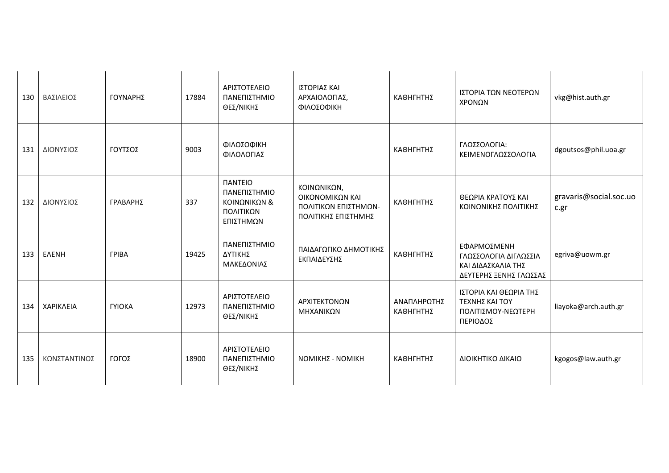| 130 | ΒΑΣΙΛΕΙΟΣ    | ΓΟΥΝΑΡΗΣ             | 17884 | ΑΡΙΣΤΟΤΕΛΕΙΟ<br>ΠΑΝΕΠΙΣΤΗΜΙΟ<br>ΘΕΣ/ΝΙΚΗΣ                                               | ΙΣΤΟΡΙΑΣ ΚΑΙ<br>ΑΡΧΑΙΟΛΟΓΙΑΣ,<br>ΦΙΛΟΣΟΦΙΚΗ                                   | ΚΑΘΗΓΗΤΗΣ                | ΙΣΤΟΡΙΑ ΤΩΝ ΝΕΟΤΕΡΩΝ<br>ΧΡΟΝΩΝ                                                       | vkg@hist.auth.gr               |
|-----|--------------|----------------------|-------|-----------------------------------------------------------------------------------------|-------------------------------------------------------------------------------|--------------------------|--------------------------------------------------------------------------------------|--------------------------------|
| 131 | ΔΙΟΝΥΣΙΟΣ    | ΓΟΥΤΣΟΣ              | 9003  | ΦΙΛΟΣΟΦΙΚΗ<br>ΦΙΛΟΛΟΓΙΑΣ                                                                |                                                                               | ΚΑΘΗΓΗΤΗΣ                | ΓΛΩΣΣΟΛΟΓΙΑ:<br>ΚΕΙΜΕΝΟΓΛΩΣΣΟΛΟΓΙΑ                                                   | dgoutsos@phil.uoa.gr           |
| 132 | ΔΙΟΝΥΣΙΟΣ    | ΓΡΑΒΑΡΗΣ             | 337   | <b><i><u>ITANTEIO</u></i></b><br>ΠΑΝΕΠΙΣΤΗΜΙΟ<br>ΚΟΙΝΩΝΙΚΩΝ &<br>ΠΟΛΙΤΙΚΩΝ<br>ΕΠΙΣΤΗΜΩΝ | ΚΟΙΝΩΝΙΚΩΝ,<br>ΟΙΚΟΝΟΜΙΚΩΝ ΚΑΙ<br>ΠΟΛΙΤΙΚΩΝ ΕΠΙΣΤΗΜΩΝ-<br>ΠΟΛΙΤΙΚΗΣ ΕΠΙΣΤΗΜΗΣ | ΚΑΘΗΓΗΤΗΣ                | ΘΕΩΡΙΑ ΚΡΑΤΟΥΣ ΚΑΙ<br>ΚΟΙΝΩΝΙΚΗΣ ΠΟΛΙΤΙΚΗΣ                                           | gravaris@social.soc.uo<br>c.gr |
| 133 | <b>EAENH</b> | <b><i>FPIBA</i></b>  | 19425 | ΠΑΝΕΠΙΣΤΗΜΙΟ<br>ΔΥΤΙΚΗΣ<br>ΜΑΚΕΔΟΝΙΑΣ                                                   | ΠΑΙΔΑΓΩΓΙΚΟ ΔΗΜΟΤΙΚΗΣ<br>ΕΚΠΑΙΔΕΥΣΗΣ                                          | ΚΑΘΗΓΗΤΗΣ                | ΕΦΑΡΜΟΣΜΕΝΗ<br>ΓΛΩΣΣΟΛΟΓΙΑ ΔΙΓΛΩΣΣΙΑ<br>ΚΑΙ ΔΙΔΑΣΚΑΛΙΑ ΤΗΣ<br>ΔΕΥΤΕΡΗΣ ΞΕΝΗΣ ΓΛΩΣΣΑΣ | egriva@uowm.gr                 |
| 134 | ΧΑΡΙΚΛΕΙΑ    | <b><i>TYIOKA</i></b> | 12973 | ΑΡΙΣΤΟΤΕΛΕΙΟ<br>ΠΑΝΕΠΙΣΤΗΜΙΟ<br>ΘΕΣ/ΝΙΚΗΣ                                               | ΑΡΧΙΤΕΚΤΟΝΩΝ<br>ΜΗΧΑΝΙΚΩΝ                                                     | ΑΝΑΠΛΗΡΩΤΗΣ<br>ΚΑΘΗΓΗΤΗΣ | ΙΣΤΟΡΙΑ ΚΑΙ ΘΕΩΡΙΑ ΤΗΣ<br>ΤΕΧΝΗΣ ΚΑΙ ΤΟΥ<br>ΠΟΛΙΤΙΣΜΟΥ-ΝΕΩΤΕΡΗ<br>ΠΕΡΙΟΔΟΣ           | liayoka@arch.auth.gr           |
| 135 | ΚΩΝΣΤΑΝΤΙΝΟΣ | ΓΩΓΟΣ                | 18900 | ΑΡΙΣΤΟΤΕΛΕΙΟ<br>ΠΑΝΕΠΙΣΤΗΜΙΟ<br>ΘΕΣ/ΝΙΚΗΣ                                               | <b>ΝΟΜΙΚΗΣ - ΝΟΜΙΚΗ</b>                                                       | ΚΑΘΗΓΗΤΗΣ                | ΔΙΟΙΚΗΤΙΚΟ ΔΙΚΑΙΟ                                                                    | kgogos@law.auth.gr             |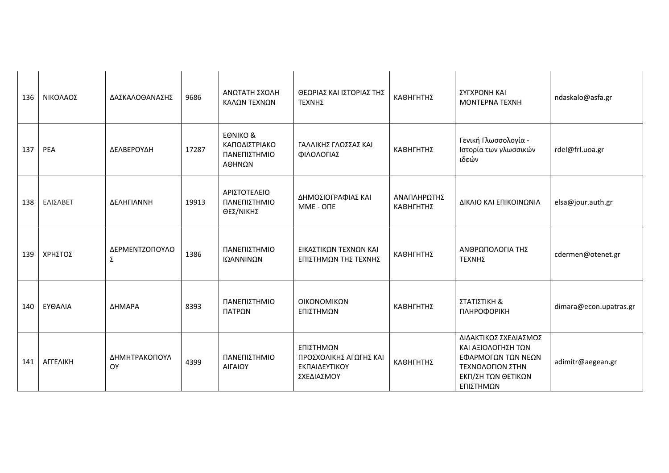| 136 | ΝΙΚΟΛΑΟΣ | ΔΑΣΚΑΛΟΘΑΝΑΣΗΣ      | 9686  | ΑΝΩΤΑΤΗ ΣΧΟΛΗ<br>ΚΑΛΩΝ ΤΕΧΝΩΝ                                  | ΘΕΩΡΙΑΣ ΚΑΙ ΙΣΤΟΡΙΑΣ ΤΗΣ<br><b>ΤΕΧΝΗΣ</b>                          | ΚΑΘΗΓΗΤΗΣ                | ΣΥΓΧΡΟΝΗ ΚΑΙ<br><b>MONTEPNA TEXNH</b>                                                                                    | ndaskalo@asfa.gr       |
|-----|----------|---------------------|-------|----------------------------------------------------------------|--------------------------------------------------------------------|--------------------------|--------------------------------------------------------------------------------------------------------------------------|------------------------|
| 137 | PEA      | ΔΕΛΒΕΡΟΥΔΗ          | 17287 | <b>EONIKO &amp;</b><br>ΚΑΠΟΔΙΣΤΡΙΑΚΟ<br>ΠΑΝΕΠΙΣΤΗΜΙΟ<br>ΑΘΗΝΩΝ | ΓΑΛΛΙΚΗΣ ΓΛΩΣΣΑΣ ΚΑΙ<br>ΦΙΛΟΛΟΓΙΑΣ                                 | ΚΑΘΗΓΗΤΗΣ                | Γενική Γλωσσολογία -<br>Ιστορία των γλωσσικών<br>ιδεών                                                                   | rdel@frl.uoa.gr        |
| 138 | ΕΛΙΣΑΒΕΤ | ΔΕΛΗΓΙΑΝΝΗ          | 19913 | ΑΡΙΣΤΟΤΕΛΕΙΟ<br>ΠΑΝΕΠΙΣΤΗΜΙΟ<br>ΘΕΣ/ΝΙΚΗΣ                      | ΔΗΜΟΣΙΟΓΡΑΦΙΑΣ ΚΑΙ<br>MME - ONE                                    | ΑΝΑΠΛΗΡΩΤΗΣ<br>ΚΑΘΗΓΗΤΗΣ | ΔΙΚΑΙΟ ΚΑΙ ΕΠΙΚΟΙΝΩΝΙΑ                                                                                                   | elsa@jour.auth.gr      |
| 139 | ΧΡΗΣΤΟΣ  | ΔΕΡΜΕΝΤΖΟΠΟΥΛΟ<br>Σ | 1386  | ΠΑΝΕΠΙΣΤΗΜΙΟ<br>ΙΩΑΝΝΙΝΩΝ                                      | ΕΙΚΑΣΤΙΚΩΝ ΤΕΧΝΩΝ ΚΑΙ<br>ΕΠΙΣΤΗΜΩΝ ΤΗΣ ΤΕΧΝΗΣ                      | ΚΑΘΗΓΗΤΗΣ                | ΑΝΘΡΩΠΟΛΟΓΙΑ ΤΗΣ<br>ΤΕΧΝΗΣ                                                                                               | cdermen@otenet.gr      |
| 140 | ΕΥΘΑΛΙΑ  | ΔΗΜΑΡΑ              | 8393  | ΠΑΝΕΠΙΣΤΗΜΙΟ<br>ΠΑΤΡΩΝ                                         | ΟΙΚΟΝΟΜΙΚΩΝ<br>ΕΠΙΣΤΗΜΩΝ                                           | ΚΑΘΗΓΗΤΗΣ                | ΣΤΑΤΙΣΤΙΚΗ &<br>ПЛНРОФОРІКН                                                                                              | dimara@econ.upatras.gr |
| 141 | ΑΓΓΕΛΙΚΗ | ΔΗΜΗΤΡΑΚΟΠΟΥΛ<br>OY | 4399  | ΠΑΝΕΠΙΣΤΗΜΙΟ<br>ΑΙΓΑΙΟΥ                                        | ΕΠΙΣΤΗΜΩΝ<br>ΠΡΟΣΧΟΛΙΚΗΣ ΑΓΩΓΗΣ ΚΑΙ<br>ΕΚΠΑΙΔΕΥΤΙΚΟΥ<br>ΣΧΕΔΙΑΣΜΟΥ | ΚΑΘΗΓΗΤΗΣ                | ΔΙΔΑΚΤΙΚΟΣ ΣΧΕΔΙΑΣΜΟΣ<br>ΚΑΙ ΑΞΙΟΛΟΓΗΣΗ ΤΩΝ<br>ΕΦΑΡΜΟΓΩΝ ΤΩΝ ΝΕΩΝ<br>ΤΕΧΝΟΛΟΓΙΩΝ ΣΤΗΝ<br>ΕΚΠ/ΣΗ ΤΩΝ ΘΕΤΙΚΩΝ<br>ΕΠΙΣΤΗΜΩΝ | adimitr@aegean.gr      |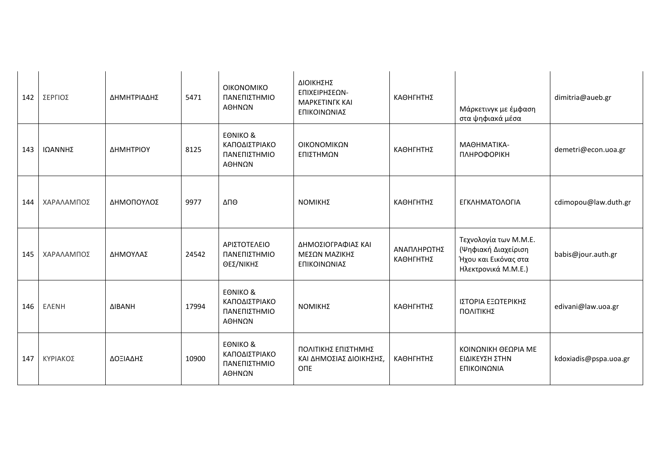| 142 | ΣΕΡΓΙΟΣ      | ΔΗΜΗΤΡΙΑΔΗΣ          | 5471  | ΟΙΚΟΝΟΜΙΚΟ<br>ΠΑΝΕΠΙΣΤΗΜΙΟ<br>ΑΘΗΝΩΝ                           | ΔΙΟΙΚΗΣΗΣ<br>ΕΠΙΧΕΙΡΗΣΕΩΝ-<br><b>MAPKETINFK KAI</b><br>ΕΠΙΚΟΙΝΩΝΙΑΣ | ΚΑΘΗΓΗΤΗΣ                | Μάρκετινγκ με έμφαση<br>στα ψηφιακά μέσα                                                    | dimitria@aueb.gr      |
|-----|--------------|----------------------|-------|----------------------------------------------------------------|---------------------------------------------------------------------|--------------------------|---------------------------------------------------------------------------------------------|-----------------------|
| 143 | ΙΩΑΝΝΗΣ      | ΔΗΜΗΤΡΙΟΥ            | 8125  | <b>EONIKO &amp;</b><br>ΚΑΠΟΔΙΣΤΡΙΑΚΟ<br>ΠΑΝΕΠΙΣΤΗΜΙΟ<br>ΑΘΗΝΩΝ | ΟΙΚΟΝΟΜΙΚΩΝ<br>ΕΠΙΣΤΗΜΩΝ                                            | ΚΑΘΗΓΗΤΗΣ                | ΜΑΘΗΜΑΤΙΚΑ-<br>ПЛНРОФОРІКН                                                                  | demetri@econ.uoa.gr   |
| 144 | ΧΑΡΑΛΑΜΠΟΣ   | ΔΗΜΟΠΟΥΛΟΣ           | 9977  | ΔΠΘ                                                            | ΝΟΜΙΚΗΣ                                                             | ΚΑΘΗΓΗΤΗΣ                | ΕΓΚΛΗΜΑΤΟΛΟΓΙΑ                                                                              | cdimopou@law.duth.gr  |
| 145 | ΧΑΡΑΛΑΜΠΟΣ   | ΔΗΜΟΥΛΑΣ             | 24542 | ΑΡΙΣΤΟΤΕΛΕΙΟ<br>ΠΑΝΕΠΙΣΤΗΜΙΟ<br>ΘΕΣ/ΝΙΚΗΣ                      | ΔΗΜΟΣΙΟΓΡΑΦΙΑΣ ΚΑΙ<br>ΜΕΣΩΝ ΜΑΖΙΚΗΣ<br>ΕΠΙΚΟΙΝΩΝΙΑΣ                 | ΑΝΑΠΛΗΡΩΤΗΣ<br>ΚΑΘΗΓΗΤΗΣ | Τεχνολογία των Μ.Μ.Ε.<br>(Ψηφιακή Διαχείριση<br>Ήχου και Εικόνας στα<br>Ηλεκτρονικά Μ.Μ.Ε.) | babis@jour.auth.gr    |
| 146 | <b>EAENH</b> | <b><i>AIBANH</i></b> | 17994 | <b>EONIKO &amp;</b><br>ΚΑΠΟΔΙΣΤΡΙΑΚΟ<br>ΠΑΝΕΠΙΣΤΗΜΙΟ<br>ΑΘΗΝΩΝ | ΝΟΜΙΚΗΣ                                                             | ΚΑΘΗΓΗΤΗΣ                | ΙΣΤΟΡΙΑ ΕΞΩΤΕΡΙΚΗΣ<br>ΠΟΛΙΤΙΚΗΣ                                                             | edivani@law.uoa.gr    |
| 147 | ΚΥΡΙΑΚΟΣ     | ΔΟΞΙΑΔΗΣ             | 10900 | <b>EONIKO &amp;</b><br>ΚΑΠΟΔΙΣΤΡΙΑΚΟ<br>ΠΑΝΕΠΙΣΤΗΜΙΟ<br>ΑΘΗΝΩΝ | ΠΟΛΙΤΙΚΗΣ ΕΠΙΣΤΗΜΗΣ<br>ΚΑΙ ΔΗΜΟΣΙΑΣ ΔΙΟΙΚΗΣΗΣ,<br><b>ONE</b>        | ΚΑΘΗΓΗΤΗΣ                | ΚΟΙΝΩΝΙΚΗ ΘΕΩΡΙΑ ΜΕ<br>ΕΙΔΙΚΕΥΣΗ ΣΤΗΝ<br>ΕΠΙΚΟΙΝΩΝΙΑ                                        | kdoxiadis@pspa.uoa.gr |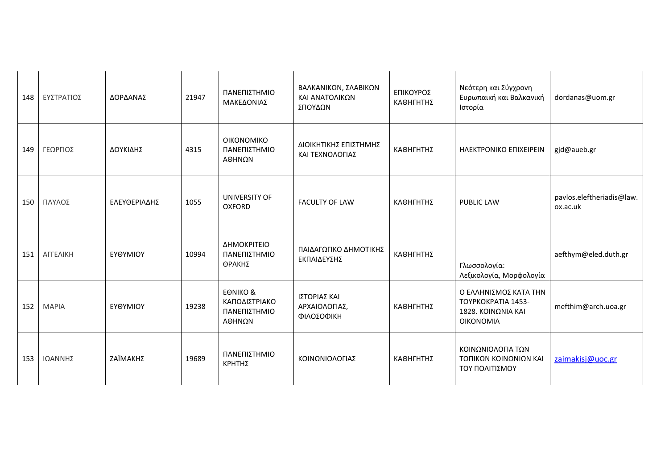| 148 | ΕΥΣΤΡΑΤΙΟΣ   | ΔΟΡΔΑΝΑΣ     | 21947 | ΠΑΝΕΠΙΣΤΗΜΙΟ<br>ΜΑΚΕΔΟΝΙΑΣ                                     | ΒΑΛΚΑΝΙΚΩΝ, ΣΛΑΒΙΚΩΝ<br>ΚΑΙ ΑΝΑΤΟΛΙΚΩΝ<br>ΣΠΟΥΔΩΝ | ΕΠΙΚΟΥΡΟΣ<br>ΚΑΘΗΓΗΤΗΣ | Νεότερη και Σύγχρονη<br>Ευρωπαική και Βαλκανική<br>Ιστορία                            | dordanas@uom.gr                       |
|-----|--------------|--------------|-------|----------------------------------------------------------------|---------------------------------------------------|------------------------|---------------------------------------------------------------------------------------|---------------------------------------|
| 149 | ΓΕΩΡΓΙΟΣ     | ΔΟΥΚΙΔΗΣ     | 4315  | ΟΙΚΟΝΟΜΙΚΟ<br>ΠΑΝΕΠΙΣΤΗΜΙΟ<br>ΑΘΗΝΩΝ                           | ΔΙΟΙΚΗΤΙΚΗΣ ΕΠΙΣΤΗΜΗΣ<br>ΚΑΙ ΤΕΧΝΟΛΟΓΙΑΣ          | ΚΑΘΗΓΗΤΗΣ              | <b>HAEKTPONIKO EΠIXEIPEIN</b>                                                         | gjd@aueb.gr                           |
| 150 | ΠΑΥΛΟΣ       | ΕΛΕΥΘΕΡΙΑΔΗΣ | 1055  | UNIVERSITY OF<br><b>OXFORD</b>                                 | <b>FACULTY OF LAW</b>                             | ΚΑΘΗΓΗΤΗΣ              | <b>PUBLIC LAW</b>                                                                     | pavlos.eleftheriadis@law.<br>ox.ac.uk |
| 151 | ΑΓΓΕΛΙΚΗ     | ΕΥΘΥΜΙΟΥ     | 10994 | ΔΗΜΟΚΡΙΤΕΙΟ<br>ΠΑΝΕΠΙΣΤΗΜΙΟ<br>ΘΡΑΚΗΣ                          | ΠΑΙΔΑΓΩΓΙΚΟ ΔΗΜΟΤΙΚΗΣ<br>ΕΚΠΑΙΔΕΥΣΗΣ              | ΚΑΘΗΓΗΤΗΣ              | Γλωσσολογία:<br>Λεξικολογία, Μορφολογία                                               | aefthym@eled.duth.gr                  |
| 152 | <b>MAPIA</b> | ΕΥΘΥΜΙΟΥ     | 19238 | <b>EONIKO &amp;</b><br>ΚΑΠΟΔΙΣΤΡΙΑΚΟ<br>ΠΑΝΕΠΙΣΤΗΜΙΟ<br>ΑΘΗΝΩΝ | ΙΣΤΟΡΙΑΣ ΚΑΙ<br>ΑΡΧΑΙΟΛΟΓΙΑΣ,<br>ΦΙΛΟΣΟΦΙΚΗ       | ΚΑΘΗΓΗΤΗΣ              | Ο ΕΛΛΗΝΙΣΜΟΣ ΚΑΤΑ ΤΗΝ<br>TOYPKOKPATIA 1453-<br>1828. ΚΟΙΝΩΝΙΑ ΚΑΙ<br><b>OIKONOMIA</b> | mefthim@arch.uoa.gr                   |
| 153 | ΙΩΑΝΝΗΣ      | ΖΑΪΜΑΚΗΣ     | 19689 | ΠΑΝΕΠΙΣΤΗΜΙΟ<br>ΚΡΗΤΗΣ                                         | ΚΟΙΝΩΝΙΟΛΟΓΙΑΣ                                    | ΚΑΘΗΓΗΤΗΣ              | ΚΟΙΝΩΝΙΟΛΟΓΙΑ ΤΩΝ<br>ΤΟΠΙΚΩΝ ΚΟΙΝΩΝΙΩΝ ΚΑΙ<br>ΤΟΥ ΠΟΛΙΤΙΣΜΟΥ                          | zaimakisj@uoc.gr                      |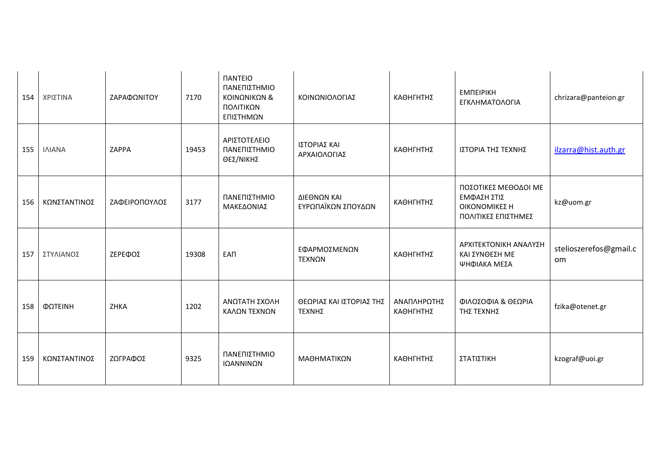| 154 | ΧΡΙΣΤΙΝΑ      | ΖΑΡΑΦΩΝΙΤΟΥ   | 7170  | <b><i><u>IANTEIO</u></i></b><br>ΠΑΝΕΠΙΣΤΗΜΙΟ<br>ΚΟΙΝΩΝΙΚΩΝ &<br>ΠΟΛΙΤΙΚΩΝ<br>ΕΠΙΣΤΗΜΩΝ | ΚΟΙΝΩΝΙΟΛΟΓΙΑΣ                     | ΚΑΘΗΓΗΤΗΣ                | <b>EMNEIPIKH</b><br>ΕΓΚΛΗΜΑΤΟΛΟΓΙΑ                                          | chrizara@panteion.gr         |
|-----|---------------|---------------|-------|----------------------------------------------------------------------------------------|------------------------------------|--------------------------|-----------------------------------------------------------------------------|------------------------------|
| 155 | <b>INIANA</b> | ZAPPA         | 19453 | ΑΡΙΣΤΟΤΕΛΕΙΟ<br>ΠΑΝΕΠΙΣΤΗΜΙΟ<br>ΘΕΣ/ΝΙΚΗΣ                                              | ΙΣΤΟΡΙΑΣ ΚΑΙ<br>ΑΡΧΑΙΟΛΟΓΙΑΣ       | ΚΑΘΗΓΗΤΗΣ                | ΙΣΤΟΡΙΑ ΤΗΣ ΤΕΧΝΗΣ                                                          | ilzarra@hist.auth.gr         |
| 156 | ΚΩΝΣΤΑΝΤΙΝΟΣ  | ΖΑΦΕΙΡΟΠΟΥΛΟΣ | 3177  | ΠΑΝΕΠΙΣΤΗΜΙΟ<br>ΜΑΚΕΔΟΝΙΑΣ                                                             | ΔΙΕΘΝΩΝ ΚΑΙ<br>ΕΥΡΩΠΑΪΚΩΝ ΣΠΟΥΔΩΝ  | ΚΑΘΗΓΗΤΗΣ                | ΠΟΣΟΤΙΚΕΣ ΜΕΘΟΔΟΙ ΜΕ<br>ΕΜΦΑΣΗ ΣΤΙΣ<br>ΟΙΚΟΝΟΜΙΚΕΣ Η<br>ΠΟΛΙΤΙΚΕΣ ΕΠΙΣΤΗΜΕΣ | kz@uom.gr                    |
| 157 | ΣΤΥΛΙΑΝΟΣ     | ΖΕΡΕΦΟΣ       | 19308 | <b>EAN</b>                                                                             | ΕΦΑΡΜΟΣΜΕΝΩΝ<br>ΤΕΧΝΩΝ             | ΚΑΘΗΓΗΤΗΣ                | ΑΡΧΙΤΕΚΤΟΝΙΚΗ ΑΝΑΛΥΣΗ<br>ΚΑΙ ΣΥΝΘΕΣΗ ΜΕ<br>ΨΗΦΙΑΚΑ ΜΕΣΑ                     | stelioszerefos@gmail.c<br>om |
| 158 | ΦΩΤΕΙΝΗ       | ZHKA          | 1202  | ΑΝΩΤΑΤΗ ΣΧΟΛΗ<br>ΚΑΛΩΝ ΤΕΧΝΩΝ                                                          | ΘΕΩΡΙΑΣ ΚΑΙ ΙΣΤΟΡΙΑΣ ΤΗΣ<br>TEXNHΣ | ΑΝΑΠΛΗΡΩΤΗΣ<br>ΚΑΘΗΓΗΤΗΣ | ΦΙΛΟΣΟΦΙΑ & ΘΕΩΡΙΑ<br>ΤΗΣ ΤΕΧΝΗΣ                                            | fzika@otenet.gr              |
| 159 | ΚΩΝΣΤΑΝΤΙΝΟΣ  | ΖΩΓΡΑΦΟΣ      | 9325  | ΠΑΝΕΠΙΣΤΗΜΙΟ<br>ΙΩΑΝΝΙΝΩΝ                                                              | ΜΑΘΗΜΑΤΙΚΩΝ                        | ΚΑΘΗΓΗΤΗΣ                | ΣΤΑΤΙΣΤΙΚΗ                                                                  | kzograf@uoi.gr               |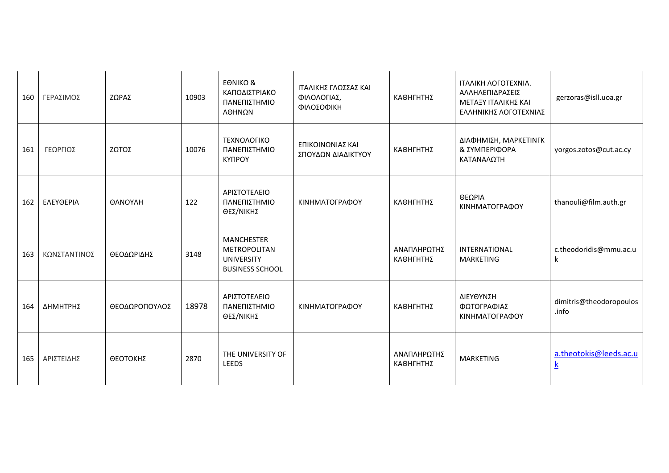| 160 | ΓΕΡΑΣΙΜΟΣ    | ΖΩΡΑΣ         | 10903 | <b>EONIKO &amp;</b><br>ΚΑΠΟΔΙΣΤΡΙΑΚΟ<br>ΠΑΝΕΠΙΣΤΗΜΙΟ<br>ΑΘΗΝΩΝ                   | ΙΤΑΛΙΚΗΣ ΓΛΩΣΣΑΣ ΚΑΙ<br>ΦΙΛΟΛΟΓΙΑΣ,<br>ΦΙΛΟΣΟΦΙΚΗ | ΚΑΘΗΓΗΤΗΣ                | ITAAIKH AOFOTEXNIA.<br>ΑΛΛΗΛΕΠΙΔΡΑΣΕΙΣ<br>ΜΕΤΑΞΥ ΙΤΑΛΙΚΗΣ ΚΑΙ<br>ΕΛΛΗΝΙΚΗΣ ΛΟΓΟΤΕΧΝΙΑΣ | gerzoras@isll.uoa.gr                      |
|-----|--------------|---------------|-------|----------------------------------------------------------------------------------|---------------------------------------------------|--------------------------|----------------------------------------------------------------------------------------|-------------------------------------------|
| 161 | ΓΕΩΡΓΙΟΣ     | ΖΩΤΟΣ         | 10076 | ΤΕΧΝΟΛΟΓΙΚΟ<br>ΠΑΝΕΠΙΣΤΗΜΙΟ<br><b>KYNPOY</b>                                     | ΕΠΙΚΟΙΝΩΝΙΑΣ ΚΑΙ<br>ΣΠΟΥΔΩΝ ΔΙΑΔΙΚΤΥΟΥ            | ΚΑΘΗΓΗΤΗΣ                | ΔΙΑΦΗΜΙΣΗ, ΜΑΡΚΕΤΙΝΓΚ<br>& ΣΥΜΠΕΡΙΦΟΡΑ<br>ΚΑΤΑΝΑΛΩΤΗ                                   | yorgos.zotos@cut.ac.cy                    |
| 162 | ΕΛΕΥΘΕΡΙΑ    | ΘΑΝΟΥΛΗ       | 122   | ΑΡΙΣΤΟΤΕΛΕΙΟ<br>ΠΑΝΕΠΙΣΤΗΜΙΟ<br>ΘΕΣ/ΝΙΚΗΣ                                        | ΚΙΝΗΜΑΤΟΓΡΑΦΟΥ                                    | ΚΑΘΗΓΗΤΗΣ                | ΘΕΩΡΙΑ<br>ΚΙΝΗΜΑΤΟΓΡΑΦΟΥ                                                               | thanouli@film.auth.gr                     |
| 163 | ΚΩΝΣΤΑΝΤΙΝΟΣ | ΘΕΟΔΩΡΙΔΗΣ    | 3148  | <b>MANCHESTER</b><br>METROPOLITAN<br><b>UNIVERSITY</b><br><b>BUSINESS SCHOOL</b> |                                                   | ΑΝΑΠΛΗΡΩΤΗΣ<br>ΚΑΘΗΓΗΤΗΣ | INTERNATIONAL<br><b>MARKETING</b>                                                      | c.theodoridis@mmu.ac.u<br>k               |
| 164 | ΔΗΜΗΤΡΗΣ     | ΘΕΟΔΩΡΟΠΟΥΛΟΣ | 18978 | ΑΡΙΣΤΟΤΕΛΕΙΟ<br>ΠΑΝΕΠΙΣΤΗΜΙΟ<br>ΘΕΣ/ΝΙΚΗΣ                                        | ΚΙΝΗΜΑΤΟΓΡΑΦΟΥ                                    | ΚΑΘΗΓΗΤΗΣ                | ΔΙΕΥΘΥΝΣΗ<br>ΦΩΤΟΓΡΑΦΙΑΣ<br>ΚΙΝΗΜΑΤΟΓΡΑΦΟΥ                                             | dimitris@theodoropoulos<br>.info          |
| 165 | ΑΡΙΣΤΕΙΔΗΣ   | ΘΕΟΤΟΚΗΣ      | 2870  | THE UNIVERSITY OF<br><b>LEEDS</b>                                                |                                                   | ΑΝΑΠΛΗΡΩΤΗΣ<br>ΚΑΘΗΓΗΤΗΣ | <b>MARKETING</b>                                                                       | a.theotokis@leeds.ac.u<br>$\underline{k}$ |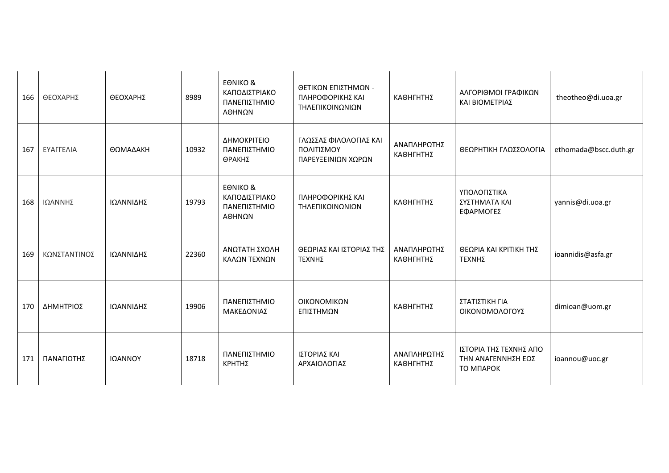| 166 | ΘΕΟΧΑΡΗΣ     | ΘΕΟΧΑΡΗΣ  | 8989  | <b>EONIKO &amp;</b><br>ΚΑΠΟΔΙΣΤΡΙΑΚΟ<br>ΠΑΝΕΠΙΣΤΗΜΙΟ<br>ΑΘΗΝΩΝ | ΘΕΤΙΚΩΝ ΕΠΙΣΤΗΜΩΝ -<br>ΠΛΗΡΟΦΟΡΙΚΗΣ ΚΑΙ<br>ΤΗΛΕΠΙΚΟΙΝΩΝΙΩΝ | ΚΑΘΗΓΗΤΗΣ                | ΑΛΓΟΡΙΘΜΟΙ ΓΡΑΦΙΚΩΝ<br>ΚΑΙ ΒΙΟΜΕΤΡΙΑΣ                     | theotheo@di.uoa.gr    |
|-----|--------------|-----------|-------|----------------------------------------------------------------|------------------------------------------------------------|--------------------------|-----------------------------------------------------------|-----------------------|
| 167 | ΕΥΑΓΓΕΛΙΑ    | ΘΩΜΑΔΑΚΗ  | 10932 | ΔΗΜΟΚΡΙΤΕΙΟ<br>ΠΑΝΕΠΙΣΤΗΜΙΟ<br>ΘΡΑΚΗΣ                          | ΓΛΩΣΣΑΣ ΦΙΛΟΛΟΓΙΑΣ ΚΑΙ<br>ΠΟΛΙΤΙΣΜΟΥ<br>ΠΑΡΕΥΞΕΙΝΙΩΝ ΧΩΡΩΝ | ΑΝΑΠΛΗΡΩΤΗΣ<br>ΚΑΘΗΓΗΤΗΣ | ΘΕΩΡΗΤΙΚΗ ΓΛΩΣΣΟΛΟΓΙΑ                                     | ethomada@bscc.duth.gr |
| 168 | ΙΩΑΝΝΗΣ      | ΙΩΑΝΝΙΔΗΣ | 19793 | <b>EONIKO &amp;</b><br>ΚΑΠΟΔΙΣΤΡΙΑΚΟ<br>ΠΑΝΕΠΙΣΤΗΜΙΟ<br>ΑΘΗΝΩΝ | ΠΛΗΡΟΦΟΡΙΚΗΣ ΚΑΙ<br>ΤΗΛΕΠΙΚΟΙΝΩΝΙΩΝ                        | ΚΑΘΗΓΗΤΗΣ                | ΥΠΟΛΟΓΙΣΤΙΚΑ<br>ΣΥΣΤΗΜΑΤΑ ΚΑΙ<br>ΕΦΑΡΜΟΓΕΣ                | yannis@di.uoa.gr      |
| 169 | ΚΩΝΣΤΑΝΤΙΝΟΣ | ΙΩΑΝΝΙΔΗΣ | 22360 | ΑΝΩΤΑΤΗ ΣΧΟΛΗ<br>ΚΑΛΩΝ ΤΕΧΝΩΝ                                  | ΘΕΩΡΙΑΣ ΚΑΙ ΙΣΤΟΡΙΑΣ ΤΗΣ<br>ΤΕΧΝΗΣ                         | ΑΝΑΠΛΗΡΩΤΗΣ<br>ΚΑΘΗΓΗΤΗΣ | ΘΕΩΡΙΑ ΚΑΙ ΚΡΙΤΙΚΗ ΤΗΣ<br>ΤΕΧΝΗΣ                          | ioannidis@asfa.gr     |
| 170 | ΔΗΜΗΤΡΙΟΣ    | ΙΩΑΝΝΙΔΗΣ | 19906 | ΠΑΝΕΠΙΣΤΗΜΙΟ<br>ΜΑΚΕΔΟΝΙΑΣ                                     | ΟΙΚΟΝΟΜΙΚΩΝ<br>ΕΠΙΣΤΗΜΩΝ                                   | ΚΑΘΗΓΗΤΗΣ                | ΣΤΑΤΙΣΤΙΚΗ ΓΙΑ<br>ΟΙΚΟΝΟΜΟΛΟΓΟΥΣ                          | dimioan@uom.gr        |
| 171 | ΠΑΝΑΓΙΩΤΗΣ   | ΙΩΑΝΝΟΥ   | 18718 | ΠΑΝΕΠΙΣΤΗΜΙΟ<br>ΚΡΗΤΗΣ                                         | ΙΣΤΟΡΙΑΣ ΚΑΙ<br>ΑΡΧΑΙΟΛΟΓΙΑΣ                               | ΑΝΑΠΛΗΡΩΤΗΣ<br>ΚΑΘΗΓΗΤΗΣ | ΙΣΤΟΡΙΑ ΤΗΣ ΤΕΧΝΗΣ ΑΠΟ<br>ΤΗΝ ΑΝΑΓΕΝΝΗΣΗ ΕΩΣ<br>ТО МПАРОК | ioannou@uoc.gr        |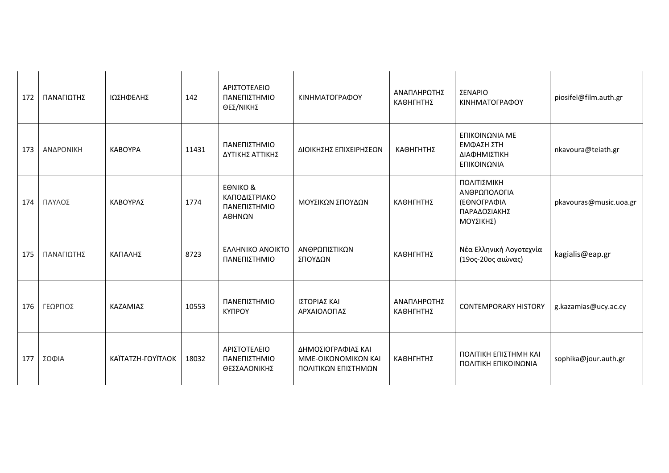| 172 | ΠΑΝΑΓΙΩΤΗΣ | ΙΩΣΗΦΕΛΗΣ         | 142   | ΑΡΙΣΤΟΤΕΛΕΙΟ<br>ΠΑΝΕΠΙΣΤΗΜΙΟ<br>ΘΕΣ/ΝΙΚΗΣ                      | ΚΙΝΗΜΑΤΟΓΡΑΦΟΥ                                                   | ΑΝΑΠΛΗΡΩΤΗΣ<br>ΚΑΘΗΓΗΤΗΣ | ΣΕΝΑΡΙΟ<br>ΚΙΝΗΜΑΤΟΓΡΑΦΟΥ                                               | piosifel@film.auth.gr  |
|-----|------------|-------------------|-------|----------------------------------------------------------------|------------------------------------------------------------------|--------------------------|-------------------------------------------------------------------------|------------------------|
| 173 | ΑΝΔΡΟΝΙΚΗ  | <b>KABOYPA</b>    | 11431 | ΠΑΝΕΠΙΣΤΗΜΙΟ<br>ΔΥΤΙΚΗΣ ΑΤΤΙΚΗΣ                                | ΔΙΟΙΚΗΣΗΣ ΕΠΙΧΕΙΡΗΣΕΩΝ                                           | ΚΑΘΗΓΗΤΗΣ                | ΕΠΙΚΟΙΝΩΝΙΑ ΜΕ<br>ΕΜΦΑΣΗ ΣΤΗ<br>ΔΙΑΦΗΜΙΣΤΙΚΗ<br>ΕΠΙΚΟΙΝΩΝΙΑ             | nkavoura@teiath.gr     |
| 174 | ΠΑΥΛΟΣ     | ΚΑΒΟΥΡΑΣ          | 1774  | <b>EONIKO &amp;</b><br>ΚΑΠΟΔΙΣΤΡΙΑΚΟ<br>ΠΑΝΕΠΙΣΤΗΜΙΟ<br>ΑΘΗΝΩΝ | ΜΟΥΣΙΚΩΝ ΣΠΟΥΔΩΝ                                                 | ΚΑΘΗΓΗΤΗΣ                | ΠΟΛΙΤΙΣΜΙΚΗ<br>ΑΝΘΡΩΠΟΛΟΓΙΑ<br>(ΕΘΝΟΓΡΑΦΙΑ<br>ΠΑΡΑΔΟΣΙΑΚΗΣ<br>ΜΟΥΣΙΚΗΣ) | pkavouras@music.uoa.gr |
| 175 | ΠΑΝΑΓΙΩΤΗΣ | ΚΑΓΙΑΛΗΣ          | 8723  | <b>EAAHNIKO ANOIKTO</b><br>ΠΑΝΕΠΙΣΤΗΜΙΟ                        | ΑΝΘΡΩΠΙΣΤΙΚΩΝ<br>ΣΠΟΥΔΩΝ                                         | ΚΑΘΗΓΗΤΗΣ                | Νέα Ελληνική Λογοτεχνία<br>(19ος-20ος αιώνας)                           | kagialis@eap.gr        |
| 176 | ΓΕΩΡΓΙΟΣ   | ΚΑΖΑΜΙΑΣ          | 10553 | ΠΑΝΕΠΙΣΤΗΜΙΟ<br><b>КҮПРОҮ</b>                                  | ΙΣΤΟΡΙΑΣ ΚΑΙ<br>ΑΡΧΑΙΟΛΟΓΙΑΣ                                     | ΑΝΑΠΛΗΡΩΤΗΣ<br>ΚΑΘΗΓΗΤΗΣ | <b>CONTEMPORARY HISTORY</b>                                             | g.kazamias@ucy.ac.cy   |
| 177 | ΣΟΦΙΑ      | ΚΑΪΤΑΤΖΗ-ΓΟΥΪΤΛΟΚ | 18032 | ΑΡΙΣΤΟΤΕΛΕΙΟ<br>ΠΑΝΕΠΙΣΤΗΜΙΟ<br>ΘΕΣΣΑΛΟΝΙΚΗΣ                   | ΔΗΜΟΣΙΟΓΡΑΦΙΑΣ ΚΑΙ<br>ΜΜΕ-ΟΙΚΟΝΟΜΙΚΩΝ ΚΑΙ<br>ΠΟΛΙΤΙΚΩΝ ΕΠΙΣΤΗΜΩΝ | ΚΑΘΗΓΗΤΗΣ                | ΠΟΛΙΤΙΚΗ ΕΠΙΣΤΗΜΗ ΚΑΙ<br>ΠΟΛΙΤΙΚΗ ΕΠΙΚΟΙΝΩΝΙΑ                           | sophika@jour.auth.gr   |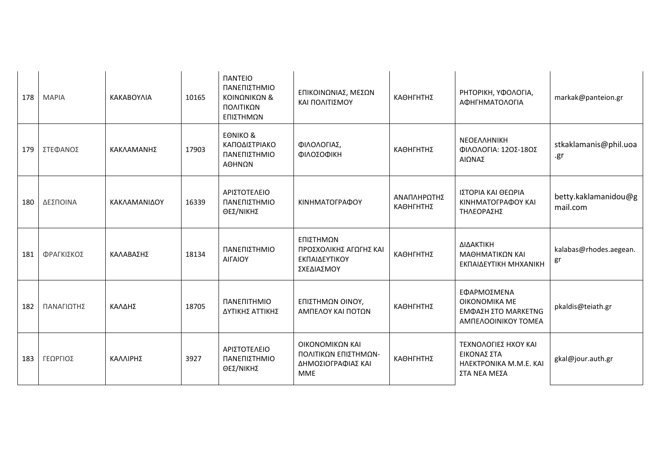| 178 | <b>MAPIA</b> | KAKABOYAIA   | 10165 | <b><i><u>IANTEIO</u></i></b><br>ΠΑΝΕΠΙΣΤΗΜΙΟ<br>ΚΟΙΝΩΝΙΚΩΝ &<br>ΠΟΛΙΤΙΚΩΝ<br>ΕΠΙΣΤΗΜΩΝ | ΕΠΙΚΟΙΝΩΝΙΑΣ, ΜΕΣΩΝ<br>ΚΑΙ ΠΟΛΙΤΙΣΜΟΥ                                       | ΚΑΘΗΓΗΤΗΣ                | ΡΗΤΟΡΙΚΗ, ΥΦΟΛΟΓΙΑ,<br>ΑΦΗΓΗΜΑΤΟΛΟΓΙΑ                                             | markak@panteion.gr               |
|-----|--------------|--------------|-------|----------------------------------------------------------------------------------------|-----------------------------------------------------------------------------|--------------------------|-----------------------------------------------------------------------------------|----------------------------------|
| 179 | ΣΤΕΦΑΝΟΣ     | ΚΑΚΛΑΜΑΝΗΣ   | 17903 | <b>EONIKO &amp;</b><br>ΚΑΠΟΔΙΣΤΡΙΑΚΟ<br>ΠΑΝΕΠΙΣΤΗΜΙΟ<br>ΑΘΗΝΩΝ                         | ΦΙΛΟΛΟΓΙΑΣ,<br>ΦΙΛΟΣΟΦΙΚΗ                                                   | ΚΑΘΗΓΗΤΗΣ                | <b>NEOEAAHNIKH</b><br>ΦΙΛΟΛΟΓΙΑ: 12ΟΣ-18ΟΣ<br>ΑΙΩΝΑΣ                              | stkaklamanis@phil.uoa<br>.gr     |
| 180 | ΔΕΣΠΟΙΝΑ     | ΚΑΚΛΑΜΑΝΙΔΟΥ | 16339 | ΑΡΙΣΤΟΤΕΛΕΙΟ<br>ΠΑΝΕΠΙΣΤΗΜΙΟ<br>ΘΕΣ/ΝΙΚΗΣ                                              | ΚΙΝΗΜΑΤΟΓΡΑΦΟΥ                                                              | ΑΝΑΠΛΗΡΩΤΗΣ<br>ΚΑΘΗΓΗΤΗΣ | ΙΣΤΟΡΙΑ ΚΑΙ ΘΕΩΡΙΑ<br>ΚΙΝΗΜΑΤΟΓΡΑΦΟΥ ΚΑΙ<br>ΤΗΛΕΟΡΑΣΗΣ                            | betty.kaklamanidou@g<br>mail.com |
| 181 | ΦΡΑΓΚΙΣΚΟΣ   | ΚΑΛΑΒΑΣΗΣ    | 18134 | ΠΑΝΕΠΙΣΤΗΜΙΟ<br><b>AIFAIOY</b>                                                         | ΕΠΙΣΤΗΜΩΝ<br>ΠΡΟΣΧΟΛΙΚΗΣ ΑΓΩΓΗΣ ΚΑΙ<br>ΕΚΠΑΙΔΕΥΤΙΚΟΥ<br>ΣΧΕΔΙΑΣΜΟΥ          | ΚΑΘΗΓΗΤΗΣ                | ΔΙΔΑΚΤΙΚΗ<br>ΜΑΘΗΜΑΤΙΚΩΝ ΚΑΙ<br>ΕΚΠΑΙΔΕΥΤΙΚΗ ΜΗΧΑΝΙΚΗ                             | kalabas@rhodes.aegean.<br>gr     |
| 182 | ΠΑΝΑΓΙΩΤΗΣ   | ΚΑΛΔΗΣ       | 18705 | ΠΑΝΕΠΙΤΗΜΙΟ<br>ΔΥΤΙΚΗΣ ΑΤΤΙΚΗΣ                                                         | ΕΠΙΣΤΗΜΩΝ ΟΙΝΟΥ,<br>ΑΜΠΕΛΟΥ ΚΑΙ ΠΟΤΩΝ                                       | ΚΑΘΗΓΗΤΗΣ                | ΕΦΑΡΜΟΣΜΕΝΑ<br>OIKONOMIKA ME<br><b>ΕΜΦΑΣΗ ΣΤΟ ΜΑRΚΕΤΝG</b><br>ΑΜΠΕΛΟΟΙΝΙΚΟΥ ΤΟΜΕΑ | pkaldis@teiath.gr                |
| 183 | ΓΕΩΡΓΙΟΣ     | ΚΑΛΛΙΡΗΣ     | 3927  | ΑΡΙΣΤΟΤΕΛΕΙΟ<br>ΠΑΝΕΠΙΣΤΗΜΙΟ<br>ΘΕΣ/ΝΙΚΗΣ                                              | ΟΙΚΟΝΟΜΙΚΩΝ ΚΑΙ<br>ΠΟΛΙΤΙΚΩΝ ΕΠΙΣΤΗΜΩΝ-<br>ΔΗΜΟΣΙΟΓΡΑΦΙΑΣ ΚΑΙ<br><b>MME</b> | ΚΑΘΗΓΗΤΗΣ                | ΤΕΧΝΟΛΟΓΙΕΣ ΗΧΟΥ ΚΑΙ<br>ΕΙΚΟΝΑΣ ΣΤΑ<br>HAEKTPONIKA M.M.E. KAI<br>ΣΤΑ ΝΕΑ ΜΕΣΑ     | gkal@jour.auth.gr                |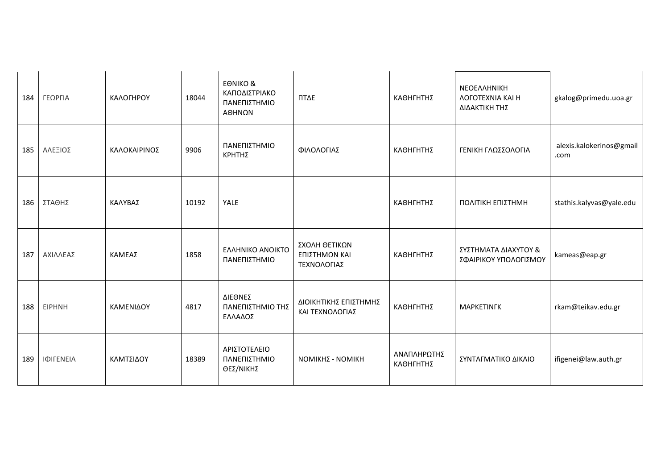| 184 | ΓΕΩΡΓΙΑ       | ΚΑΛΟΓΗΡΟΥ    | 18044 | <b>EONIKO &amp;</b><br>ΚΑΠΟΔΙΣΤΡΙΑΚΟ<br>ΠΑΝΕΠΙΣΤΗΜΙΟ<br>ΑΘΗΝΩΝ | ΠΤΔΕ                                          | ΚΑΘΗΓΗΤΗΣ                | ΝΕΟΕΛΛΗΝΙΚΗ<br><b><i>AOFOTEXNIA KAI H</i></b><br>ΔΙΔΑΚΤΙΚΗ ΤΗΣ | gkalog@primedu.uoa.gr            |
|-----|---------------|--------------|-------|----------------------------------------------------------------|-----------------------------------------------|--------------------------|----------------------------------------------------------------|----------------------------------|
| 185 | ΑΛΕΞΙΟΣ       | ΚΑΛΟΚΑΙΡΙΝΟΣ | 9906  | ΠΑΝΕΠΙΣΤΗΜΙΟ<br>ΚΡΗΤΗΣ                                         | ΦΙΛΟΛΟΓΙΑΣ                                    | ΚΑΘΗΓΗΤΗΣ                | ΓΕΝΙΚΗ ΓΛΩΣΣΟΛΟΓΙΑ                                             | alexis.kalokerinos@gmail<br>.com |
| 186 | ΣΤΑΘΗΣ        | ΚΑΛΥΒΑΣ      | 10192 | YALE                                                           |                                               | ΚΑΘΗΓΗΤΗΣ                | ΠΟΛΙΤΙΚΗ ΕΠΙΣΤΗΜΗ                                              | stathis.kalyvas@yale.edu         |
| 187 | ΑΧΙΛΛΕΑΣ      | ΚΑΜΕΑΣ       | 1858  | ΕΛΛΗΝΙΚΟ ΑΝΟΙΚΤΟ<br>ΠΑΝΕΠΙΣΤΗΜΙΟ                               | ΣΧΟΛΗ ΘΕΤΙΚΩΝ<br>ΕΠΙΣΤΗΜΩΝ ΚΑΙ<br>ΤΕΧΝΟΛΟΓΙΑΣ | ΚΑΘΗΓΗΤΗΣ                | ΣΥΣΤΗΜΑΤΑ ΔΙΑΧΥΤΟΥ &<br>ΣΦΑΙΡΙΚΟΥ ΥΠΟΛΟΓΙΣΜΟΥ                  | kameas@eap.gr                    |
| 188 | <b>EIPHNH</b> | ΚΑΜΕΝΙΔΟΥ    | 4817  | ΔΙΕΘΝΕΣ<br>ΠΑΝΕΠΙΣΤΗΜΙΟ ΤΗΣ<br>ΕΛΛΑΔΟΣ                         | ΔΙΟΙΚΗΤΙΚΗΣ ΕΠΙΣΤΗΜΗΣ<br>ΚΑΙ ΤΕΧΝΟΛΟΓΙΑΣ      | ΚΑΘΗΓΗΤΗΣ                | <b>MAPKETINFK</b>                                              | rkam@teikav.edu.gr               |
| 189 | ΙΦΙΓΕΝΕΙΑ     | ΚΑΜΤΣΙΔΟΥ    | 18389 | ΑΡΙΣΤΟΤΕΛΕΙΟ<br>ΠΑΝΕΠΙΣΤΗΜΙΟ<br>ΘΕΣ/ΝΙΚΗΣ                      | <b>ΝΟΜΙΚΗΣ - ΝΟΜΙΚΗ</b>                       | ΑΝΑΠΛΗΡΩΤΗΣ<br>ΚΑΘΗΓΗΤΗΣ | ΣΥΝΤΑΓΜΑΤΙΚΟ ΔΙΚΑΙΟ                                            | ifigenei@law.auth.gr             |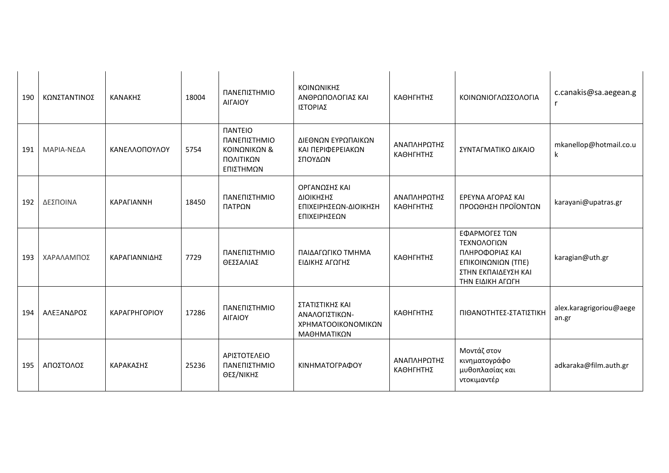| 190 | ΚΩΝΣΤΑΝΤΙΝΟΣ | ΚΑΝΑΚΗΣ       | 18004 | ΠΑΝΕΠΙΣΤΗΜΙΟ<br>ΑΙΓΑΙΟΥ                                                                | ΚΟΙΝΩΝΙΚΗΣ<br>ΑΝΘΡΩΠΟΛΟΓΙΑΣ ΚΑΙ<br>ΙΣΤΟΡΙΑΣ                            | ΚΑΘΗΓΗΤΗΣ                | ΚΟΙΝΩΝΙΟΓΛΩΣΣΟΛΟΓΙΑ                                                                                              | c.canakis@sa.aegean.g            |
|-----|--------------|---------------|-------|----------------------------------------------------------------------------------------|------------------------------------------------------------------------|--------------------------|------------------------------------------------------------------------------------------------------------------|----------------------------------|
| 191 | ΜΑΡΙΑ-ΝΕΔΑ   | ΚΑΝΕΛΛΟΠΟΥΛΟΥ | 5754  | <b><i><u>IANTEIO</u></i></b><br>ΠΑΝΕΠΙΣΤΗΜΙΟ<br>ΚΟΙΝΩΝΙΚΩΝ &<br>ΠΟΛΙΤΙΚΩΝ<br>ΕΠΙΣΤΗΜΩΝ | ΔΙΕΘΝΩΝ ΕΥΡΩΠΑΙΚΩΝ<br>ΚΑΙ ΠΕΡΙΦΕΡΕΙΑΚΩΝ<br>ΣΠΟΥΔΩΝ                     | ΑΝΑΠΛΗΡΩΤΗΣ<br>ΚΑΘΗΓΗΤΗΣ | ΣΥΝΤΑΓΜΑΤΙΚΟ ΔΙΚΑΙΟ                                                                                              | mkanellop@hotmail.co.u<br>k      |
| 192 | ΔΕΣΠΟΙΝΑ     | ΚΑΡΑΓΙΑΝΝΗ    | 18450 | ΠΑΝΕΠΙΣΤΗΜΙΟ<br>ΠΑΤΡΩΝ                                                                 | ΟΡΓΑΝΩΣΗΣ ΚΑΙ<br>ΔΙΟΙΚΗΣΗΣ<br>ΕΠΙΧΕΙΡΗΣΕΩΝ-ΔΙΟΙΚΗΣΗ<br>ΕΠΙΧΕΙΡΗΣΕΩΝ    | ΑΝΑΠΛΗΡΩΤΗΣ<br>ΚΑΘΗΓΗΤΗΣ | ΕΡΕΥΝΑ ΑΓΟΡΑΣ ΚΑΙ<br>ΠΡΟΩΘΗΣΗ ΠΡΟΪΟΝΤΩΝ                                                                          | karayani@upatras.gr              |
| 193 | ΧΑΡΑΛΑΜΠΟΣ   | ΚΑΡΑΓΙΑΝΝΙΔΗΣ | 7729  | ΠΑΝΕΠΙΣΤΗΜΙΟ<br>ΘΕΣΣΑΛΙΑΣ                                                              | ΠΑΙΔΑΓΩΓΙΚΟ ΤΜΗΜΑ<br>ΕΙΔΙΚΗΣ ΑΓΩΓΗΣ                                    | ΚΑΘΗΓΗΤΗΣ                | ΕΦΑΡΜΟΓΕΣ ΤΩΝ<br>ΤΕΧΝΟΛΟΓΙΩΝ<br>ΠΛΗΡΟΦΟΡΙΑΣ ΚΑΙ<br>ΕΠΙΚΟΙΝΩΝΙΩΝ (ΤΠΕ)<br>ΣΤΗΝ ΕΚΠΑΙΔΕΥΣΗ ΚΑΙ<br>ΤΗΝ ΕΙΔΙΚΗ ΑΓΩΓΗ | karagian@uth.gr                  |
| 194 | ΑΛΕΞΑΝΔΡΟΣ   | ΚΑΡΑΓΡΗΓΟΡΙΟΥ | 17286 | ΠΑΝΕΠΙΣΤΗΜΙΟ<br>ΑΙΓΑΙΟΥ                                                                | ΣΤΑΤΙΣΤΙΚΗΣ ΚΑΙ<br>ΑΝΑΛΟΓΙΣΤΙΚΩΝ-<br>ΧΡΗΜΑΤΟΟΙΚΟΝΟΜΙΚΩΝ<br>ΜΑΘΗΜΑΤΙΚΩΝ | ΚΑΘΗΓΗΤΗΣ                | ΠΙΘΑΝΟΤΗΤΕΣ-ΣΤΑΤΙΣΤΙΚΗ                                                                                           | alex.karagrigoriou@aege<br>an.gr |
| 195 | ΑΠΟΣΤΟΛΟΣ    | ΚΑΡΑΚΑΣΗΣ     | 25236 | ΑΡΙΣΤΟΤΕΛΕΙΟ<br>ΠΑΝΕΠΙΣΤΗΜΙΟ<br>ΘΕΣ/ΝΙΚΗΣ                                              | ΚΙΝΗΜΑΤΟΓΡΑΦΟΥ                                                         | ΑΝΑΠΛΗΡΩΤΗΣ<br>ΚΑΘΗΓΗΤΗΣ | Μοντάζ στον<br>κινηματογράφο<br>μυθοπλασίας και<br>ντοκιμαντέρ                                                   | adkaraka@film.auth.gr            |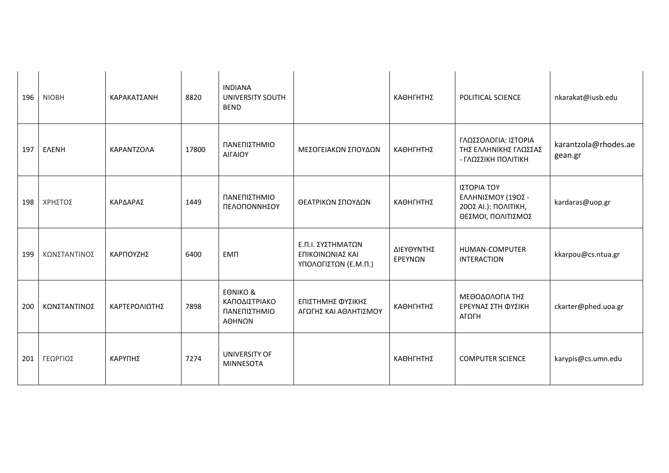| 196 | <b>NIOBH</b> | ΚΑΡΑΚΑΤΣΑΝΗ   | 8820  | <b>INDIANA</b><br><b>UNIVERSITY SOUTH</b><br><b>BEND</b>       |                                                               | ΚΑΘΗΓΗΤΗΣ                    | POLITICAL SCIENCE                                                               | nkarakat@iusb.edu               |
|-----|--------------|---------------|-------|----------------------------------------------------------------|---------------------------------------------------------------|------------------------------|---------------------------------------------------------------------------------|---------------------------------|
| 197 | <b>ENENH</b> | KAPANTZOAA    | 17800 | ΠΑΝΕΠΙΣΤΗΜΙΟ<br>ΑΙΓΑΙΟΥ                                        | ΜΕΣΟΓΕΙΑΚΩΝ ΣΠΟΥΔΩΝ                                           | ΚΑΘΗΓΗΤΗΣ                    | ΓΛΩΣΣΟΛΟΓΙΑ: ΙΣΤΟΡΙΑ<br>ΤΗΣ ΕΛΛΗΝΙΚΗΣ ΓΛΩΣΣΑΣ<br>- ΓΛΩΣΣΙΚΗ ΠΟΛΙΤΙΚΗ            | karantzola@rhodes.ae<br>gean.gr |
| 198 | ΧΡΗΣΤΟΣ      | ΚΑΡΔΑΡΑΣ      | 1449  | ΠΑΝΕΠΙΣΤΗΜΙΟ<br>ΠΕΛΟΠΟΝΝΗΣΟΥ                                   | ΘΕΑΤΡΙΚΩΝ ΣΠΟΥΔΩΝ                                             | ΚΑΘΗΓΗΤΗΣ                    | ΙΣΤΟΡΙΑ ΤΟΥ<br>ΕΛΛΗΝΙΣΜΟΥ (19ΟΣ -<br>200Σ ΑΙ.): ΠΟΛΙΤΙΚΗ,<br>ΘΕΣΜΟΙ, ΠΟΛΙΤΙΣΜΟΣ | kardaras@uop.gr                 |
| 199 | ΚΩΝΣΤΑΝΤΙΝΟΣ | ΚΑΡΠΟΥΖΗΣ     | 6400  | <b>EMN</b>                                                     | Ε.Π.Ι. ΣΥΣΤΗΜΑΤΩΝ<br>ΕΠΙΚΟΙΝΩΝΙΑΣ ΚΑΙ<br>ΥΠΟΛΟΓΙΣΤΩΝ (Ε.Μ.Π.) | ΔΙΕΥΘΥΝΤΗΣ<br><b>EPEYNON</b> | HUMAN-COMPUTER<br><b>INTERACTION</b>                                            | kkarpou@cs.ntua.gr              |
| 200 | ΚΩΝΣΤΑΝΤΙΝΟΣ | ΚΑΡΤΕΡΟΛΙΩΤΗΣ | 7898  | <b>EONIKO &amp;</b><br>ΚΑΠΟΔΙΣΤΡΙΑΚΟ<br>ΠΑΝΕΠΙΣΤΗΜΙΟ<br>ΑΘΗΝΩΝ | ΕΠΙΣΤΗΜΗΣ ΦΥΣΙΚΗΣ<br>ΑΓΩΓΗΣ ΚΑΙ ΑΘΛΗΤΙΣΜΟΥ                    | ΚΑΘΗΓΗΤΗΣ                    | ΜΕΘΟΔΟΛΟΓΙΑ ΤΗΣ<br>ΕΡΕΥΝΑΣ ΣΤΗ ΦΥΣΙΚΗ<br>ΑΓΩΓΗ                                  | ckarter@phed.uoa.gr             |
| 201 | ΓΕΩΡΓΙΟΣ     | ΚΑΡΥΠΗΣ       | 7274  | UNIVERSITY OF<br><b>MINNESOTA</b>                              |                                                               | ΚΑΘΗΓΗΤΗΣ                    | <b>COMPUTER SCIENCE</b>                                                         | karypis@cs.umn.edu              |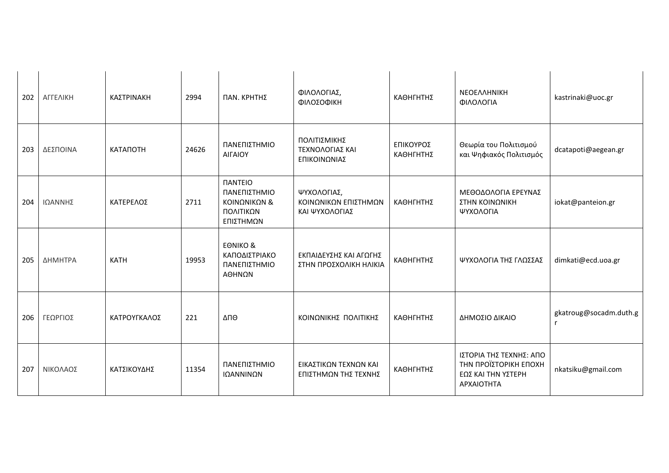| 202 | ΑΓΓΕΛΙΚΗ | ΚΑΣΤΡΙΝΑΚΗ   | 2994  | ΠΑΝ. ΚΡΗΤΗΣ                                                                            | ΦΙΛΟΛΟΓΙΑΣ,<br>ΦΙΛΟΣΟΦΙΚΗ                             | ΚΑΘΗΓΗΤΗΣ              | ΝΕΟΕΛΛΗΝΙΚΗ<br>ΦΙΛΟΛΟΓΙΑ                                                             | kastrinaki@uoc.gr      |
|-----|----------|--------------|-------|----------------------------------------------------------------------------------------|-------------------------------------------------------|------------------------|--------------------------------------------------------------------------------------|------------------------|
| 203 | ΔΕΣΠΟΙΝΑ | КАТАПОТН     | 24626 | ΠΑΝΕΠΙΣΤΗΜΙΟ<br><b>AIFAIOY</b>                                                         | ΠΟΛΙΤΙΣΜΙΚΗΣ<br>ΤΕΧΝΟΛΟΓΙΑΣ ΚΑΙ<br>ΕΠΙΚΟΙΝΩΝΙΑΣ       | ΕΠΙΚΟΥΡΟΣ<br>ΚΑΘΗΓΗΤΗΣ | Θεωρία του Πολιτισμού<br>και Ψηφιακός Πολιτισμός                                     | dcatapoti@aegean.gr    |
| 204 | ΙΩΑΝΝΗΣ  | ΚΑΤΕΡΕΛΟΣ    | 2711  | <b><i><u>IANTEIO</u></i></b><br>ΠΑΝΕΠΙΣΤΗΜΙΟ<br>ΚΟΙΝΩΝΙΚΩΝ &<br>ΠΟΛΙΤΙΚΩΝ<br>ΕΠΙΣΤΗΜΩΝ | ΨΥΧΟΛΟΓΙΑΣ,<br>ΚΟΙΝΩΝΙΚΩΝ ΕΠΙΣΤΗΜΩΝ<br>ΚΑΙ ΨΥΧΟΛΟΓΙΑΣ | ΚΑΘΗΓΗΤΗΣ              | ΜΕΘΟΔΟΛΟΓΙΑ ΕΡΕΥΝΑΣ<br>ΣΤΗΝ ΚΟΙΝΩΝΙΚΗ<br>ΨΥΧΟΛΟΓΙΑ                                   | iokat@panteion.gr      |
| 205 | ΔΗΜΗΤΡΑ  | <b>KATH</b>  | 19953 | <b>EONIKO &amp;</b><br>ΚΑΠΟΔΙΣΤΡΙΑΚΟ<br>ΠΑΝΕΠΙΣΤΗΜΙΟ<br>ΑΘΗΝΩΝ                         | ΕΚΠΑΙΔΕΥΣΗΣ ΚΑΙ ΑΓΩΓΗΣ<br>ΣΤΗΝ ΠΡΟΣΧΟΛΙΚΗ ΗΛΙΚΙΑ      | ΚΑΘΗΓΗΤΗΣ              | ΨΥΧΟΛΟΓΙΑ ΤΗΣ ΓΛΩΣΣΑΣ                                                                | dimkati@ecd.uoa.gr     |
| 206 | ΓΕΩΡΓΙΟΣ | ΚΑΤΡΟΥΓΚΑΛΟΣ | 221   | ΔΠΘ                                                                                    | ΚΟΙΝΩΝΙΚΗΣ ΠΟΛΙΤΙΚΗΣ                                  | ΚΑΘΗΓΗΤΗΣ              | ΔΗΜΟΣΙΟ ΔΙΚΑΙΟ                                                                       | gkatroug@socadm.duth.g |
| 207 | ΝΙΚΟΛΑΟΣ | ΚΑΤΣΙΚΟΥΔΗΣ  | 11354 | ΠΑΝΕΠΙΣΤΗΜΙΟ<br>ΙΩΑΝΝΙΝΩΝ                                                              | ΕΙΚΑΣΤΙΚΩΝ ΤΕΧΝΩΝ ΚΑΙ<br>ΕΠΙΣΤΗΜΩΝ ΤΗΣ ΤΕΧΝΗΣ         | ΚΑΘΗΓΗΤΗΣ              | ΙΣΤΟΡΙΑ ΤΗΣ ΤΕΧΝΗΣ: ΑΠΟ<br>ΤΗΝ ΠΡΟΪΣΤΟΡΙΚΗ ΕΠΟΧΗ<br>ΕΩΣ ΚΑΙ ΤΗΝ ΥΣΤΕΡΗ<br>APXAIOTHTA | nkatsiku@gmail.com     |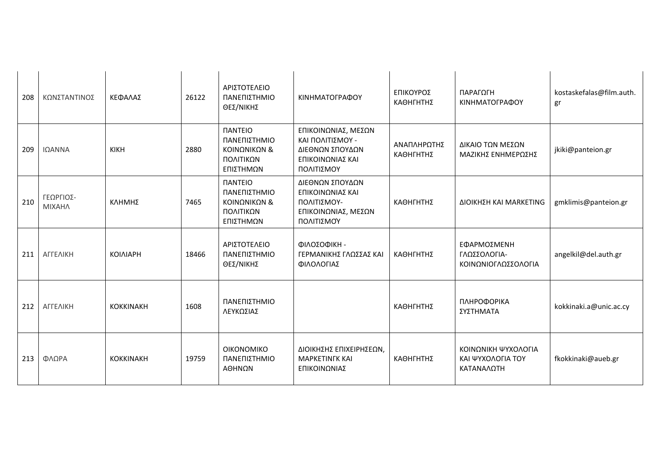| 208 | ΚΩΝΣΤΑΝΤΙΝΟΣ               | ΚΕΦΑΛΑΣ          | 26122 | ΑΡΙΣΤΟΤΕΛΕΙΟ<br>ΠΑΝΕΠΙΣΤΗΜΙΟ<br>ΘΕΣ/ΝΙΚΗΣ                                               | ΚΙΝΗΜΑΤΟΓΡΑΦΟΥ                                                                               | ΕΠΙΚΟΥΡΟΣ<br>ΚΑΘΗΓΗΤΗΣ   | ΠΑΡΑΓΩΓΗ<br>ΚΙΝΗΜΑΤΟΓΡΑΦΟΥ                             | kostaskefalas@film.auth.<br>gr |
|-----|----------------------------|------------------|-------|-----------------------------------------------------------------------------------------|----------------------------------------------------------------------------------------------|--------------------------|--------------------------------------------------------|--------------------------------|
| 209 | ΙΩΑΝΝΑ                     | <b>KIKH</b>      | 2880  | <b><i><u>IANTEIO</u></i></b><br>ΠΑΝΕΠΙΣΤΗΜΙΟ<br>ΚΟΙΝΩΝΙΚΩΝ &<br>ΠΟΛΙΤΙΚΩΝ<br>ΕΠΙΣΤΗΜΩΝ  | ΕΠΙΚΟΙΝΩΝΙΑΣ, ΜΕΣΩΝ<br>ΚΑΙ ΠΟΛΙΤΙΣΜΟΥ -<br>ΔΙΕΘΝΩΝ ΣΠΟΥΔΩΝ<br>ΕΠΙΚΟΙΝΩΝΙΑΣ ΚΑΙ<br>ΠΟΛΙΤΙΣΜΟΥ | ΑΝΑΠΛΗΡΩΤΗΣ<br>ΚΑΘΗΓΗΤΗΣ | ΔΙΚΑΙΟ ΤΩΝ ΜΕΣΩΝ<br>ΜΑΖΙΚΗΣ ΕΝΗΜΕΡΩΣΗΣ                 | jkiki@panteion.gr              |
| 210 | ΓΕΩΡΓΙΟΣ-<br><b>MIXAHA</b> | ΚΛΗΜΗΣ           | 7465  | <b><i><u>ITANTEIO</u></i></b><br>ΠΑΝΕΠΙΣΤΗΜΙΟ<br>ΚΟΙΝΩΝΙΚΩΝ &<br>ΠΟΛΙΤΙΚΩΝ<br>ΕΠΙΣΤΗΜΩΝ | ΔΙΕΘΝΩΝ ΣΠΟΥΔΩΝ<br>ΕΠΙΚΟΙΝΩΝΙΑΣ ΚΑΙ<br>ΠΟΛΙΤΙΣΜΟΥ-<br>ΕΠΙΚΟΙΝΩΝΙΑΣ, ΜΕΣΩΝ<br>ΠΟΛΙΤΙΣΜΟΎ      | ΚΑΘΗΓΗΤΗΣ                | ΔΙΟΙΚΗΣΗ ΚΑΙ ΜΑRΚΕΤΙΝG                                 | gmklimis@panteion.gr           |
| 211 | ΑΓΓΕΛΙΚΗ                   | <b>KOIAIAPH</b>  | 18466 | ΑΡΙΣΤΟΤΕΛΕΙΟ<br>ΠΑΝΕΠΙΣΤΗΜΙΟ<br>ΘΕΣ/ΝΙΚΗΣ                                               | ΦΙΛΟΣΟΦΙΚΗ -<br>ΓΕΡΜΑΝΙΚΗΣ ΓΛΩΣΣΑΣ ΚΑΙ<br>ΦΙΛΟΛΟΓΙΑΣ                                         | ΚΑΘΗΓΗΤΗΣ                | ΕΦΑΡΜΟΣΜΕΝΗ<br>ΓΛΩΣΣΟΛΟΓΙΑ-<br>ΚΟΙΝΩΝΙΟΓΛΩΣΣΟΛΟΓΙΑ     | angelkil@del.auth.gr           |
| 212 | ΑΓΓΕΛΙΚΗ                   | <b>KOKKINAKH</b> | 1608  | ΠΑΝΕΠΙΣΤΗΜΙΟ<br>ΛΕΥΚΩΣΙΑΣ                                                               |                                                                                              | ΚΑΘΗΓΗΤΗΣ                | ΠΛΗΡΟΦΟΡΙΚΑ<br>ΣΥΣΤΗΜΑΤΑ                               | kokkinaki.a@unic.ac.cy         |
| 213 | ΦΛΩΡΑ                      | <b>KOKKINAKH</b> | 19759 | OIKONOMIKO<br>ΠΑΝΕΠΙΣΤΗΜΙΟ<br>ΑΘΗΝΩΝ                                                    | ΔΙΟΙΚΗΣΗΣ ΕΠΙΧΕΙΡΗΣΕΩΝ,<br><b>MAPKETINFK KAI</b><br>ΕΠΙΚΟΙΝΩΝΙΑΣ                             | ΚΑΘΗΓΗΤΗΣ                | ΚΟΙΝΩΝΙΚΗ ΨΥΧΟΛΟΓΙΑ<br>ΚΑΙ ΨΥΧΟΛΟΓΙΑ ΤΟΥ<br>ΚΑΤΑΝΑΛΩΤΗ | fkokkinaki@aueb.gr             |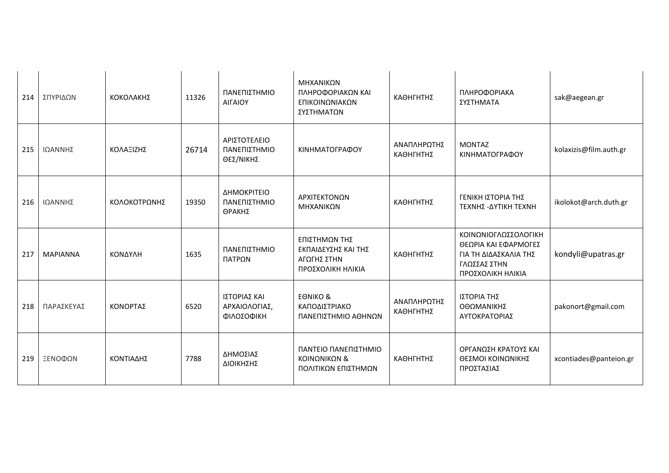| 214 | ΣΠΥΡΙΔΩΝ        | ΚΟΚΟΛΑΚΗΣ    | 11326 | ΠΑΝΕΠΙΣΤΗΜΙΟ<br>ΑΙΓΑΙΟΥ                     | ΜΗΧΑΝΙΚΩΝ<br>ΠΛΗΡΟΦΟΡΙΑΚΩΝ ΚΑΙ<br>ΕΠΙΚΟΙΝΩΝΙΑΚΩΝ<br>ΣΥΣΤΗΜΑΤΩΝ           | ΚΑΘΗΓΗΤΗΣ                | ΠΛΗΡΟΦΟΡΙΑΚΑ<br>ΣΥΣΤΗΜΑΤΑ                                                                                  | sak@aegean.gr          |
|-----|-----------------|--------------|-------|---------------------------------------------|--------------------------------------------------------------------------|--------------------------|------------------------------------------------------------------------------------------------------------|------------------------|
| 215 | ΙΩΑΝΝΗΣ         | ΚΟΛΑΞΙΖΗΣ    | 26714 | ΑΡΙΣΤΟΤΕΛΕΙΟ<br>ΠΑΝΕΠΙΣΤΗΜΙΟ<br>ΘΕΣ/ΝΙΚΗΣ   | ΚΙΝΗΜΑΤΟΓΡΑΦΟΥ                                                           | ΑΝΑΠΛΗΡΩΤΗΣ<br>ΚΑΘΗΓΗΤΗΣ | <b>MONTAZ</b><br>ΚΙΝΗΜΑΤΟΓΡΑΦΟΥ                                                                            | kolaxizis@film.auth.gr |
| 216 | ΙΩΑΝΝΗΣ         | ΚΟΛΟΚΟΤΡΩΝΗΣ | 19350 | ΔΗΜΟΚΡΙΤΕΙΟ<br>ΠΑΝΕΠΙΣΤΗΜΙΟ<br>ΘΡΑΚΗΣ       | ΑΡΧΙΤΕΚΤΟΝΩΝ<br>ΜΗΧΑΝΙΚΩΝ                                                | ΚΑΘΗΓΗΤΗΣ                | ΓΕΝΙΚΗ ΙΣΤΟΡΙΑ ΤΗΣ<br>ΤΕΧΝΗΣ -ΔΥΤΙΚΗ ΤΕΧΝΗ                                                                 | ikolokot@arch.duth.gr  |
| 217 | <b>MAPIANNA</b> | ΚΟΝΔΥΛΗ      | 1635  | ΠΑΝΕΠΙΣΤΗΜΙΟ<br>ΠΑΤΡΩΝ                      | ΕΠΙΣΤΗΜΩΝ ΤΗΣ<br>ΕΚΠΑΙΔΕΥΣΗΣ ΚΑΙ ΤΗΣ<br>ΑΓΩΓΗΣ ΣΤΗΝ<br>ΠΡΟΣΧΟΛΙΚΗ ΗΛΙΚΙΑ | ΚΑΘΗΓΗΤΗΣ                | ΚΟΙΝΩΝΙΟΓΛΩΣΣΟΛΟΓΙΚΗ<br>ΘΕΩΡΙΑ ΚΑΙ ΕΦΑΡΜΟΓΕΣ<br>ΓΙΑ ΤΗ ΔΙΔΑΣΚΑΛΙΑ ΤΗΣ<br>ΓΛΩΣΣΑΣ ΣΤΗΝ<br>ΠΡΟΣΧΟΛΙΚΗ ΗΛΙΚΙΑ | kondyli@upatras.gr     |
| 218 | ΠΑΡΑΣΚΕΥΑΣ      | ΚΟΝΟΡΤΑΣ     | 6520  | ΙΣΤΟΡΙΑΣ ΚΑΙ<br>ΑΡΧΑΙΟΛΟΓΙΑΣ,<br>ΦΙΛΟΣΟΦΙΚΗ | <b>EONIKO &amp;</b><br>ΚΑΠΟΔΙΣΤΡΙΑΚΟ<br>ΠΑΝΕΠΙΣΤΗΜΙΟ ΑΘΗΝΩΝ              | ΑΝΑΠΛΗΡΩΤΗΣ<br>ΚΑΘΗΓΗΤΗΣ | ΙΣΤΟΡΙΑ ΤΗΣ<br>ΟΘΩΜΑΝΙΚΗΣ<br>ΑΥΤΟΚΡΑΤΟΡΙΑΣ                                                                 | pakonort@gmail.com     |
| 219 | ΞΕΝΟΦΩΝ         | ΚΟΝΤΙΑΔΗΣ    | 7788  | ΔΗΜΟΣΙΑΣ<br>ΔΙΟΙΚΗΣΗΣ                       | ΠΑΝΤΕΙΟ ΠΑΝΕΠΙΣΤΗΜΙΟ<br>ΚΟΙΝΩΝΙΚΩΝ &<br>ΠΟΛΙΤΙΚΩΝ ΕΠΙΣΤΗΜΩΝ              | ΚΑΘΗΓΗΤΗΣ                | ΟΡΓΑΝΩΣΗ ΚΡΑΤΟΥΣ ΚΑΙ<br>ΘΕΣΜΟΙ ΚΟΙΝΩΝΙΚΗΣ<br>ΠΡΟΣΤΑΣΙΑΣ                                                    | xcontiades@panteion.gr |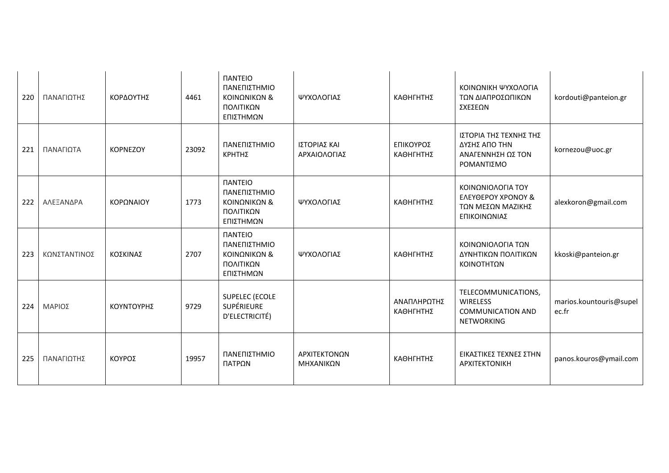| 220 | ΠΑΝΑΓΙΩΤΗΣ   | ΚΟΡΔΟΥΤΗΣ       | 4461  | <b><i><u>IANTEIO</u></i></b><br>ΠΑΝΕΠΙΣΤΗΜΙΟ<br>ΚΟΙΝΩΝΙΚΩΝ &<br>ΠΟΛΙΤΙΚΩΝ<br>ΕΠΙΣΤΗΜΩΝ | ΨΥΧΟΛΟΓΙΑΣ                   | ΚΑΘΗΓΗΤΗΣ                | ΚΟΙΝΩΝΙΚΗ ΨΥΧΟΛΟΓΙΑ<br>ΤΩΝ ΔΙΑΠΡΟΣΩΠΙΚΩΝ<br>ΣΧΕΣΕΩΝ                                     | kordouti@panteion.gr             |
|-----|--------------|-----------------|-------|----------------------------------------------------------------------------------------|------------------------------|--------------------------|-----------------------------------------------------------------------------------------|----------------------------------|
| 221 | ΠΑΝΑΓΙΩΤΑ    | <b>KOPNEZOY</b> | 23092 | ΠΑΝΕΠΙΣΤΗΜΙΟ<br><b>КРНТНΣ</b>                                                          | ΙΣΤΟΡΙΑΣ ΚΑΙ<br>ΑΡΧΑΙΟΛΟΓΙΑΣ | ΕΠΙΚΟΥΡΟΣ<br>ΚΑΘΗΓΗΤΗΣ   | ΙΣΤΟΡΙΑ ΤΗΣ ΤΕΧΝΗΣ ΤΗΣ<br>ΔΥΣΗΣ ΑΠΟ ΤΗΝ<br>ΑΝΑΓΕΝΝΗΣΗ ΩΣ ΤΟΝ<br>ΡΟΜΑΝΤΙΣΜΟ              | kornezou@uoc.gr                  |
| 222 | ΑΛΕΞΑΝΔΡΑ    | ΚΟΡΩΝΑΙΟΥ       | 1773  | <b><i><u>IANTEIO</u></i></b><br>ΠΑΝΕΠΙΣΤΗΜΙΟ<br>ΚΟΙΝΩΝΙΚΩΝ &<br>ΠΟΛΙΤΙΚΩΝ<br>ΕΠΙΣΤΗΜΩΝ | ΨΥΧΟΛΟΓΙΑΣ                   | ΚΑΘΗΓΗΤΗΣ                | ΚΟΙΝΩΝΙΟΛΟΓΙΑ ΤΟΥ<br><b>EAEYOEPOY XPONOY &amp;</b><br>ΤΩΝ ΜΕΣΩΝ ΜΑΖΙΚΗΣ<br>ΕΠΙΚΟΙΝΩΝΙΑΣ | alexkoron@gmail.com              |
| 223 | ΚΩΝΣΤΑΝΤΙΝΟΣ | ΚΟΣΚΙΝΑΣ        | 2707  | <b><i><u>IANTEIO</u></i></b><br>ΠΑΝΕΠΙΣΤΗΜΙΟ<br>ΚΟΙΝΩΝΙΚΩΝ &<br>ΠΟΛΙΤΙΚΩΝ<br>ΕΠΙΣΤΗΜΩΝ | ΨΥΧΟΛΟΓΙΑΣ                   | ΚΑΘΗΓΗΤΗΣ                | ΚΟΙΝΩΝΙΟΛΟΓΙΑ ΤΩΝ<br>ΔΥΝΗΤΙΚΩΝ ΠΟΛΙΤΙΚΩΝ<br>ΚΟΙΝΟΤΗΤΩΝ                                  | kkoski@panteion.gr               |
| 224 | ΜΑΡΙΟΣ       | ΚΟΥΝΤΟΥΡΗΣ      | 9729  | <b>SUPELEC (ECOLE</b><br>SUPÉRIEURE<br>D'ELECTRICITÉ)                                  |                              | ΑΝΑΠΛΗΡΩΤΗΣ<br>ΚΑΘΗΓΗΤΗΣ | TELECOMMUNICATIONS,<br><b>WIRELESS</b><br><b>COMMUNICATION AND</b><br><b>NETWORKING</b> | marios.kountouris@supel<br>ec.fr |
| 225 | ΠΑΝΑΓΙΩΤΗΣ   | ΚΟΥΡΟΣ          | 19957 | ΠΑΝΕΠΙΣΤΗΜΙΟ<br>ΠΑΤΡΩΝ                                                                 | ΑΡΧΙΤΕΚΤΟΝΩΝ<br>ΜΗΧΑΝΙΚΩΝ    | ΚΑΘΗΓΗΤΗΣ                | ΕΙΚΑΣΤΙΚΕΣ ΤΕΧΝΕΣ ΣΤΗΝ<br>APXITEKTONIKH                                                 | panos.kouros@ymail.com           |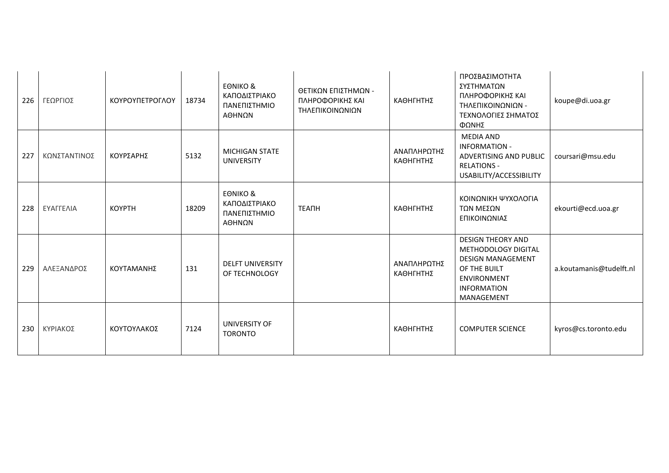| 226 | ΓΕΩΡΓΙΟΣ     | ΚΟΥΡΟΥΠΕΤΡΟΓΛΟΥ | 18734 | <b>EONIKO &amp;</b><br>ΚΑΠΟΔΙΣΤΡΙΑΚΟ<br>ΠΑΝΕΠΙΣΤΗΜΙΟ<br>ΑΘΗΝΩΝ | ΘΕΤΙΚΩΝ ΕΠΙΣΤΗΜΩΝ -<br>ΠΛΗΡΟΦΟΡΙΚΗΣ ΚΑΙ<br>ΤΗΛΕΠΙΚΟΙΝΩΝΙΩΝ | ΚΑΘΗΓΗΤΗΣ                | ΠΡΟΣΒΑΣΙΜΟΤΗΤΑ<br>ΣΥΣΤΗΜΑΤΩΝ<br>ΠΛΗΡΟΦΟΡΙΚΗΣ ΚΑΙ<br>ΤΗΛΕΠΙΚΟΙΝΩΝΙΩΝ -<br>ΤΕΧΝΟΛΟΓΙΕΣ ΣΗΜΑΤΟΣ<br>ΦΩΝΗΣ                                                 | koupe@di.uoa.gr         |
|-----|--------------|-----------------|-------|----------------------------------------------------------------|------------------------------------------------------------|--------------------------|-------------------------------------------------------------------------------------------------------------------------------------------------------|-------------------------|
| 227 | ΚΩΝΣΤΑΝΤΙΝΟΣ | ΚΟΥΡΣΑΡΗΣ       | 5132  | <b>MICHIGAN STATE</b><br><b>UNIVERSITY</b>                     |                                                            | ΑΝΑΠΛΗΡΩΤΗΣ<br>ΚΑΘΗΓΗΤΗΣ | MEDIA AND<br><b>INFORMATION -</b><br>ADVERTISING AND PUBLIC<br><b>RELATIONS -</b><br>USABILITY/ACCESSIBILITY                                          | coursari@msu.edu        |
| 228 | ΕΥΑΓΓΕΛΙΑ    | <b>KOYPTH</b>   | 18209 | <b>EONIKO &amp;</b><br>ΚΑΠΟΔΙΣΤΡΙΑΚΟ<br>ΠΑΝΕΠΙΣΤΗΜΙΟ<br>ΑΘΗΝΩΝ | <b>TEANH</b>                                               | ΚΑΘΗΓΗΤΗΣ                | ΚΟΙΝΩΝΙΚΗ ΨΥΧΟΛΟΓΙΑ<br>ΤΩΝ ΜΕΣΩΝ<br>ΕΠΙΚΟΙΝΩΝΙΑΣ                                                                                                      | ekourti@ecd.uoa.gr      |
| 229 | ΑΛΕΞΑΝΔΡΟΣ   | ΚΟΥΤΑΜΑΝΗΣ      | 131   | <b>DELFT UNIVERSITY</b><br>OF TECHNOLOGY                       |                                                            | ΑΝΑΠΛΗΡΩΤΗΣ<br>ΚΑΘΗΓΗΤΗΣ | <b>DESIGN THEORY AND</b><br>METHODOLOGY DIGITAL<br><b>DESIGN MANAGEMENT</b><br>OF THE BUILT<br><b>ENVIRONMENT</b><br><b>INFORMATION</b><br>MANAGEMENT | a.koutamanis@tudelft.nl |
| 230 | ΚΥΡΙΑΚΟΣ     | ΚΟΥΤΟΥΛΑΚΟΣ     | 7124  | UNIVERSITY OF<br><b>TORONTO</b>                                |                                                            | ΚΑΘΗΓΗΤΗΣ                | <b>COMPUTER SCIENCE</b>                                                                                                                               | kyros@cs.toronto.edu    |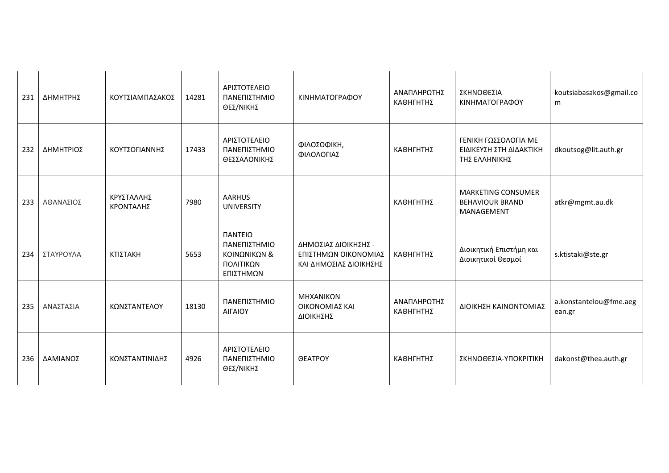| 231 | ΔΗΜΗΤΡΗΣ  | ΚΟΥΤΣΙΑΜΠΑΣΑΚΟΣ         | 14281 | ΑΡΙΣΤΟΤΕΛΕΙΟ<br>ΠΑΝΕΠΙΣΤΗΜΙΟ<br>ΘΕΣ/ΝΙΚΗΣ                                              | ΚΙΝΗΜΑΤΟΓΡΑΦΟΥ                                                         | ΑΝΑΠΛΗΡΩΤΗΣ<br>ΚΑΘΗΓΗΤΗΣ | ΣΚΗΝΟΘΕΣΙΑ<br>ΚΙΝΗΜΑΤΟΓΡΑΦΟΥ                                      | koutsiabasakos@gmail.co<br>m     |
|-----|-----------|-------------------------|-------|----------------------------------------------------------------------------------------|------------------------------------------------------------------------|--------------------------|-------------------------------------------------------------------|----------------------------------|
| 232 | ΔΗΜΗΤΡΙΟΣ | ΚΟΥΤΣΟΓΙΑΝΝΗΣ           | 17433 | ΑΡΙΣΤΟΤΕΛΕΙΟ<br>ΠΑΝΕΠΙΣΤΗΜΙΟ<br>ΘΕΣΣΑΛΟΝΙΚΗΣ                                           | ΦΙΛΟΣΟΦΙΚΗ,<br>ΦΙΛΟΛΟΓΙΑΣ                                              | ΚΑΘΗΓΗΤΗΣ                | ΓΕΝΙΚΗ ΓΩΣΣΟΛΟΓΙΑ ΜΕ<br>ΕΙΔΙΚΕΥΣΗ ΣΤΗ ΔΙΔΑΚΤΙΚΗ<br>ΤΗΣ ΕΛΛΗΝΙΚΗΣ  | dkoutsog@lit.auth.gr             |
| 233 | ΑΘΑΝΑΣΙΟΣ | ΚΡΥΣΤΑΛΛΗΣ<br>ΚΡΟΝΤΑΛΗΣ | 7980  | <b>AARHUS</b><br><b>UNIVERSITY</b>                                                     |                                                                        | ΚΑΘΗΓΗΤΗΣ                | <b>MARKETING CONSUMER</b><br><b>BEHAVIOUR BRAND</b><br>MANAGEMENT | atkr@mgmt.au.dk                  |
| 234 | ΣΤΑΥΡΟΥΛΑ | ΚΤΙΣΤΑΚΗ                | 5653  | <b><i><u>IANTEIO</u></i></b><br>ΠΑΝΕΠΙΣΤΗΜΙΟ<br>ΚΟΙΝΩΝΙΚΩΝ &<br>ΠΟΛΙΤΙΚΩΝ<br>ΕΠΙΣΤΗΜΩΝ | ΔΗΜΟΣΙΑΣ ΔΙΟΙΚΗΣΗΣ -<br>ΕΠΙΣΤΗΜΩΝ ΟΙΚΟΝΟΜΙΑΣ<br>ΚΑΙ ΔΗΜΟΣΙΑΣ ΔΙΟΙΚΗΣΗΣ | ΚΑΘΗΓΗΤΗΣ                | Διοικητική Επιστήμη και<br>Διοικητικοί Θεσμοί                     | s.ktistaki@ste.gr                |
| 235 | ΑΝΑΣΤΑΣΙΑ | ΚΩΝΣΤΑΝΤΕΛΟΥ            | 18130 | ΠΑΝΕΠΙΣΤΗΜΙΟ<br><b>AIFAIOY</b>                                                         | ΜΗΧΑΝΙΚΩΝ<br>ΟΙΚΟΝΟΜΙΑΣ ΚΑΙ<br>ΔΙΟΙΚΗΣΗΣ                               | ΑΝΑΠΛΗΡΩΤΗΣ<br>ΚΑΘΗΓΗΤΗΣ | ΔΙΟΙΚΗΣΗ ΚΑΙΝΟΝΤΟΜΙΑΣ                                             | a.konstantelou@fme.aeg<br>ean.gr |
| 236 | ΔΑΜΙΑΝΟΣ  | ΚΩΝΣΤΑΝΤΙΝΙΔΗΣ          | 4926  | ΑΡΙΣΤΟΤΕΛΕΙΟ<br>ΠΑΝΕΠΙΣΤΗΜΙΟ<br>ΘΕΣ/ΝΙΚΗΣ                                              | <b>OEATPOY</b>                                                         | ΚΑΘΗΓΗΤΗΣ                | ΣΚΗΝΟΘΕΣΙΑ-ΥΠΟΚΡΙΤΙΚΗ                                             | dakonst@thea.auth.gr             |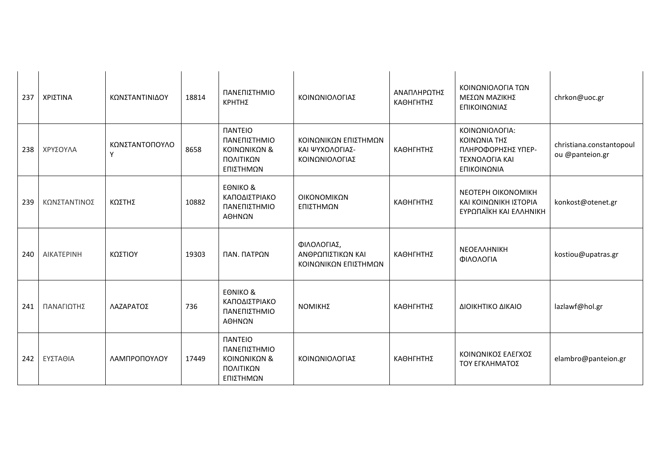| 237 | ΧΡΙΣΤΙΝΑ          | ΚΩΝΣΤΑΝΤΙΝΙΔΟΥ      | 18814 | ΠΑΝΕΠΙΣΤΗΜΙΟ<br>ΚΡΗΤΗΣ                                                                  | ΚΟΙΝΩΝΙΟΛΟΓΙΑΣ                                            | ΑΝΑΠΛΗΡΩΤΗΣ<br>ΚΑΘΗΓΗΤΗΣ | ΚΟΙΝΩΝΙΟΛΟΓΙΑ ΤΩΝ<br>ΜΕΣΩΝ ΜΑΖΙΚΗΣ<br>ΕΠΙΚΟΙΝΩΝΙΑΣ                                           | chrkon@uoc.gr                               |
|-----|-------------------|---------------------|-------|-----------------------------------------------------------------------------------------|-----------------------------------------------------------|--------------------------|----------------------------------------------------------------------------------------------|---------------------------------------------|
| 238 | ΧΡΥΣΟΥΛΑ          | ΚΩΝΣΤΑΝΤΟΠΟΥΛΟ<br>Y | 8658  | <b><i><u>ITANTEIO</u></i></b><br>ΠΑΝΕΠΙΣΤΗΜΙΟ<br>ΚΟΙΝΩΝΙΚΩΝ &<br>ΠΟΛΙΤΙΚΩΝ<br>ΕΠΙΣΤΗΜΩΝ | ΚΟΙΝΩΝΙΚΩΝ ΕΠΙΣΤΗΜΩΝ<br>ΚΑΙ ΨΥΧΟΛΟΓΙΑΣ-<br>ΚΟΙΝΩΝΙΟΛΟΓΙΑΣ | ΚΑΘΗΓΗΤΗΣ                | ΚΟΙΝΩΝΙΟΛΟΓΙΑ:<br>ΚΟΙΝΩΝΙΑ ΤΗΣ<br>ΠΛΗΡΟΦΟΡΗΣΗΣ ΥΠΕΡ-<br><b>TEXNOAOFIA KAI</b><br>ΕΠΙΚΟΙΝΩΝΙΑ | christiana.constantopoul<br>ou @panteion.gr |
| 239 | ΚΩΝΣΤΑΝΤΙΝΟΣ      | ΚΩΣΤΗΣ              | 10882 | <b>EONIKO &amp;</b><br>ΚΑΠΟΔΙΣΤΡΙΑΚΟ<br>ΠΑΝΕΠΙΣΤΗΜΙΟ<br>ΑΘΗΝΩΝ                          | ΟΙΚΟΝΟΜΙΚΩΝ<br>ΕΠΙΣΤΗΜΩΝ                                  | ΚΑΘΗΓΗΤΗΣ                | NEOTEPH OIKONOMIKH<br>ΚΑΙ ΚΟΙΝΩΝΙΚΗ ΙΣΤΟΡΙΑ<br>ΕΥΡΩΠΑΪΚΗ ΚΑΙ ΕΛΛΗΝΙΚΗ                        | konkost@otenet.gr                           |
| 240 | <b>AIKATEPINH</b> | ΚΩΣΤΙΟΥ             | 19303 | ΠΑΝ. ΠΑΤΡΩΝ                                                                             | ΦΙΛΟΛΟΓΙΑΣ,<br>ΑΝΘΡΩΠΙΣΤΙΚΩΝ ΚΑΙ<br>ΚΟΙΝΩΝΙΚΩΝ ΕΠΙΣΤΗΜΩΝ  | ΚΑΘΗΓΗΤΗΣ                | <b>NEOEAAHNIKH</b><br>ΦΙΛΟΛΟΓΙΑ                                                              | kostiou@upatras.gr                          |
| 241 | ΠΑΝΑΓΙΩΤΗΣ        | ΛΑΖΑΡΑΤΟΣ           | 736   | <b>EONIKO &amp;</b><br>ΚΑΠΟΔΙΣΤΡΙΑΚΟ<br>ΠΑΝΕΠΙΣΤΗΜΙΟ<br>ΑΘΗΝΩΝ                          | ΝΟΜΙΚΗΣ                                                   | ΚΑΘΗΓΗΤΗΣ                | ΔΙΟΙΚΗΤΙΚΟ ΔΙΚΑΙΟ                                                                            | lazlawf@hol.gr                              |
| 242 | ΕΥΣΤΑΘΙΑ          | ΛΑΜΠΡΟΠΟΥΛΟΥ        | 17449 | <b><i><u>IANTEIO</u></i></b><br>ΠΑΝΕΠΙΣΤΗΜΙΟ<br>ΚΟΙΝΩΝΙΚΩΝ &<br>ΠΟΛΙΤΙΚΩΝ<br>ΕΠΙΣΤΗΜΩΝ  | ΚΟΙΝΩΝΙΟΛΟΓΙΑΣ                                            | ΚΑΘΗΓΗΤΗΣ                | ΚΟΙΝΩΝΙΚΟΣ ΕΛΕΓΧΟΣ<br>ΤΟΥ ΕΓΚΛΗΜΑΤΟΣ                                                         | elambro@panteion.gr                         |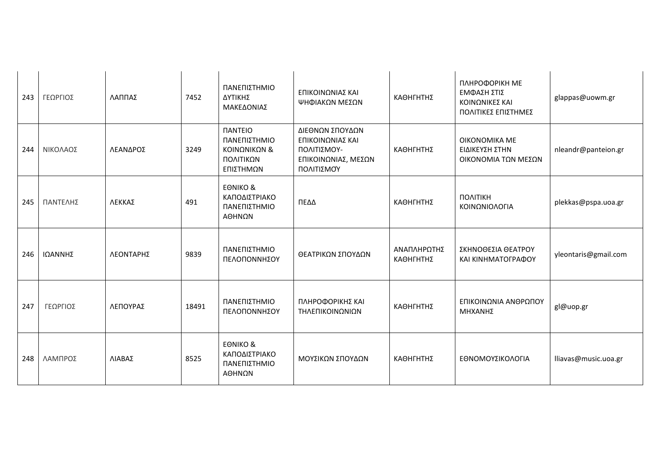| 243 | ΓΕΩΡΓΙΟΣ | ΛΑΠΠΑΣ    | 7452  | ΠΑΝΕΠΙΣΤΗΜΙΟ<br>ΔΥΤΙΚΗΣ<br>ΜΑΚΕΔΟΝΙΑΣ                                                  | ΕΠΙΚΟΙΝΩΝΙΑΣ ΚΑΙ<br>ΨΗΦΙΑΚΩΝ ΜΕΣΩΝ                                                      | ΚΑΘΗΓΗΤΗΣ                | ПЛНРОФОРІКН МЕ<br>ΕΜΦΑΣΗ ΣΤΙΣ<br>ΚΟΙΝΩΝΙΚΕΣ ΚΑΙ<br>ΠΟΛΙΤΙΚΕΣ ΕΠΙΣΤΗΜΕΣ | glappas@uowm.gr      |
|-----|----------|-----------|-------|----------------------------------------------------------------------------------------|-----------------------------------------------------------------------------------------|--------------------------|------------------------------------------------------------------------|----------------------|
| 244 | ΝΙΚΟΛΑΟΣ | ΛΕΑΝΔΡΟΣ  | 3249  | <b><i><u>IANTEIO</u></i></b><br>ΠΑΝΕΠΙΣΤΗΜΙΟ<br>ΚΟΙΝΩΝΙΚΩΝ &<br>ΠΟΛΙΤΙΚΩΝ<br>ΕΠΙΣΤΗΜΩΝ | ΔΙΕΘΝΩΝ ΣΠΟΥΔΩΝ<br>ΕΠΙΚΟΙΝΩΝΙΑΣ ΚΑΙ<br>ΠΟΛΙΤΙΣΜΟΥ-<br>ΕΠΙΚΟΙΝΩΝΙΑΣ, ΜΕΣΩΝ<br>ΠΟΛΙΤΙΣΜΟΎ | ΚΑΘΗΓΗΤΗΣ                | OIKONOMIKA ME<br>ΕΙΔΙΚΕΥΣΗ ΣΤΗΝ<br>ΟΙΚΟΝΟΜΙΑ ΤΩΝ ΜΕΣΩΝ                 | nleandr@panteion.gr  |
| 245 | ΠΑΝΤΕΛΗΣ | ΛΕΚΚΑΣ    | 491   | <b>EONIKO &amp;</b><br>ΚΑΠΟΔΙΣΤΡΙΑΚΟ<br>ΠΑΝΕΠΙΣΤΗΜΙΟ<br>ΑΘΗΝΩΝ                         | ΠΕΔΔ                                                                                    | ΚΑΘΗΓΗΤΗΣ                | ΠΟΛΙΤΙΚΗ<br>ΚΟΙΝΩΝΙΟΛΟΓΙΑ                                              | plekkas@pspa.uoa.gr  |
| 246 | ΙΩΑΝΝΗΣ  | ΛΕΟΝΤΑΡΗΣ | 9839  | ΠΑΝΕΠΙΣΤΗΜΙΟ<br>ΠΕΛΟΠΟΝΝΗΣΟΥ                                                           | ΘΕΑΤΡΙΚΩΝ ΣΠΟΥΔΩΝ                                                                       | ΑΝΑΠΛΗΡΩΤΗΣ<br>ΚΑΘΗΓΗΤΗΣ | ΣΚΗΝΟΘΕΣΙΑ ΘΕΑΤΡΟΥ<br>ΚΑΙ ΚΙΝΗΜΑΤΟΓΡΑΦΟΥ                               | yleontaris@gmail.com |
| 247 | ΓΕΩΡΓΙΟΣ | ΛΕΠΟΥΡΑΣ  | 18491 | ΠΑΝΕΠΙΣΤΗΜΙΟ<br>ΠΕΛΟΠΟΝΝΗΣΟΥ                                                           | ΠΛΗΡΟΦΟΡΙΚΗΣ ΚΑΙ<br>ΤΗΛΕΠΙΚΟΙΝΩΝΙΩΝ                                                     | ΚΑΘΗΓΗΤΗΣ                | ΕΠΙΚΟΙΝΩΝΙΑ ΑΝΘΡΩΠΟΥ<br>ΜΗΧΑΝΗΣ                                        | gl@uop.gr            |
| 248 | ΛΑΜΠΡΟΣ  | ΛΙΑΒΑΣ    | 8525  | <b>EONIKO &amp;</b><br>ΚΑΠΟΔΙΣΤΡΙΑΚΟ<br>ΠΑΝΕΠΙΣΤΗΜΙΟ<br>ΑΘΗΝΩΝ                         | ΜΟΥΣΙΚΩΝ ΣΠΟΥΔΩΝ                                                                        | ΚΑΘΗΓΗΤΗΣ                | ΕΘΝΟΜΟΥΣΙΚΟΛΟΓΙΑ                                                       | lliavas@music.uoa.gr |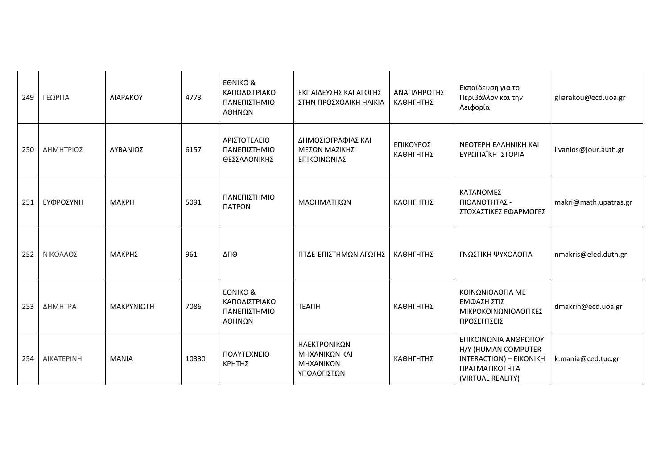| 249 | ΓΕΩΡΓΙΑ    | <b>NIAPAKOY</b> | 4773  | <b>EONIKO &amp;</b><br>ΚΑΠΟΔΙΣΤΡΙΑΚΟ<br>ΠΑΝΕΠΙΣΤΗΜΙΟ<br>ΑΘΗΝΩΝ | ΕΚΠΑΙΔΕΥΣΗΣ ΚΑΙ ΑΓΩΓΗΣ<br>ΣΤΗΝ ΠΡΟΣΧΟΛΙΚΗ ΗΛΙΚΙΑ          | ΑΝΑΠΛΗΡΩΤΗΣ<br>ΚΑΘΗΓΗΤΗΣ | Εκπαίδευση για το<br>Περιβάλλον και την<br>Αειφορία                                                           | gliarakou@ecd.uoa.gr  |
|-----|------------|-----------------|-------|----------------------------------------------------------------|-----------------------------------------------------------|--------------------------|---------------------------------------------------------------------------------------------------------------|-----------------------|
| 250 | ΔΗΜΗΤΡΙΟΣ  | ΛΥΒΑΝΙΟΣ        | 6157  | ΑΡΙΣΤΟΤΕΛΕΙΟ<br>ΠΑΝΕΠΙΣΤΗΜΙΟ<br>ΘΕΣΣΑΛΟΝΙΚΗΣ                   | ΔΗΜΟΣΙΟΓΡΑΦΙΑΣ ΚΑΙ<br>ΜΕΣΩΝ ΜΑΖΙΚΗΣ<br>ΕΠΙΚΟΙΝΩΝΙΑΣ       | ΕΠΙΚΟΥΡΟΣ<br>ΚΑΘΗΓΗΤΗΣ   | <b>NEOTEPH EAAHNIKH KAI</b><br>ΕΥΡΩΠΑΪΚΗ ΙΣΤΟΡΙΑ                                                              | livanios@jour.auth.gr |
| 251 | ΕΥΦΡΟΣΥΝΗ  | <b>MAKPH</b>    | 5091  | ΠΑΝΕΠΙΣΤΗΜΙΟ<br>ΠΑΤΡΩΝ                                         | ΜΑΘΗΜΑΤΙΚΩΝ                                               | ΚΑΘΗΓΗΤΗΣ                | ΚΑΤΑΝΟΜΕΣ<br>ΠΙΘΑΝΟΤΗΤΑΣ -<br>ΣΤΟΧΑΣΤΙΚΕΣ ΕΦΑΡΜΟΓΕΣ                                                           | makri@math.upatras.gr |
| 252 | ΝΙΚΟΛΑΟΣ   | ΜΑΚΡΗΣ          | 961   | ΔΠΘ                                                            | ΠΤΔΕ-ΕΠΙΣΤΗΜΩΝ ΑΓΩΓΗΣ                                     | ΚΑΘΗΓΗΤΗΣ                | ΓΝΩΣΤΙΚΗ ΨΥΧΟΛΟΓΙΑ                                                                                            | nmakris@eled.duth.gr  |
| 253 | ΔΗΜΗΤΡΑ    | ΜΑΚΡΥΝΙΩΤΗ      | 7086  | <b>EONIKO &amp;</b><br>ΚΑΠΟΔΙΣΤΡΙΑΚΟ<br>ΠΑΝΕΠΙΣΤΗΜΙΟ<br>ΑΘΗΝΩΝ | <b>TEANH</b>                                              | ΚΑΘΗΓΗΤΗΣ                | ΚΟΙΝΩΝΙΟΛΟΓΙΑ ΜΕ<br>ΕΜΦΑΣΗ ΣΤΙΣ<br>ΜΙΚΡΟΚΟΙΝΩΝΙΟΛΟΓΙΚΕΣ<br>ΠΡΟΣΕΓΓΙΣΕΙΣ                                       | dmakrin@ecd.uoa.gr    |
| 254 | AIKATEPINH | <b>MANIA</b>    | 10330 | ΠΟΛΥΤΕΧΝΕΙΟ<br>ΚΡΗΤΗΣ                                          | ΗΛΕΚΤΡΟΝΙΚΩΝ<br>ΜΗΧΑΝΙΚΩΝ ΚΑΙ<br>ΜΗΧΑΝΙΚΩΝ<br>ΥΠΟΛΟΓΙΣΤΩΝ | ΚΑΘΗΓΗΤΗΣ                | ΕΠΙΚΟΙΝΩΝΙΑ ΑΝΘΡΩΠΟΥ<br>H/Y (HUMAN COMPUTER<br>INTERACTION) - EIKONIKH<br>ΠΡΑΓΜΑΤΙΚΟΤΗΤΑ<br>(VIRTUAL REALITY) | k.mania@ced.tuc.gr    |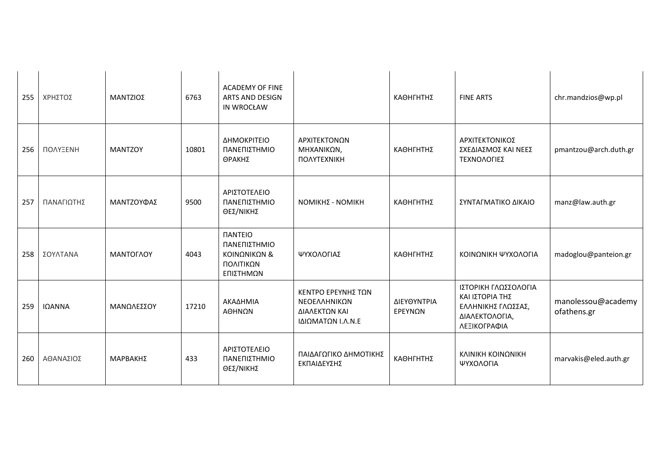| 255 | ΧΡΗΣΤΟΣ    | ΜΑΝΤΖΙΟΣ       | 6763  | <b>ACADEMY OF FINE</b><br><b>ARTS AND DESIGN</b><br>IN WROCŁAW                         |                                                                          | ΚΑΘΗΓΗΤΗΣ              | <b>FINE ARTS</b>                                                                                | chr.mandzios@wp.pl                |
|-----|------------|----------------|-------|----------------------------------------------------------------------------------------|--------------------------------------------------------------------------|------------------------|-------------------------------------------------------------------------------------------------|-----------------------------------|
| 256 | ΠΟΛΥΞΕΝΗ   | <b>MANTZOY</b> | 10801 | ΔΗΜΟΚΡΙΤΕΙΟ<br>ΠΑΝΕΠΙΣΤΗΜΙΟ<br>ΘΡΑΚΗΣ                                                  | ΑΡΧΙΤΕΚΤΟΝΩΝ<br>ΜΗΧΑΝΙΚΩΝ,<br><b><i><u>ΠΟΛΥΤΕΧΝΙΚΗ</u></i></b>           | ΚΑΘΗΓΗΤΗΣ              | ΑΡΧΙΤΕΚΤΟΝΙΚΟΣ<br>ΣΧΕΔΙΑΣΜΟΣ ΚΑΙ ΝΕΕΣ<br>ΤΕΧΝΟΛΟΓΙΕΣ                                            | pmantzou@arch.duth.gr             |
| 257 | ΠΑΝΑΓΙΩΤΗΣ | ΜΑΝΤΖΟΥΦΑΣ     | 9500  | ΑΡΙΣΤΟΤΕΛΕΙΟ<br>ΠΑΝΕΠΙΣΤΗΜΙΟ<br>ΘΕΣ/ΝΙΚΗΣ                                              | <b>ΝΟΜΙΚΗΣ - ΝΟΜΙΚΗ</b>                                                  | ΚΑΘΗΓΗΤΗΣ              | ΣΥΝΤΑΓΜΑΤΙΚΟ ΔΙΚΑΙΟ                                                                             | manz@law.auth.gr                  |
| 258 | ΣΟΥΛΤΑΝΑ   | ΜΑΝΤΟΓΛΟΥ      | 4043  | <b><i><u>IANTEIO</u></i></b><br>ΠΑΝΕΠΙΣΤΗΜΙΟ<br>ΚΟΙΝΩΝΙΚΩΝ &<br>ΠΟΛΙΤΙΚΩΝ<br>ΕΠΙΣΤΗΜΩΝ | ΨΥΧΟΛΟΓΙΑΣ                                                               | ΚΑΘΗΓΗΤΗΣ              | ΚΟΙΝΩΝΙΚΗ ΨΥΧΟΛΟΓΙΑ                                                                             | madoglou@panteion.gr              |
| 259 | ΙΩΑΝΝΑ     | ΜΑΝΩΛΕΣΣΟΥ     | 17210 | ΑΚΑΔΗΜΙΑ<br>ΑΘΗΝΩΝ                                                                     | ΚΕΝΤΡΟ ΕΡΕΥΝΗΣ ΤΩΝ<br>ΝΕΟΕΛΛΗΝΙΚΩΝ<br>ΔΙΑΛΕΚΤΩΝ ΚΑΙ<br>ΙΔΙΩΜΑΤΩΝ Ι.Λ.Ν.Ε | ΔΙΕΥΘΥΝΤΡΙΑ<br>ΕΡΕΥΝΩΝ | ΙΣΤΟΡΙΚΗ ΓΛΩΣΣΟΛΟΓΙΑ<br>ΚΑΙ ΙΣΤΟΡΙΑ ΤΗΣ<br>ΕΛΛΗΝΙΚΗΣ ΓΛΩΣΣΑΣ,<br>ΔΙΑΛΕΚΤΟΛΟΓΙΑ,<br>ΛΕΞΙΚΟΓΡΑΦΙΑ | manolessou@academy<br>ofathens.gr |
| 260 | ΑΘΑΝΑΣΙΟΣ  | ΜΑΡΒΑΚΗΣ       | 433   | ΑΡΙΣΤΟΤΕΛΕΙΟ<br>ΠΑΝΕΠΙΣΤΗΜΙΟ<br>ΘΕΣ/ΝΙΚΗΣ                                              | ΠΑΙΔΑΓΩΓΙΚΟ ΔΗΜΟΤΙΚΗΣ<br>ΕΚΠΑΙΔΕΥΣΗΣ                                     | ΚΑΘΗΓΗΤΗΣ              | ΚΛΙΝΙΚΗ ΚΟΙΝΩΝΙΚΗ<br>ΨΥΧΟΛΟΓΙΑ                                                                  | marvakis@eled.auth.gr             |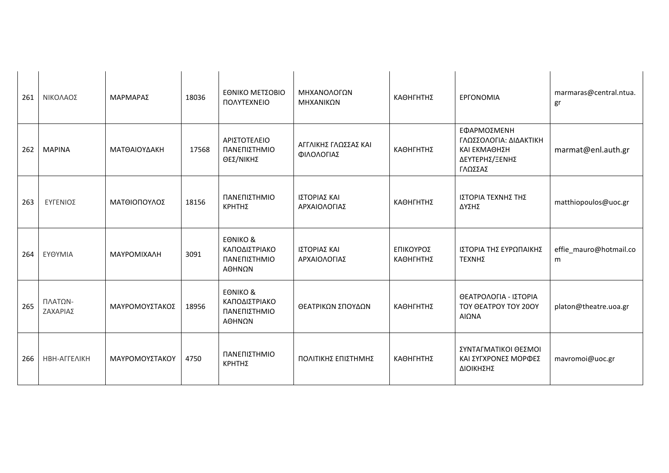| 261 | ΝΙΚΟΛΑΟΣ            | ΜΑΡΜΑΡΑΣ       | 18036 | ΕΘΝΙΚΟ ΜΕΤΣΟΒΙΟ<br>ΠΟΛΥΤΕΧΝΕΙΟ                                 | ΜΗΧΑΝΟΛΟΓΩΝ<br>ΜΗΧΑΝΙΚΩΝ           | ΚΑΘΗΓΗΤΗΣ              | <b>EPFONOMIA</b>                                                                   | marmaras@central.ntua.<br>gr |
|-----|---------------------|----------------|-------|----------------------------------------------------------------|------------------------------------|------------------------|------------------------------------------------------------------------------------|------------------------------|
| 262 | <b>MAPINA</b>       | ΜΑΤΘΑΙΟΥΔΑΚΗ   | 17568 | ΑΡΙΣΤΟΤΕΛΕΙΟ<br>ΠΑΝΕΠΙΣΤΗΜΙΟ<br>ΘΕΣ/ΝΙΚΗΣ                      | ΑΓΓΛΙΚΗΣ ΓΛΩΣΣΑΣ ΚΑΙ<br>ΦΙΛΟΛΟΓΙΑΣ | ΚΑΘΗΓΗΤΗΣ              | ΕΦΑΡΜΟΣΜΕΝΗ<br>ΓΛΩΣΣΟΛΟΓΙΑ: ΔΙΔΑΚΤΙΚΗ<br>ΚΑΙ ΕΚΜΑΘΗΣΗ<br>ΔΕΥΤΕΡΗΣ/ΞΕΝΗΣ<br>ΓΛΩΣΣΑΣ | marmat@enl.auth.gr           |
| 263 | ΕΥΓΕΝΙΟΣ            | ΜΑΤΘΙΟΠΟΥΛΟΣ   | 18156 | ΠΑΝΕΠΙΣΤΗΜΙΟ<br>ΚΡΗΤΗΣ                                         | ΙΣΤΟΡΙΑΣ ΚΑΙ<br>ΑΡΧΑΙΟΛΟΓΙΑΣ       | ΚΑΘΗΓΗΤΗΣ              | ΙΣΤΟΡΙΑ ΤΕΧΝΗΣ ΤΗΣ<br>ΔΥΣΗΣ                                                        | matthiopoulos@uoc.gr         |
| 264 | ΕΥΘΥΜΙΑ             | ΜΑΥΡΟΜΙΧΑΛΗ    | 3091  | <b>EONIKO &amp;</b><br>ΚΑΠΟΔΙΣΤΡΙΑΚΟ<br>ΠΑΝΕΠΙΣΤΗΜΙΟ<br>ΑΘΗΝΩΝ | ΙΣΤΟΡΙΑΣ ΚΑΙ<br>ΑΡΧΑΙΟΛΟΓΙΑΣ       | ΕΠΙΚΟΥΡΟΣ<br>ΚΑΘΗΓΗΤΗΣ | ΙΣΤΟΡΙΑ ΤΗΣ ΕΥΡΩΠΑΙΚΗΣ<br>ΤΕΧΝΗΣ                                                   | effie_mauro@hotmail.co<br>m  |
| 265 | ΠΛΑΤΩΝ-<br>ΖΑΧΑΡΙΑΣ | ΜΑΥΡΟΜΟΥΣΤΑΚΟΣ | 18956 | <b>EONIKO &amp;</b><br>ΚΑΠΟΔΙΣΤΡΙΑΚΟ<br>ΠΑΝΕΠΙΣΤΗΜΙΟ<br>ΑΘΗΝΩΝ | ΘΕΑΤΡΙΚΩΝ ΣΠΟΥΔΩΝ                  | ΚΑΘΗΓΗΤΗΣ              | ΘΕΑΤΡΟΛΟΓΙΑ - ΙΣΤΟΡΙΑ<br>TOY OEATPOY TOY 200Y<br>ΑΙΩΝΑ                             | platon@theatre.uoa.gr        |
| 266 | НВН-АГГЕЛІКН        | ΜΑΥΡΟΜΟΥΣΤΑΚΟΥ | 4750  | ΠΑΝΕΠΙΣΤΗΜΙΟ<br>ΚΡΗΤΗΣ                                         | ΠΟΛΙΤΙΚΗΣ ΕΠΙΣΤΗΜΗΣ                | ΚΑΘΗΓΗΤΗΣ              | ΣΥΝΤΑΓΜΑΤΙΚΟΙ ΘΕΣΜΟΙ<br>ΚΑΙ ΣΥΓΧΡΟΝΕΣ ΜΟΡΦΕΣ<br>ΔΙΟΙΚΗΣΗΣ                          | mavromoi@uoc.gr              |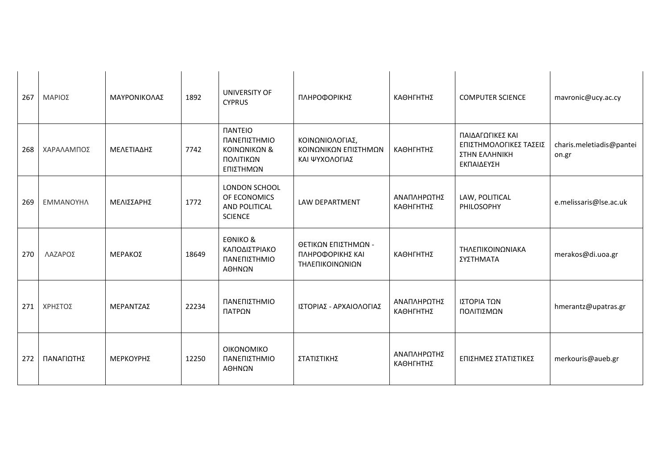| 267 | ΜΑΡΙΟΣ     | ΜΑΥΡΟΝΙΚΟΛΑΣ | 1892  | UNIVERSITY OF<br><b>CYPRUS</b>                                                  | ΠΛΗΡΟΦΟΡΙΚΗΣ                                               | ΚΑΘΗΓΗΤΗΣ                | <b>COMPUTER SCIENCE</b>                                                   | mavronic@ucy.ac.cy                |
|-----|------------|--------------|-------|---------------------------------------------------------------------------------|------------------------------------------------------------|--------------------------|---------------------------------------------------------------------------|-----------------------------------|
| 268 | ΧΑΡΑΛΑΜΠΟΣ | ΜΕΛΕΤΙΑΔΗΣ   | 7742  | <b><i>NANTEIO</i></b><br>ΠΑΝΕΠΙΣΤΗΜΙΟ<br>ΚΟΙΝΩΝΙΚΩΝ &<br>ΠΟΛΙΤΙΚΩΝ<br>ΕΠΙΣΤΗΜΩΝ | ΚΟΙΝΩΝΙΟΛΟΓΙΑΣ,<br>ΚΟΙΝΩΝΙΚΩΝ ΕΠΙΣΤΗΜΩΝ<br>ΚΑΙ ΨΥΧΟΛΟΓΙΑΣ  | ΚΑΘΗΓΗΤΗΣ                | ΠΑΙΔΑΓΩΓΙΚΕΣ ΚΑΙ<br>ΕΠΙΣΤΗΜΟΛΟΓΙΚΕΣ ΤΑΣΕΙΣ<br>ΣΤΗΝ ΕΛΛΗΝΙΚΗ<br>ΕΚΠΑΙΔΕΥΣΗ | charis.meletiadis@pantei<br>on.gr |
| 269 | ΕΜΜΑΝΟΥΗΛ  | ΜΕΛΙΣΣΑΡΗΣ   | 1772  | LONDON SCHOOL<br>OF ECONOMICS<br>AND POLITICAL<br><b>SCIENCE</b>                | LAW DEPARTMENT                                             | ΑΝΑΠΛΗΡΩΤΗΣ<br>ΚΑΘΗΓΗΤΗΣ | LAW, POLITICAL<br>PHILOSOPHY                                              | e.melissaris@lse.ac.uk            |
| 270 | ΛΑΖΑΡΟΣ    | ΜΕΡΑΚΟΣ      | 18649 | <b>EONIKO &amp;</b><br>ΚΑΠΟΔΙΣΤΡΙΑΚΟ<br>ΠΑΝΕΠΙΣΤΗΜΙΟ<br>ΑΘΗΝΩΝ                  | ΘΕΤΙΚΩΝ ΕΠΙΣΤΗΜΩΝ -<br>ΠΛΗΡΟΦΟΡΙΚΗΣ ΚΑΙ<br>ΤΗΛΕΠΙΚΟΙΝΩΝΙΩΝ | ΚΑΘΗΓΗΤΗΣ                | ΤΗΛΕΠΙΚΟΙΝΩΝΙΑΚΑ<br>ΣΥΣΤΗΜΑΤΑ                                             | merakos@di.uoa.gr                 |
| 271 | ΧΡΗΣΤΟΣ    | ΜΕΡΑΝΤΖΑΣ    | 22234 | ΠΑΝΕΠΙΣΤΗΜΙΟ<br>ΠΑΤΡΩΝ                                                          | ΙΣΤΟΡΙΑΣ - ΑΡΧΑΙΟΛΟΓΙΑΣ                                    | ΑΝΑΠΛΗΡΩΤΗΣ<br>ΚΑΘΗΓΗΤΗΣ | ΙΣΤΟΡΙΑ ΤΩΝ<br>ΠΟΛΙΤΙΣΜΩΝ                                                 | hmerantz@upatras.gr               |
| 272 | ΠΑΝΑΓΙΩΤΗΣ | ΜΕΡΚΟΥΡΗΣ    | 12250 | ΟΙΚΟΝΟΜΙΚΟ<br>ΠΑΝΕΠΙΣΤΗΜΙΟ<br>ΑΘΗΝΩΝ                                            | ΣΤΑΤΙΣΤΙΚΗΣ                                                | ΑΝΑΠΛΗΡΩΤΗΣ<br>ΚΑΘΗΓΗΤΗΣ | ΕΠΙΣΗΜΕΣ ΣΤΑΤΙΣΤΙΚΕΣ                                                      | merkouris@aueb.gr                 |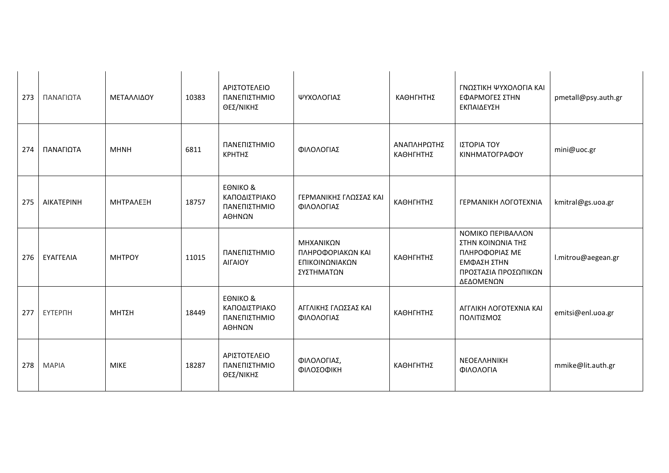| 273 | ΠΑΝΑΓΙΩΤΑ         | ΜΕΤΑΛΛΙΔΟΥ    | 10383 | ΑΡΙΣΤΟΤΕΛΕΙΟ<br>ΠΑΝΕΠΙΣΤΗΜΙΟ<br>ΘΕΣ/ΝΙΚΗΣ                      | ΨΥΧΟΛΟΓΙΑΣ                                                     | ΚΑΘΗΓΗΤΗΣ                | ΓΝΩΣΤΙΚΗ ΨΥΧΟΛΟΓΙΑ ΚΑΙ<br>ΕΦΑΡΜΟΓΕΣ ΣΤΗΝ<br>ΕΚΠΑΙΔΕΥΣΗ                                                       | pmetall@psy.auth.gr |
|-----|-------------------|---------------|-------|----------------------------------------------------------------|----------------------------------------------------------------|--------------------------|--------------------------------------------------------------------------------------------------------------|---------------------|
| 274 | ΠΑΝΑΓΙΩΤΑ         | <b>MHNH</b>   | 6811  | ΠΑΝΕΠΙΣΤΗΜΙΟ<br>ΚΡΗΤΗΣ                                         | ΦΙΛΟΛΟΓΙΑΣ                                                     | ΑΝΑΠΛΗΡΩΤΗΣ<br>ΚΑΘΗΓΗΤΗΣ | ΙΣΤΟΡΙΑ ΤΟΥ<br>ΚΙΝΗΜΑΤΟΓΡΑΦΟΥ                                                                                | mini@uoc.gr         |
| 275 | <b>AIKATEPINH</b> | ΜΗΤΡΑΛΕΞΗ     | 18757 | <b>EONIKO &amp;</b><br>ΚΑΠΟΔΙΣΤΡΙΑΚΟ<br>ΠΑΝΕΠΙΣΤΗΜΙΟ<br>ΑΘΗΝΩΝ | ΓΕΡΜΑΝΙΚΗΣ ΓΛΩΣΣΑΣ ΚΑΙ<br>ΦΙΛΟΛΟΓΙΑΣ                           | ΚΑΘΗΓΗΤΗΣ                | <b>ΓΕΡΜΑΝΙΚΗ ΛΟΓΟΤΕΧΝΙΑ</b>                                                                                  | kmitral@gs.uoa.gr   |
| 276 | ΕΥΑΓΓΕΛΙΑ         | <b>MHTPOY</b> | 11015 | ΠΑΝΕΠΙΣΤΗΜΙΟ<br><b>AIFAIOY</b>                                 | ΜΗΧΑΝΙΚΩΝ<br>ΠΛΗΡΟΦΟΡΙΑΚΩΝ ΚΑΙ<br>ΕΠΙΚΟΙΝΩΝΙΑΚΩΝ<br>ΣΥΣΤΗΜΑΤΩΝ | ΚΑΘΗΓΗΤΗΣ                | ΝΟΜΙΚΟ ΠΕΡΙΒΑΛΛΟΝ<br>ΣΤΗΝ ΚΟΙΝΩΝΙΑ ΤΗΣ<br>ΠΛΗΡΟΦΟΡΙΑΣ ΜΕ<br>ΕΜΦΑΣΗ ΣΤΗΝ<br>ΠΡΟΣΤΑΣΙΑ ΠΡΟΣΩΠΙΚΩΝ<br>ΔΕΔΟΜΕΝΩΝ | l.mitrou@aegean.gr  |
| 277 | ЕҮТЕРПН           | ΜΗΤΣΗ         | 18449 | <b>EONIKO &amp;</b><br>ΚΑΠΟΔΙΣΤΡΙΑΚΟ<br>ΠΑΝΕΠΙΣΤΗΜΙΟ<br>ΑΘΗΝΩΝ | ΑΓΓΛΙΚΗΣ ΓΛΩΣΣΑΣ ΚΑΙ<br>ΦΙΛΟΛΟΓΙΑΣ                             | ΚΑΘΗΓΗΤΗΣ                | ΑΓΓΛΙΚΗ ΛΟΓΟΤΕΧΝΙΑ ΚΑΙ<br>ΠΟΛΙΤΙΣΜΟΣ                                                                         | emitsi@enl.uoa.gr   |
| 278 | <b>MAPIA</b>      | <b>MIKE</b>   | 18287 | ΑΡΙΣΤΟΤΕΛΕΙΟ<br>ΠΑΝΕΠΙΣΤΗΜΙΟ<br>ΘΕΣ/ΝΙΚΗΣ                      | ΦΙΛΟΛΟΓΙΑΣ,<br>ΦΙΛΟΣΟΦΙΚΗ                                      | ΚΑΘΗΓΗΤΗΣ                | NEOEAAHNIKH<br>ΦΙΛΟΛΟΓΙΑ                                                                                     | mmike@lit.auth.gr   |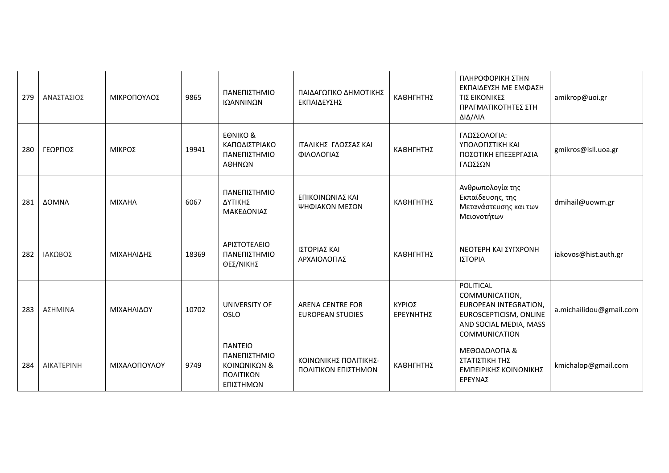| 279 | ΑΝΑΣΤΑΣΙΟΣ        | ΜΙΚΡΟΠΟΥΛΟΣ   | 9865  | ΠΑΝΕΠΙΣΤΗΜΙΟ<br>ΙΩΑΝΝΙΝΩΝ                                                               | ΠΑΙΔΑΓΩΓΙΚΟ ΔΗΜΟΤΙΚΗΣ<br>ΕΚΠΑΙΔΕΥΣΗΣ               | ΚΑΘΗΓΗΤΗΣ           | ΠΛΗΡΟΦΟΡΙΚΗ ΣΤΗΝ<br>ΕΚΠΑΙΔΕΥΣΗ ΜΕ ΕΜΦΑΣΗ<br>ΤΙΣ ΕΙΚΟΝΙΚΕΣ<br>ΠΡΑΓΜΑΤΙΚΟΤΗΤΕΣ ΣΤΗ<br>ΔΙΔ/ΛΙΑ                                      | amikrop@uoi.gr          |
|-----|-------------------|---------------|-------|-----------------------------------------------------------------------------------------|----------------------------------------------------|---------------------|----------------------------------------------------------------------------------------------------------------------------------|-------------------------|
| 280 | ΓΕΩΡΓΙΟΣ          | ΜΙΚΡΟΣ        | 19941 | <b>EONIKO &amp;</b><br>ΚΑΠΟΔΙΣΤΡΙΑΚΟ<br>ΠΑΝΕΠΙΣΤΗΜΙΟ<br>ΑΘΗΝΩΝ                          | ΙΤΑΛΙΚΗΣ ΓΛΩΣΣΑΣ ΚΑΙ<br>ΦΙΛΟΛΟΓΙΑΣ                 | ΚΑΘΗΓΗΤΗΣ           | ΓΛΩΣΣΟΛΟΓΙΑ:<br>ΥΠΟΛΟΓΙΣΤΙΚΗ ΚΑΙ<br>ΠΟΣΟΤΙΚΗ ΕΠΕΞΕΡΓΑΣΙΑ<br>ΓΛΩΣΣΩΝ                                                              | gmikros@isll.uoa.gr     |
| 281 | ΔΟΜΝΑ             | <b>MIXAHA</b> | 6067  | ΠΑΝΕΠΙΣΤΗΜΙΟ<br>ΔΥΤΙΚΗΣ<br>ΜΑΚΕΔΟΝΙΑΣ                                                   | ΕΠΙΚΟΙΝΩΝΙΑΣ ΚΑΙ<br>ΨΗΦΙΑΚΩΝ ΜΕΣΩΝ                 | ΚΑΘΗΓΗΤΗΣ           | Ανθρωπολογία της<br>Εκπαίδευσης, της<br>Μετανάστευσης και των<br>Μειονοτήτων                                                     | dmihail@uowm.gr         |
| 282 | ΙΑΚΩΒΟΣ           | ΜΙΧΑΗΛΙΔΗΣ    | 18369 | ΑΡΙΣΤΟΤΕΛΕΙΟ<br>ΠΑΝΕΠΙΣΤΗΜΙΟ<br>ΘΕΣ/ΝΙΚΗΣ                                               | ΙΣΤΟΡΙΑΣ ΚΑΙ<br>ΑΡΧΑΙΟΛΟΓΙΑΣ                       | ΚΑΘΗΓΗΤΗΣ           | ΝΕΟΤΕΡΗ ΚΑΙ ΣΥΓΧΡΟΝΗ<br>ΙΣΤΟΡΙΑ                                                                                                  | iakovos@hist.auth.gr    |
| 283 | ΑΣΗΜΙΝΑ           | ΜΙΧΑΗΛΙΔΟΥ    | 10702 | <b>UNIVERSITY OF</b><br><b>OSLO</b>                                                     | <b>ARENA CENTRE FOR</b><br><b>EUROPEAN STUDIES</b> | ΚΥΡΙΟΣ<br>ΕΡΕΥΝΗΤΗΣ | POLITICAL<br>COMMUNICATION,<br>EUROPEAN INTEGRATION,<br>EUROSCEPTICISM, ONLINE<br>AND SOCIAL MEDIA, MASS<br><b>COMMUNICATION</b> | a.michailidou@gmail.com |
| 284 | <b>AIKATEPINH</b> | ΜΙΧΑΛΟΠΟΥΛΟΥ  | 9749  | <b><i><u>ITANTEIO</u></i></b><br>ΠΑΝΕΠΙΣΤΗΜΙΟ<br>ΚΟΙΝΩΝΙΚΩΝ &<br>ΠΟΛΙΤΙΚΩΝ<br>ΕΠΙΣΤΗΜΩΝ | ΚΟΙΝΩΝΙΚΗΣ ΠΟΛΙΤΙΚΗΣ-<br>ΠΟΛΙΤΙΚΩΝ ΕΠΙΣΤΗΜΩΝ       | ΚΑΘΗΓΗΤΗΣ           | ΜΕΘΟΔΟΛΟΓΙΑ &<br>ΣΤΑΤΙΣΤΙΚΗ ΤΗΣ<br>ΕΜΠΕΙΡΙΚΗΣ ΚΟΙΝΩΝΙΚΗΣ<br>ΕΡΕΥΝΑΣ                                                              | kmichalop@gmail.com     |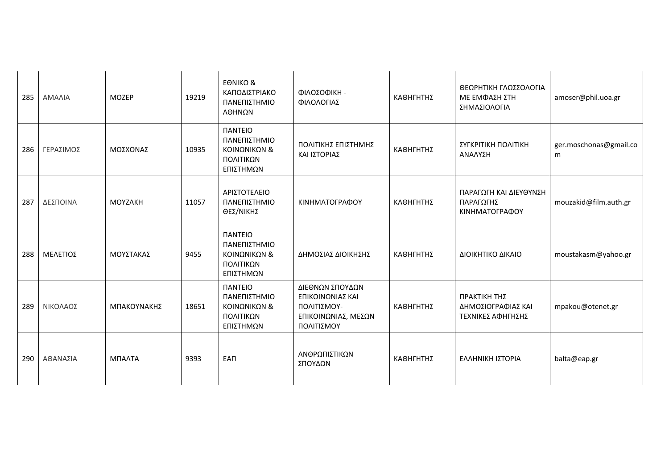| 285 | ΑΜΑΛΙΑ          | <b>MOZEP</b> | 19219 | <b>EONIKO &amp;</b><br>ΚΑΠΟΔΙΣΤΡΙΑΚΟ<br>ΠΑΝΕΠΙΣΤΗΜΙΟ<br>ΑΘΗΝΩΝ                          | ΦΙΛΟΣΟΦΙΚΗ -<br>ΦΙΛΟΛΟΓΙΑΣ                                                              | ΚΑΘΗΓΗΤΗΣ | ΘΕΩΡΗΤΙΚΗ ΓΛΩΣΣΟΛΟΓΙΑ<br>ΜΕ ΕΜΦΑΣΗ ΣΤΗ<br>ΣΗΜΑΣΙΟΛΟΓΙΑ  | amoser@phil.uoa.gr          |
|-----|-----------------|--------------|-------|-----------------------------------------------------------------------------------------|-----------------------------------------------------------------------------------------|-----------|---------------------------------------------------------|-----------------------------|
| 286 | ΓΕΡΑΣΙΜΟΣ       | ΜΟΣΧΟΝΑΣ     | 10935 | <b><i><u>IANTEIO</u></i></b><br>ΠΑΝΕΠΙΣΤΗΜΙΟ<br>ΚΟΙΝΩΝΙΚΩΝ &<br>ΠΟΛΙΤΙΚΩΝ<br>ΕΠΙΣΤΗΜΩΝ  | ΠΟΛΙΤΙΚΗΣ ΕΠΙΣΤΗΜΗΣ<br>ΚΑΙ ΙΣΤΟΡΙΑΣ                                                     | ΚΑΘΗΓΗΤΗΣ | ΣΥΓΚΡΙΤΙΚΗ ΠΟΛΙΤΙΚΗ<br>ΑΝΑΛΥΣΗ                          | ger.moschonas@gmail.co<br>m |
| 287 | ΔΕΣΠΟΙΝΑ        | MOYZAKH      | 11057 | ΑΡΙΣΤΟΤΕΛΕΙΟ<br>ΠΑΝΕΠΙΣΤΗΜΙΟ<br>ΘΕΣ/ΝΙΚΗΣ                                               | ΚΙΝΗΜΑΤΟΓΡΑΦΟΥ                                                                          | ΚΑΘΗΓΗΤΗΣ | ΠΑΡΑΓΩΓΗ ΚΑΙ ΔΙΕΥΘΥΝΣΗ<br>ΠΑΡΑΓΩΓΗΣ<br>ΚΙΝΗΜΑΤΟΓΡΑΦΟΥ   | mouzakid@film.auth.gr       |
| 288 | <b>ΜΕΛΕΤΙΟΣ</b> | ΜΟΥΣΤΑΚΑΣ    | 9455  | <b><i><u>IANTEIO</u></i></b><br>ΠΑΝΕΠΙΣΤΗΜΙΟ<br>ΚΟΙΝΩΝΙΚΩΝ &<br>ΠΟΛΙΤΙΚΩΝ<br>ΕΠΙΣΤΗΜΩΝ  | ΔΗΜΟΣΙΑΣ ΔΙΟΙΚΗΣΗΣ                                                                      | ΚΑΘΗΓΗΤΗΣ | ΔΙΟΙΚΗΤΙΚΟ ΔΙΚΑΙΟ                                       | moustakasm@yahoo.gr         |
| 289 | ΝΙΚΟΛΑΟΣ        | ΜΠΑΚΟΥΝΑΚΗΣ  | 18651 | <b><i><u>ITANTEIO</u></i></b><br>ΠΑΝΕΠΙΣΤΗΜΙΟ<br>ΚΟΙΝΩΝΙΚΩΝ &<br>ΠΟΛΙΤΙΚΩΝ<br>ΕΠΙΣΤΗΜΩΝ | ΔΙΕΘΝΩΝ ΣΠΟΥΔΩΝ<br>ΕΠΙΚΟΙΝΩΝΙΑΣ ΚΑΙ<br>ΠΟΛΙΤΙΣΜΟΥ-<br>ΕΠΙΚΟΙΝΩΝΙΑΣ, ΜΕΣΩΝ<br>ΠΟΛΙΤΙΣΜΟΥ | ΚΑΘΗΓΗΤΗΣ | ΠΡΑΚΤΙΚΗ ΤΗΣ<br>ΔΗΜΟΣΙΟΓΡΑΦΙΑΣ ΚΑΙ<br>ΤΕΧΝΙΚΕΣ ΑΦΗΓΗΣΗΣ | mpakou@otenet.gr            |
| 290 | ΑΘΑΝΑΣΙΑ        | ΜΠΑΛΤΑ       | 9393  | <b>EAN</b>                                                                              | ΑΝΘΡΩΠΙΣΤΙΚΩΝ<br>ΣΠΟΥΔΩΝ                                                                | ΚΑΘΗΓΗΤΗΣ | ΕΛΛΗΝΙΚΗ ΙΣΤΟΡΙΑ                                        | balta@eap.gr                |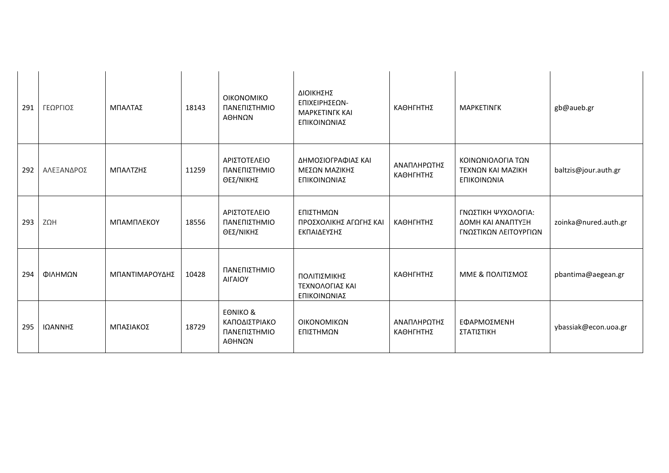| 291 | ΓΕΩΡΓΙΟΣ   | ΜΠΑΛΤΑΣ        | 18143 | <b>OIKONOMIKO</b><br>ΠΑΝΕΠΙΣΤΗΜΙΟ<br>ΑΘΗΝΩΝ                    | ΔΙΟΙΚΗΣΗΣ<br>ΕΠΙΧΕΙΡΗΣΕΩΝ-<br><b>MAPKETINFK KAI</b><br>ΕΠΙΚΟΙΝΩΝΙΑΣ | ΚΑΘΗΓΗΤΗΣ                | <b>MAPKETINFK</b>                                                 | gb@aueb.gr           |
|-----|------------|----------------|-------|----------------------------------------------------------------|---------------------------------------------------------------------|--------------------------|-------------------------------------------------------------------|----------------------|
| 292 | ΑΛΕΞΑΝΔΡΟΣ | ΜΠΑΛΤΖΗΣ       | 11259 | ΑΡΙΣΤΟΤΕΛΕΙΟ<br>ΠΑΝΕΠΙΣΤΗΜΙΟ<br>ΘΕΣ/ΝΙΚΗΣ                      | ΔΗΜΟΣΙΟΓΡΑΦΙΑΣ ΚΑΙ<br>ΜΕΣΩΝ ΜΑΖΙΚΗΣ<br>ΕΠΙΚΟΙΝΩΝΙΑΣ                 | ΑΝΑΠΛΗΡΩΤΗΣ<br>ΚΑΘΗΓΗΤΗΣ | ΚΟΙΝΩΝΙΟΛΟΓΙΑ ΤΩΝ<br>ΤΕΧΝΩΝ ΚΑΙ ΜΑΖΙΚΗ<br>ΕΠΙΚΟΙΝΩΝΙΑ             | baltzis@jour.auth.gr |
| 293 | ΖΩΗ        | ΜΠΑΜΠΛΕΚΟΥ     | 18556 | ΑΡΙΣΤΟΤΕΛΕΙΟ<br>ΠΑΝΕΠΙΣΤΗΜΙΟ<br>ΘΕΣ/ΝΙΚΗΣ                      | ΕΠΙΣΤΗΜΩΝ<br>ΠΡΟΣΧΟΛΙΚΗΣ ΑΓΩΓΗΣ ΚΑΙ<br>ΕΚΠΑΙΔΕΥΣΗΣ                  | ΚΑΘΗΓΗΤΗΣ                | ΓΝΩΣΤΙΚΗ ΨΥΧΟΛΟΓΙΑ:<br>ΔΟΜΗ ΚΑΙ ΑΝΑΠΤΥΞΗ<br>ΓΝΩΣΤΙΚΩΝ ΛΕΙΤΟΥΡΓΙΩΝ | zoinka@nured.auth.gr |
| 294 | ΦΙΛΗΜΩΝ    | ΜΠΑΝΤΙΜΑΡΟΥΔΗΣ | 10428 | ΠΑΝΕΠΙΣΤΗΜΙΟ<br>ΑΙΓΑΙΟΥ                                        | ΠΟΛΙΤΙΣΜΙΚΗΣ<br>ΤΕΧΝΟΛΟΓΙΑΣ ΚΑΙ<br>ΕΠΙΚΟΙΝΩΝΙΑΣ                     | ΚΑΘΗΓΗΤΗΣ                | ΜΜΕ & ΠΟΛΙΤΙΣΜΟΣ                                                  | pbantima@aegean.gr   |
| 295 | ΙΩΑΝΝΗΣ    | ΜΠΑΣΙΑΚΟΣ      | 18729 | <b>EONIKO &amp;</b><br>ΚΑΠΟΔΙΣΤΡΙΑΚΟ<br>ΠΑΝΕΠΙΣΤΗΜΙΟ<br>ΑΘΗΝΩΝ | ΟΙΚΟΝΟΜΙΚΩΝ<br>ΕΠΙΣΤΗΜΩΝ                                            | ΑΝΑΠΛΗΡΩΤΗΣ<br>ΚΑΘΗΓΗΤΗΣ | ΕΦΑΡΜΟΣΜΕΝΗ<br>ΣΤΑΤΙΣΤΙΚΗ                                         | ybassiak@econ.uoa.gr |
|     |            |                |       |                                                                |                                                                     |                          |                                                                   |                      |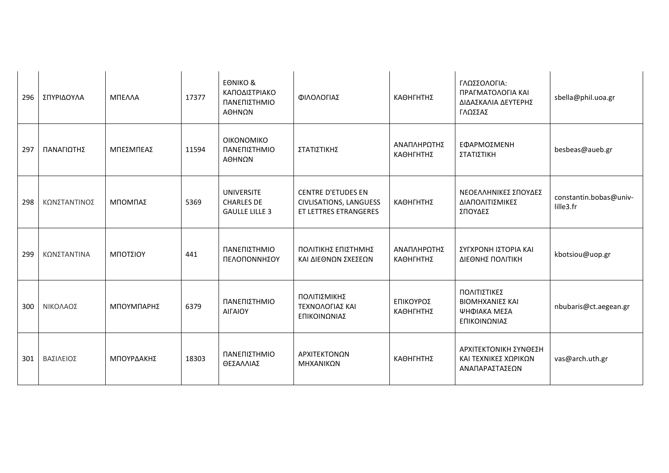| 296 | ΣΠΥΡΙΔΟΥΛΑ   | ΜΠΕΛΛΑ     | 17377 | <b>EONIKO &amp;</b><br>ΚΑΠΟΔΙΣΤΡΙΑΚΟ<br>ΠΑΝΕΠΙΣΤΗΜΙΟ<br>ΑΘΗΝΩΝ  | ΦΙΛΟΛΟΓΙΑΣ                                                                   | ΚΑΘΗΓΗΤΗΣ                | ΓΛΩΣΣΟΛΟΓΙΑ:<br>ΠΡΑΓΜΑΤΟΛΟΓΙΑ ΚΑΙ<br>ΔΙΔΑΣΚΑΛΙΑ ΔΕΥΤΕΡΗΣ<br>ΓΛΩΣΣΑΣ | sbella@phil.uoa.gr                  |
|-----|--------------|------------|-------|-----------------------------------------------------------------|------------------------------------------------------------------------------|--------------------------|---------------------------------------------------------------------|-------------------------------------|
| 297 | ΠΑΝΑΓΙΩΤΗΣ   | ΜΠΕΣΜΠΕΑΣ  | 11594 | <b>OIKONOMIKO</b><br>ΠΑΝΕΠΙΣΤΗΜΙΟ<br>ΑΘΗΝΩΝ                     | ΣΤΑΤΙΣΤΙΚΗΣ                                                                  | ΑΝΑΠΛΗΡΩΤΗΣ<br>ΚΑΘΗΓΗΤΗΣ | ΕΦΑΡΜΟΣΜΕΝΗ<br>ΣΤΑΤΙΣΤΙΚΗ                                           | besbeas@aueb.gr                     |
| 298 | ΚΩΝΣΤΑΝΤΙΝΟΣ | ΜΠΟΜΠΑΣ    | 5369  | <b>UNIVERSITE</b><br><b>CHARLES DE</b><br><b>GAULLE LILLE 3</b> | <b>CENTRE D'ETUDES EN</b><br>CIVLISATIONS, LANGUESS<br>ET LETTRES ETRANGERES | ΚΑΘΗΓΗΤΗΣ                | ΝΕΟΕΛΛΗΝΙΚΕΣ ΣΠΟΥΔΕΣ<br>ΔΙΑΠΟΛΙΤΙΣΜΙΚΕΣ<br>ΣΠΟΥΔΕΣ                  | constantin.bobas@univ-<br>lille3.fr |
| 299 | ΚΩΝΣΤΑΝΤΙΝΑ  | ΜΠΟΤΣΙΟΥ   | 441   | ΠΑΝΕΠΙΣΤΗΜΙΟ<br>ΠΕΛΟΠΟΝΝΗΣΟΥ                                    | ΠΟΛΙΤΙΚΗΣ ΕΠΙΣΤΗΜΗΣ<br>ΚΑΙ ΔΙΕΘΝΩΝ ΣΧΕΣΕΩΝ                                   | ΑΝΑΠΛΗΡΩΤΗΣ<br>ΚΑΘΗΓΗΤΗΣ | ΣΥΓΧΡΟΝΗ ΙΣΤΟΡΙΑ ΚΑΙ<br>ΔΙΕΘΝΗΣ ΠΟΛΙΤΙΚΗ                            | kbotsiou@uop.gr                     |
| 300 | ΝΙΚΟΛΑΟΣ     | ΜΠΟΥΜΠΑΡΗΣ | 6379  | ΠΑΝΕΠΙΣΤΗΜΙΟ<br>ΑΙΓΑΙΟΥ                                         | ΠΟΛΙΤΙΣΜΙΚΗΣ<br>ΤΕΧΝΟΛΟΓΙΑΣ ΚΑΙ<br>ΕΠΙΚΟΙΝΩΝΙΑΣ                              | ΕΠΙΚΟΥΡΟΣ<br>ΚΑΘΗΓΗΤΗΣ   | ΠΟΛΙΤΙΣΤΙΚΕΣ<br>ΒΙΟΜΗΧΑΝΙΕΣ ΚΑΙ<br>ΨΗΦΙΑΚΑ ΜΕΣΑ<br>ΕΠΙΚΟΙΝΩΝΙΑΣ     | nbubaris@ct.aegean.gr               |
| 301 | ΒΑΣΙΛΕΙΟΣ    | ΜΠΟΥΡΔΑΚΗΣ | 18303 | ΠΑΝΕΠΙΣΤΗΜΙΟ<br>ΘΕΣΑΛΛΙΑΣ                                       | ΑΡΧΙΤΕΚΤΟΝΩΝ<br>ΜΗΧΑΝΙΚΩΝ                                                    | ΚΑΘΗΓΗΤΗΣ                | ΑΡΧΙΤΕΚΤΟΝΙΚΗ ΣΥΝΘΕΣΗ<br>ΚΑΙ ΤΕΧΝΙΚΕΣ ΧΩΡΙΚΩΝ<br>ΑΝΑΠΑΡΑΣΤΑΣΕΩΝ     | vas@arch.uth.gr                     |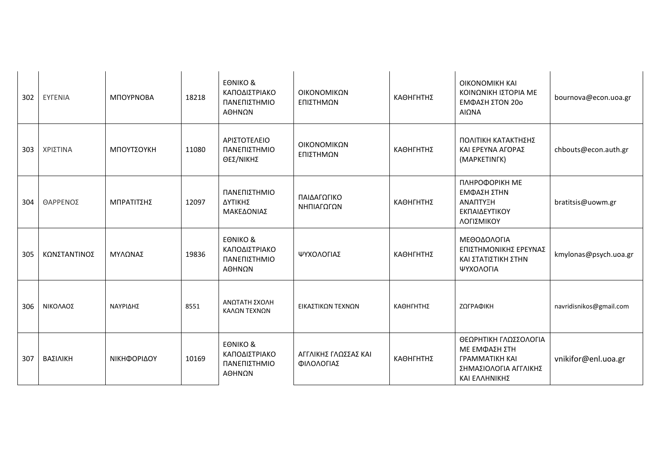| 302 | <b>EYFENIA</b> | ΜΠΟΥΡΝΟΒΑ   | 18218 | EONIKO &<br>ΚΑΠΟΔΙΣΤΡΙΑΚΟ<br>ΠΑΝΕΠΙΣΤΗΜΙΟ<br>ΑΘΗΝΩΝ            | ΟΙΚΟΝΟΜΙΚΩΝ<br>ΕΠΙΣΤΗΜΩΝ           | ΚΑΘΗΓΗΤΗΣ | <b>OIKONOMIKH KAI</b><br>ΚΟΙΝΩΝΙΚΗ ΙΣΤΟΡΙΑ ΜΕ<br>ΕΜΦΑΣΗ ΣΤΟΝ 20ο<br>ΑΙΩΝΑ                                        | bournova@econ.uoa.gr    |
|-----|----------------|-------------|-------|----------------------------------------------------------------|------------------------------------|-----------|------------------------------------------------------------------------------------------------------------------|-------------------------|
| 303 | ΧΡΙΣΤΙΝΑ       | ΜΠΟΥΤΣΟΥΚΗ  | 11080 | ΑΡΙΣΤΟΤΕΛΕΙΟ<br>ΠΑΝΕΠΙΣΤΗΜΙΟ<br>ΘΕΣ/ΝΙΚΗΣ                      | ΟΙΚΟΝΟΜΙΚΩΝ<br>ΕΠΙΣΤΗΜΩΝ           | ΚΑΘΗΓΗΤΗΣ | ΠΟΛΙΤΙΚΗ ΚΑΤΑΚΤΗΣΗΣ<br>ΚΑΙ ΕΡΕΥΝΑ ΑΓΟΡΑΣ<br>(MAPKETINFK)                                                         | chbouts@econ.auth.gr    |
| 304 | ΘΑΡΡΕΝΟΣ       | ΜΠΡΑΤΙΤΣΗΣ  | 12097 | ΠΑΝΕΠΙΣΤΗΜΙΟ<br>ΔΥΤΙΚΗΣ<br>ΜΑΚΕΔΟΝΙΑΣ                          | ΠΑΙΔΑΓΩΓΙΚΟ<br>ΝΗΠΙΑΓΩΓΩΝ          | ΚΑΘΗΓΗΤΗΣ | ПЛНРОФОРІКН МЕ<br>ΕΜΦΑΣΗ ΣΤΗΝ<br>ΑΝΑΠΤΥΞΗ<br>ΕΚΠΑΙΔΕΥΤΙΚΟΥ<br>ΛΟΓΙΣΜΙΚΟΥ                                         | bratitsis@uowm.gr       |
| 305 | ΚΩΝΣΤΑΝΤΙΝΟΣ   | ΜΥΛΩΝΑΣ     | 19836 | <b>EONIKO &amp;</b><br>ΚΑΠΟΔΙΣΤΡΙΑΚΟ<br>ΠΑΝΕΠΙΣΤΗΜΙΟ<br>ΑΘΗΝΩΝ | ΨΥΧΟΛΟΓΙΑΣ                         | ΚΑΘΗΓΗΤΗΣ | ΜΕΘΟΔΟΛΟΓΙΑ<br>ΕΠΙΣΤΗΜΟΝΙΚΗΣ ΕΡΕΥΝΑΣ<br>ΚΑΙ ΣΤΑΤΙΣΤΙΚΗ ΣΤΗΝ<br>ΨΥΧΟΛΟΓΙΑ                                         | kmylonas@psych.uoa.gr   |
| 306 | ΝΙΚΟΛΑΟΣ       | ΝΑΥΡΙΔΗΣ    | 8551  | ΑΝΩΤΑΤΗ ΣΧΟΛΗ<br>ΚΑΛΩΝ ΤΕΧΝΩΝ                                  | ΕΙΚΑΣΤΙΚΩΝ ΤΕΧΝΩΝ                  | ΚΑΘΗΓΗΤΗΣ | ΖΩΓΡΑΦΙΚΗ                                                                                                        | navridisnikos@gmail.com |
| 307 | ΒΑΣΙΛΙΚΗ       | ΝΙΚΗΦΟΡΙΔΟΥ | 10169 | <b>EONIKO &amp;</b><br>ΚΑΠΟΔΙΣΤΡΙΑΚΟ<br>ΠΑΝΕΠΙΣΤΗΜΙΟ<br>ΑΘΗΝΩΝ | ΑΓΓΛΙΚΗΣ ΓΛΩΣΣΑΣ ΚΑΙ<br>ΦΙΛΟΛΟΓΙΑΣ | ΚΑΘΗΓΗΤΗΣ | ΘΕΩΡΗΤΙΚΗ ΓΛΩΣΣΟΛΟΓΙΑ<br>ΜΕ ΕΜΦΑΣΗ ΣΤΗ<br><b><i>FPAMMATIKH KAI</i></b><br>ΣΗΜΑΣΙΟΛΟΓΙΑ ΑΓΓΛΙΚΗΣ<br>ΚΑΙ ΕΛΛΗΝΙΚΗΣ | vnikifor@enl.uoa.gr     |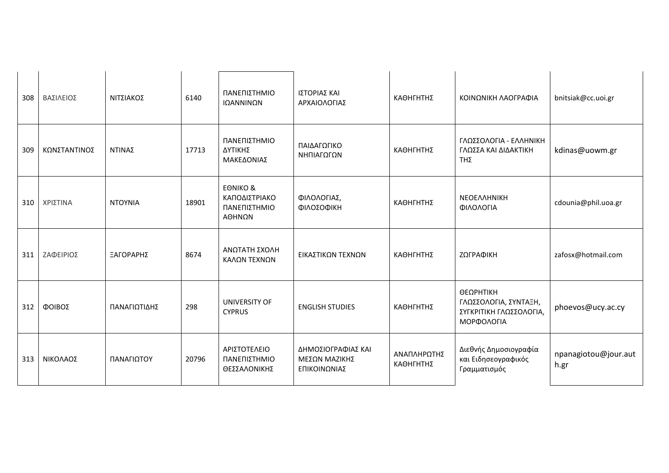| 308 | ΒΑΣΙΛΕΙΟΣ    | ΝΙΤΣΙΑΚΟΣ      | 6140  | ΠΑΝΕΠΙΣΤΗΜΙΟ<br>ΙΩΑΝΝΙΝΩΝ                                      | ΙΣΤΟΡΙΑΣ ΚΑΙ<br>ΑΡΧΑΙΟΛΟΓΙΑΣ                        | ΚΑΘΗΓΗΤΗΣ                | ΚΟΙΝΩΝΙΚΗ ΛΑΟΓΡΑΦΙΑ                                                         | bnitsiak@cc.uoi.gr           |
|-----|--------------|----------------|-------|----------------------------------------------------------------|-----------------------------------------------------|--------------------------|-----------------------------------------------------------------------------|------------------------------|
| 309 | ΚΩΝΣΤΑΝΤΙΝΟΣ | ΝΤΙΝΑΣ         | 17713 | ΠΑΝΕΠΙΣΤΗΜΙΟ<br>ΔΥΤΙΚΗΣ<br>ΜΑΚΕΔΟΝΙΑΣ                          | ΠΑΙΔΑΓΩΓΙΚΟ<br>ΝΗΠΙΑΓΩΓΩΝ                           | ΚΑΘΗΓΗΤΗΣ                | ΓΛΩΣΣΟΛΟΓΙΑ - ΕΛΛΗΝΙΚΗ<br>ΓΛΩΣΣΑ ΚΑΙ ΔΙΔΑΚΤΙΚΗ<br>TΗΣ                       | kdinas@uowm.gr               |
| 310 | ΧΡΙΣΤΙΝΑ     | <b>NTOYNIA</b> | 18901 | <b>EONIKO &amp;</b><br>ΚΑΠΟΔΙΣΤΡΙΑΚΟ<br>ΠΑΝΕΠΙΣΤΗΜΙΟ<br>ΑΘΗΝΩΝ | ΦΙΛΟΛΟΓΙΑΣ,<br>ΦΙΛΟΣΟΦΙΚΗ                           | ΚΑΘΗΓΗΤΗΣ                | <b>NEOEAAHNIKH</b><br>ΦΙΛΟΛΟΓΙΑ                                             | cdounia@phil.uoa.gr          |
| 311 | ΖΑΦΕΙΡΙΟΣ    | ΞΑΓΟΡΑΡΗΣ      | 8674  | ΑΝΩΤΑΤΗ ΣΧΟΛΗ<br>ΚΑΛΩΝ ΤΕΧΝΩΝ                                  | ΕΙΚΑΣΤΙΚΩΝ ΤΕΧΝΩΝ                                   | ΚΑΘΗΓΗΤΗΣ                | ΖΩΓΡΑΦΙΚΗ                                                                   | zafosx@hotmail.com           |
| 312 | ΦΟΙΒΟΣ       | ΠΑΝΑΓΙΩΤΙΔΗΣ   | 298   | UNIVERSITY OF<br><b>CYPRUS</b>                                 | <b>ENGLISH STUDIES</b>                              | ΚΑΘΗΓΗΤΗΣ                | ΘΕΩΡΗΤΙΚΗ<br>ΓΛΩΣΣΟΛΟΓΙΑ, ΣΥΝΤΑΞΗ,<br>ΣΥΓΚΡΙΤΙΚΗ ΓΛΩΣΣΟΛΟΓΙΑ,<br>ΜΟΡΦΟΛΟΓΙΑ | phoevos@ucy.ac.cy            |
| 313 | ΝΙΚΟΛΑΟΣ     | ΠΑΝΑΓΙΩΤΟΥ     | 20796 | ΑΡΙΣΤΟΤΕΛΕΙΟ<br>ΠΑΝΕΠΙΣΤΗΜΙΟ<br>ΘΕΣΣΑΛΟΝΙΚΗΣ                   | ΔΗΜΟΣΙΟΓΡΑΦΙΑΣ ΚΑΙ<br>ΜΕΣΩΝ ΜΑΖΙΚΗΣ<br>ΕΠΙΚΟΙΝΩΝΙΑΣ | ΑΝΑΠΛΗΡΩΤΗΣ<br>ΚΑΘΗΓΗΤΗΣ | Διεθνής Δημοσιογραφία<br>και Ειδησεογραφικός<br>Γραμματισμός                | npanagiotou@jour.aut<br>h.gr |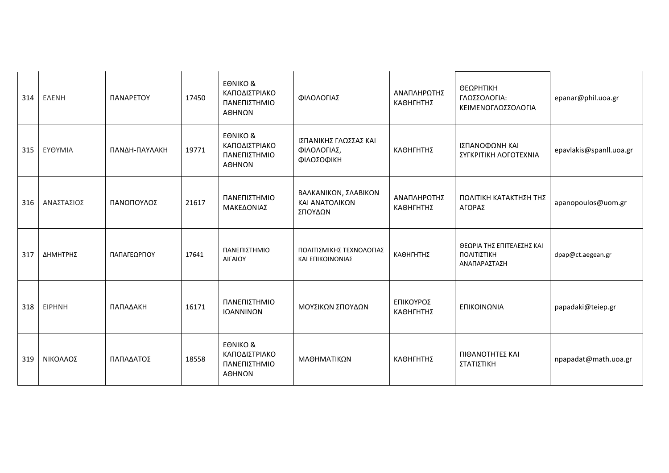| 314 | <b>ENENH</b>  | ΠΑΝΑΡΕΤΟΥ     | 17450 | <b>EONIKO &amp;</b><br>ΚΑΠΟΔΙΣΤΡΙΑΚΟ<br>ΠΑΝΕΠΙΣΤΗΜΙΟ<br>ΑΘΗΝΩΝ | ΦΙΛΟΛΟΓΙΑΣ                                         | ΑΝΑΠΛΗΡΩΤΗΣ<br>ΚΑΘΗΓΗΤΗΣ | ΘΕΩΡΗΤΙΚΗ<br>ΓΛΩΣΣΟΛΟΓΙΑ:<br>ΚΕΙΜΕΝΟΓΛΩΣΣΟΛΟΓΙΑ          | epanar@phil.uoa.gr      |
|-----|---------------|---------------|-------|----------------------------------------------------------------|----------------------------------------------------|--------------------------|----------------------------------------------------------|-------------------------|
| 315 | ΕΥΘΥΜΙΑ       | ΠΑΝΔΗ-ΠΑΥΛΑΚΗ | 19771 | <b>EONIKO &amp;</b><br>ΚΑΠΟΔΙΣΤΡΙΑΚΟ<br>ΠΑΝΕΠΙΣΤΗΜΙΟ<br>ΑΘΗΝΩΝ | ΙΣΠΑΝΙΚΗΣ ΓΛΩΣΣΑΣ ΚΑΙ<br>ΦΙΛΟΛΟΓΙΑΣ,<br>ΦΙΛΟΣΟΦΙΚΗ | ΚΑΘΗΓΗΤΗΣ                | ΙΣΠΑΝΟΦΩΝΗ ΚΑΙ<br>ΣΥΓΚΡΙΤΙΚΗ ΛΟΓΟΤΕΧΝΙΑ                  | epavlakis@spanll.uoa.gr |
| 316 | ΑΝΑΣΤΑΣΙΟΣ    | ΠΑΝΟΠΟΥΛΟΣ    | 21617 | ΠΑΝΕΠΙΣΤΗΜΙΟ<br>ΜΑΚΕΔΟΝΙΑΣ                                     | ΒΑΛΚΑΝΙΚΩΝ, ΣΛΑΒΙΚΩΝ<br>ΚΑΙ ΑΝΑΤΟΛΙΚΩΝ<br>ΣΠΟΥΔΩΝ  | ΑΝΑΠΛΗΡΩΤΗΣ<br>ΚΑΘΗΓΗΤΗΣ | ΠΟΛΙΤΙΚΗ ΚΑΤΑΚΤΗΣΗ ΤΗΣ<br>ΑΓΟΡΑΣ                         | apanopoulos@uom.gr      |
| 317 | ΔΗΜΗΤΡΗΣ      | ΠΑΠΑΓΕΩΡΓΙΟΥ  | 17641 | ΠΑΝΕΠΙΣΤΗΜΙΟ<br>ΑΙΓΑΙΟΥ                                        | ΠΟΛΙΤΙΣΜΙΚΗΣ ΤΕΧΝΟΛΟΓΙΑΣ<br>ΚΑΙ ΕΠΙΚΟΙΝΩΝΙΑΣ       | ΚΑΘΗΓΗΤΗΣ                | ΘΕΩΡΙΑ ΤΗΣ ΕΠΙΤΕΛΕΣΗΣ ΚΑΙ<br>ΠΟΛΙΤΙΣΤΙΚΗ<br>ΑΝΑΠΑΡΑΣΤΑΣΗ | dpap@ct.aegean.gr       |
| 318 | <b>EIPHNH</b> | ΠΑΠΑΔΑΚΗ      | 16171 | ΠΑΝΕΠΙΣΤΗΜΙΟ<br>ΙΩΑΝΝΙΝΩΝ                                      | ΜΟΥΣΙΚΩΝ ΣΠΟΥΔΩΝ                                   | ΕΠΙΚΟΥΡΟΣ<br>ΚΑΘΗΓΗΤΗΣ   | ΕΠΙΚΟΙΝΩΝΙΑ                                              | papadaki@teiep.gr       |
| 319 | ΝΙΚΟΛΑΟΣ      | ΠΑΠΑΔΑΤΟΣ     | 18558 | <b>EONIKO &amp;</b><br>ΚΑΠΟΔΙΣΤΡΙΑΚΟ<br>ΠΑΝΕΠΙΣΤΗΜΙΟ<br>ΑΘΗΝΩΝ | ΜΑΘΗΜΑΤΙΚΩΝ                                        | ΚΑΘΗΓΗΤΗΣ                | ΠΙΘΑΝΟΤΗΤΕΣ ΚΑΙ<br>ΣΤΑΤΙΣΤΙΚΗ                            | npapadat@math.uoa.gr    |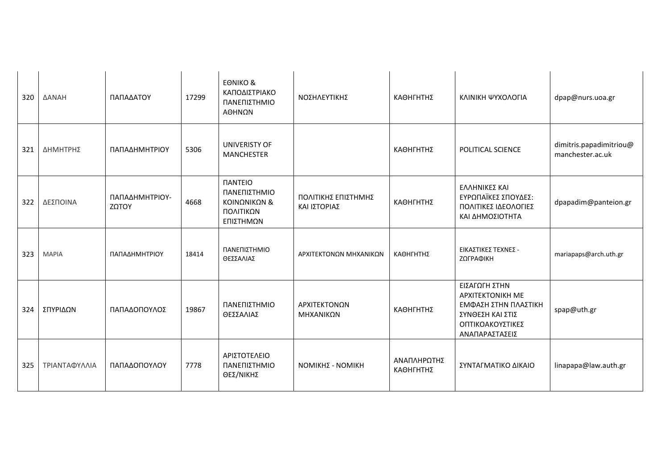| 320 | ΔΑΝΑΗ         | ΠΑΠΑΔΑΤΟΥ               | 17299 | <b>EONIKO &amp;</b><br>ΚΑΠΟΔΙΣΤΡΙΑΚΟ<br>ΠΑΝΕΠΙΣΤΗΜΙΟ<br>ΑΘΗΝΩΝ                         | ΝΟΣΗΛΕΥΤΙΚΗΣ                        | ΚΑΘΗΓΗΤΗΣ                | ΚΛΙΝΙΚΗ ΨΥΧΟΛΟΓΙΑ                                                                                                          | dpap@nurs.uoa.gr                            |
|-----|---------------|-------------------------|-------|----------------------------------------------------------------------------------------|-------------------------------------|--------------------------|----------------------------------------------------------------------------------------------------------------------------|---------------------------------------------|
| 321 | ΔΗΜΗΤΡΗΣ      | ΠΑΠΑΔΗΜΗΤΡΙΟΥ           | 5306  | UNIVERISTY OF<br><b>MANCHESTER</b>                                                     |                                     | ΚΑΘΗΓΗΤΗΣ                | POLITICAL SCIENCE                                                                                                          | dimitris.papadimitriou@<br>manchester.ac.uk |
| 322 | ΔΕΣΠΟΙΝΑ      | ΠΑΠΑΔΗΜΗΤΡΙΟΥ-<br>ΖΩΤΟΥ | 4668  | <b><i><u>IANTEIO</u></i></b><br>ΠΑΝΕΠΙΣΤΗΜΙΟ<br>ΚΟΙΝΩΝΙΚΩΝ &<br>ΠΟΛΙΤΙΚΩΝ<br>ΕΠΙΣΤΗΜΩΝ | ΠΟΛΙΤΙΚΗΣ ΕΠΙΣΤΗΜΗΣ<br>ΚΑΙ ΙΣΤΟΡΙΑΣ | ΚΑΘΗΓΗΤΗΣ                | ΕΛΛΗΝΙΚΕΣ ΚΑΙ<br>ΕΥΡΩΠΑΪΚΕΣ ΣΠΟΥΔΕΣ:<br>ΠΟΛΙΤΙΚΕΣ ΙΔΕΟΛΟΓΙΕΣ<br>ΚΑΙ ΔΗΜΟΣΙΟΤΗΤΑ                                            | dpapadim@panteion.gr                        |
| 323 | <b>MAPIA</b>  | ΠΑΠΑΔΗΜΗΤΡΙΟΥ           | 18414 | ΠΑΝΕΠΙΣΤΗΜΙΟ<br>ΘΕΣΣΑΛΙΑΣ                                                              | ΑΡΧΙΤΕΚΤΟΝΩΝ ΜΗΧΑΝΙΚΩΝ              | ΚΑΘΗΓΗΤΗΣ                | ΕΙΚΑΣΤΙΚΕΣ ΤΕΧΝΕΣ -<br>ΖΩΓΡΑΦΙΚΗ                                                                                           | mariapaps@arch.uth.gr                       |
| 324 | ΣΠΥΡΙΔΩΝ      | ΠΑΠΑΔΟΠΟΥΛΟΣ            | 19867 | ΠΑΝΕΠΙΣΤΗΜΙΟ<br>ΘΕΣΣΑΛΙΑΣ                                                              | ΑΡΧΙΤΕΚΤΟΝΩΝ<br>ΜΗΧΑΝΙΚΩΝ           | ΚΑΘΗΓΗΤΗΣ                | ΕΙΣΑΓΩΓΗ ΣΤΗΝ<br><b>APXITEKTONIKH ME</b><br>ΕΜΦΑΣΗ ΣΤΗΝ ΠΛΑΣΤΙΚΗ<br>ΣΥΝΘΕΣΗ ΚΑΙ ΣΤΙΣ<br>ΟΠΤΙΚΟΑΚΟΥΣΤΙΚΕΣ<br>ΑΝΑΠΑΡΑΣΤΑΣΕΙΣ | spap@uth.gr                                 |
| 325 | ΤΡΙΑΝΤΑΦΥΛΛΙΑ | ΠΑΠΑΔΟΠΟΥΛΟΥ            | 7778  | ΑΡΙΣΤΟΤΕΛΕΙΟ<br>ΠΑΝΕΠΙΣΤΗΜΙΟ<br>ΘΕΣ/ΝΙΚΗΣ                                              | <b>ΝΟΜΙΚΗΣ - ΝΟΜΙΚΗ</b>             | ΑΝΑΠΛΗΡΩΤΗΣ<br>ΚΑΘΗΓΗΤΗΣ | ΣΥΝΤΑΓΜΑΤΙΚΟ ΔΙΚΑΙΟ                                                                                                        | linapapa@law.auth.gr                        |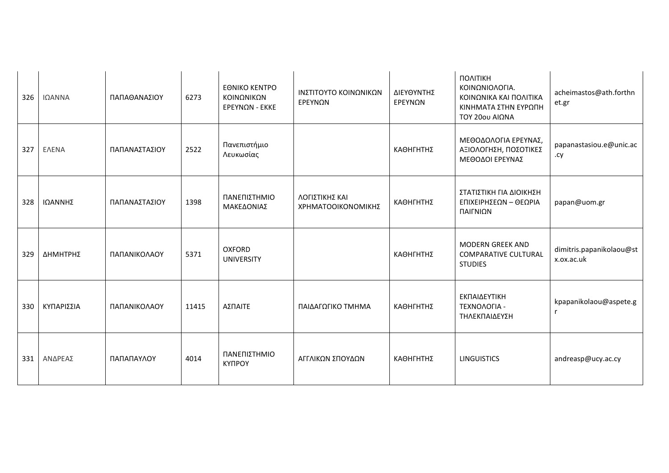| 326 | ΙΩΑΝΝΑ       | ΠΑΠΑΘΑΝΑΣΙΟΥ  | 6273  | <b>EONIKO KENTPO</b><br>ΚΟΙΝΩΝΙΚΩΝ<br>ΕΡΕΥΝΩΝ - ΕΚΚΕ | ΙΝΣΤΙΤΟΥΤΟ ΚΟΙΝΩΝΙΚΩΝ<br>ΕΡΕΥΝΩΝ     | ΔΙΕΥΘΥΝΤΗΣ<br>ΕΡΕΥΝΩΝ | ΠΟΛΙΤΙΚΗ<br>ΚΟΙΝΩΝΙΟΛΟΓΙΑ.<br>ΚΟΙΝΩΝΙΚΑ ΚΑΙ ΠΟΛΙΤΙΚΑ<br>ΚΙΝΗΜΑΤΑ ΣΤΗΝ ΕΥΡΩΠΗ<br>ΤΟΥ 20ου ΑΙΩΝΑ | acheimastos@ath.forthn<br>et.gr        |
|-----|--------------|---------------|-------|------------------------------------------------------|--------------------------------------|-----------------------|------------------------------------------------------------------------------------------------|----------------------------------------|
| 327 | <b>ENENA</b> | ΠΑΠΑΝΑΣΤΑΣΙΟΥ | 2522  | Πανεπιστήμιο<br>Λευκωσίας                            |                                      | ΚΑΘΗΓΗΤΗΣ             | ΜΕΘΟΔΟΛΟΓΙΑ ΕΡΕΥΝΑΣ,<br>ΑΞΙΟΛΟΓΗΣΗ, ΠΟΣΟΤΙΚΕΣ<br>ΜΕΘΟΔΟΙ ΕΡΕΥΝΑΣ                               | papanastasiou.e@unic.ac<br>.cy         |
| 328 | ΙΩΑΝΝΗΣ      | ΠΑΠΑΝΑΣΤΑΣΙΟΥ | 1398  | ΠΑΝΕΠΙΣΤΗΜΙΟ<br>ΜΑΚΕΔΟΝΙΑΣ                           | ΛΟΓΙΣΤΙΚΗΣ ΚΑΙ<br>ΧΡΗΜΑΤΟΟΙΚΟΝΟΜΙΚΗΣ | ΚΑΘΗΓΗΤΗΣ             | ΣΤΑΤΙΣΤΙΚΗ ΓΙΑ ΔΙΟΙΚΗΣΗ<br>ΕΠΙΧΕΙΡΗΣΕΩΝ - ΘΕΩΡΙΑ<br>ΠΑΙΓΝΙΩΝ                                   | papan@uom.gr                           |
| 329 | ΔΗΜΗΤΡΗΣ     | ΠΑΠΑΝΙΚΟΛΑΟΥ  | 5371  | <b>OXFORD</b><br><b>UNIVERSITY</b>                   |                                      | ΚΑΘΗΓΗΤΗΣ             | <b>MODERN GREEK AND</b><br><b>COMPARATIVE CULTURAL</b><br><b>STUDIES</b>                       | dimitris.papanikolaou@st<br>x.ox.ac.uk |
| 330 | ΚΥΠΑΡΙΣΣΙΑ   | ΠΑΠΑΝΙΚΟΛΑΟΥ  | 11415 | ΑΣΠΑΙΤΕ                                              | ΠΑΙΔΑΓΩΓΙΚΟ ΤΜΗΜΑ                    | ΚΑΘΗΓΗΤΗΣ             | ΕΚΠΑΙΔΕΥΤΙΚΗ<br>ΤΕΧΝΟΛΟΓΙΑ -<br>ΤΗΛΕΚΠΑΙΔΕΥΣΗ                                                  | kpapanikolaou@aspete.g                 |
| 331 | ΑΝΔΡΕΑΣ      | ΠΑΠΑΠΑΥΛΟΥ    | 4014  | ΠΑΝΕΠΙΣΤΗΜΙΟ<br>КҮПРОҮ                               | ΑΓΓΛΙΚΩΝ ΣΠΟΥΔΩΝ                     | ΚΑΘΗΓΗΤΗΣ             | <b>LINGUISTICS</b>                                                                             | andreasp@ucy.ac.cy                     |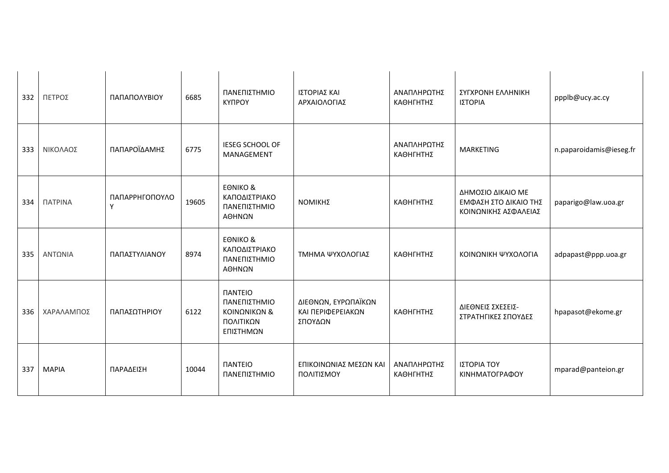| 332 | ΠΕΤΡΟΣ         | ΠΑΠΑΠΟΛΥΒΙΟΥ        | 6685  | ΠΑΝΕΠΙΣΤΗΜΙΟ<br><b>КҮПРОҮ</b>                                                          | ΙΣΤΟΡΙΑΣ ΚΑΙ<br>ΑΡΧΑΙΟΛΟΓΙΑΣ                        | ΑΝΑΠΛΗΡΩΤΗΣ<br>ΚΑΘΗΓΗΤΗΣ | ΣΥΓΧΡΟΝΗ ΕΛΛΗΝΙΚΗ<br>ΙΣΤΟΡΙΑ                                       | ppplb@ucy.ac.cy         |
|-----|----------------|---------------------|-------|----------------------------------------------------------------------------------------|-----------------------------------------------------|--------------------------|--------------------------------------------------------------------|-------------------------|
| 333 | ΝΙΚΟΛΑΟΣ       | ΠΑΠΑΡΟΪΔΑΜΗΣ        | 6775  | <b>IESEG SCHOOL OF</b><br>MANAGEMENT                                                   |                                                     | ΑΝΑΠΛΗΡΩΤΗΣ<br>ΚΑΘΗΓΗΤΗΣ | <b>MARKETING</b>                                                   | n.paparoidamis@ieseg.fr |
| 334 | <b>ΠΑΤΡΙΝΑ</b> | ΠΑΠΑΡΡΗΓΟΠΟΥΛΟ<br>Υ | 19605 | <b>EONIKO &amp;</b><br>ΚΑΠΟΔΙΣΤΡΙΑΚΟ<br>ΠΑΝΕΠΙΣΤΗΜΙΟ<br>ΑΘΗΝΩΝ                         | ΝΟΜΙΚΗΣ                                             | ΚΑΘΗΓΗΤΗΣ                | ΔΗΜΟΣΙΟ ΔΙΚΑΙΟ ΜΕ<br>ΕΜΦΑΣΗ ΣΤΟ ΔΙΚΑΙΟ ΤΗΣ<br>ΚΟΙΝΩΝΙΚΗΣ ΑΣΦΑΛΕΙΑΣ | paparigo@law.uoa.gr     |
| 335 | ΑΝΤΩΝΙΑ        | ΠΑΠΑΣΤΥΛΙΑΝΟΥ       | 8974  | <b>EONIKO &amp;</b><br>ΚΑΠΟΔΙΣΤΡΙΑΚΟ<br>ΠΑΝΕΠΙΣΤΗΜΙΟ<br>ΑΘΗΝΩΝ                         | ΤΜΗΜΑ ΨΥΧΟΛΟΓΙΑΣ                                    | ΚΑΘΗΓΗΤΗΣ                | ΚΟΙΝΩΝΙΚΗ ΨΥΧΟΛΟΓΙΑ                                                | adpapast@ppp.uoa.gr     |
| 336 | ΧΑΡΑΛΑΜΠΟΣ     | ΠΑΠΑΣΩΤΗΡΙΟΥ        | 6122  | <b><i><u>IANTEIO</u></i></b><br>ΠΑΝΕΠΙΣΤΗΜΙΟ<br>ΚΟΙΝΩΝΙΚΩΝ &<br>ΠΟΛΙΤΙΚΩΝ<br>ΕΠΙΣΤΗΜΩΝ | ΔΙΕΘΝΩΝ, ΕΥΡΩΠΑΪΚΩΝ<br>ΚΑΙ ΠΕΡΙΦΕΡΕΙΑΚΩΝ<br>ΣΠΟΥΔΩΝ | ΚΑΘΗΓΗΤΗΣ                | ΔΙΕΘΝΕΙΣ ΣΧΕΣΕΙΣ-<br>ΣΤΡΑΤΗΓΙΚΕΣ ΣΠΟΥΔΕΣ                           | hpapasot@ekome.gr       |
| 337 | <b>MAPIA</b>   | ΠΑΡΑΔΕΙΣΗ           | 10044 | <b><i><u>IANTEIO</u></i></b><br>ΠΑΝΕΠΙΣΤΗΜΙΟ                                           | ΕΠΙΚΟΙΝΩΝΙΑΣ ΜΕΣΩΝ ΚΑΙ<br>ΠΟΛΙΤΙΣΜΟΥ                | ΑΝΑΠΛΗΡΩΤΗΣ<br>ΚΑΘΗΓΗΤΗΣ | ΙΣΤΟΡΙΑ ΤΟΥ<br>ΚΙΝΗΜΑΤΟΓΡΑΦΟΥ                                      | mparad@panteion.gr      |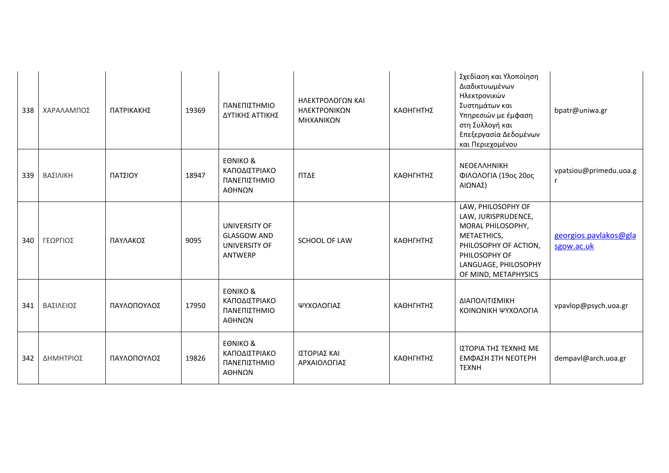| 338 | ΧΑΡΑΛΑΜΠΟΣ | ΠΑΤΡΙΚΑΚΗΣ  | 19369 | ΠΑΝΕΠΙΣΤΗΜΙΟ<br>ΔΥΤΙΚΗΣ ΑΤΤΙΚΗΣ                                 | ΗΛΕΚΤΡΟΛΟΓΩΝ ΚΑΙ<br>ΗΛΕΚΤΡΟΝΙΚΩΝ<br>ΜΗΧΑΝΙΚΩΝ | ΚΑΘΗΓΗΤΗΣ | Σχεδίαση και Υλοποίηση<br>Διαδικτυωμένων<br>Ηλεκτρονικών<br>Συστημάτων και<br>Υπηρεσιών με έμφαση<br>στη Συλλογή και<br>Επεξεργασία Δεδομένων<br>και Περιεχομένου       | bpatr@uniwa.gr                      |
|-----|------------|-------------|-------|-----------------------------------------------------------------|-----------------------------------------------|-----------|-------------------------------------------------------------------------------------------------------------------------------------------------------------------------|-------------------------------------|
| 339 | ΒΑΣΙΛΙΚΗ   | ΠΑΤΣΙΟΥ     | 18947 | <b>EONIKO &amp;</b><br>ΚΑΠΟΔΙΣΤΡΙΑΚΟ<br>ΠΑΝΕΠΙΣΤΗΜΙΟ<br>ΑΘΗΝΩΝ  | ΠΤΔΕ                                          | ΚΑΘΗΓΗΤΗΣ | ΝΕΟΕΛΛΗΝΙΚΗ<br>ΦΙΛΟΛΟΓΙΑ (19ος 20ος<br>ΑΙΩΝΑΣ)                                                                                                                          | vpatsiou@primedu.uoa.g              |
| 340 | ΓΕΩΡΓΙΟΣ   | ΠΑΥΛΑΚΟΣ    | 9095  | UNIVERSITY OF<br><b>GLASGOW AND</b><br>UNIVERSITY OF<br>ANTWERP | SCHOOL OF LAW                                 | ΚΑΘΗΓΗΤΗΣ | LAW, PHILOSOPHY OF<br>LAW, JURISPRUDENCE,<br>MORAL PHILOSOPHY,<br>METAETHICS,<br>PHILOSOPHY OF ACTION,<br>PHILOSOPHY OF<br>LANGUAGE, PHILOSOPHY<br>OF MIND, METAPHYSICS | georgios.pavlakos@gla<br>sgow.ac.uk |
| 341 | ΒΑΣΙΛΕΙΟΣ  | ΠΑΥΛΟΠΟΥΛΟΣ | 17950 | <b>EONIKO &amp;</b><br>ΚΑΠΟΔΙΣΤΡΙΑΚΟ<br>ΠΑΝΕΠΙΣΤΗΜΙΟ<br>ΑΘΗΝΩΝ  | ΨΥΧΟΛΟΓΙΑΣ                                    | ΚΑΘΗΓΗΤΗΣ | ΔΙΑΠΟΛΙΤΙΣΜΙΚΗ<br>ΚΟΙΝΩΝΙΚΗ ΨΥΧΟΛΟΓΙΑ                                                                                                                                   | vpavlop@psych.uoa.gr                |
| 342 | ΔΗΜΗΤΡΙΟΣ  | ΠΑΥΛΟΠΟΥΛΟΣ | 19826 | <b>EONIKO &amp;</b><br>ΚΑΠΟΔΙΣΤΡΙΑΚΟ<br>ΠΑΝΕΠΙΣΤΗΜΙΟ<br>ΑΘΗΝΩΝ  | ΙΣΤΟΡΙΑΣ ΚΑΙ<br>ΑΡΧΑΙΟΛΟΓΙΑΣ                  | ΚΑΘΗΓΗΤΗΣ | ΙΣΤΟΡΙΑ ΤΗΣ ΤΕΧΝΗΣ ΜΕ<br>ΕΜΦΑΣΗ ΣΤΗ ΝΕΟΤΕΡΗ<br><b>TEXNH</b>                                                                                                             | dempavl@arch.uoa.gr                 |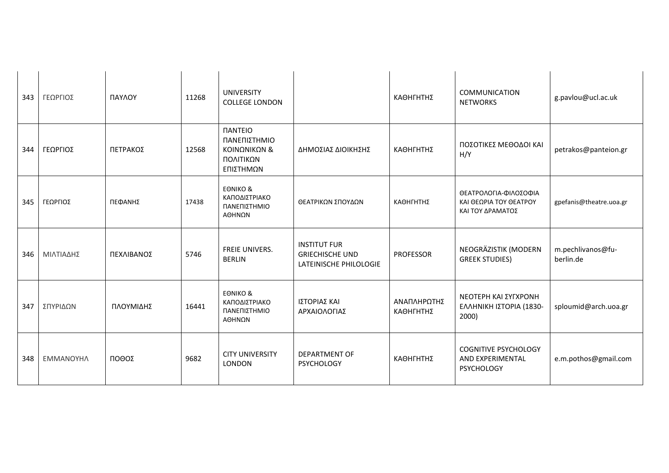| 343 | ΓΕΩΡΓΙΟΣ  | ΠΑΥΛΟΥ     | 11268 | <b>UNIVERSITY</b><br><b>COLLEGE LONDON</b>                                      |                                                                         | ΚΑΘΗΓΗΤΗΣ                | COMMUNICATION<br><b>NETWORKS</b>                                     | g.pavlou@ucl.ac.uk             |
|-----|-----------|------------|-------|---------------------------------------------------------------------------------|-------------------------------------------------------------------------|--------------------------|----------------------------------------------------------------------|--------------------------------|
| 344 | ΓΕΩΡΓΙΟΣ  | ΠΕΤΡΑΚΟΣ   | 12568 | <b><i>NANTEIO</i></b><br>ΠΑΝΕΠΙΣΤΗΜΙΟ<br>ΚΟΙΝΩΝΙΚΩΝ &<br>ΠΟΛΙΤΙΚΩΝ<br>ΕΠΙΣΤΗΜΩΝ | ΔΗΜΟΣΙΑΣ ΔΙΟΙΚΗΣΗΣ                                                      | ΚΑΘΗΓΗΤΗΣ                | ΠΟΣΟΤΙΚΕΣ ΜΕΘΟΔΟΙ ΚΑΙ<br>H/Y                                         | petrakos@panteion.gr           |
| 345 | ΓΕΩΡΓΙΟΣ  | ΠΕΦΑΝΗΣ    | 17438 | <b>EONIKO &amp;</b><br>ΚΑΠΟΔΙΣΤΡΙΑΚΟ<br>ΠΑΝΕΠΙΣΤΗΜΙΟ<br>ΑΘΗΝΩΝ                  | ΘΕΑΤΡΙΚΩΝ ΣΠΟΥΔΩΝ                                                       | ΚΑΘΗΓΗΤΗΣ                | ΘΕΑΤΡΟΛΟΓΙΑ-ΦΙΛΟΣΟΦΙΑ<br>ΚΑΙ ΘΕΩΡΙΑ ΤΟΥ ΘΕΑΤΡΟΥ<br>ΚΑΙ ΤΟΥ ΔΡΑΜΑΤΟΣ  | gpefanis@theatre.uoa.gr        |
| 346 | ΜΙΛΤΙΑΔΗΣ | ΠΕΧΛΙΒΑΝΟΣ | 5746  | FREIE UNIVERS.<br><b>BERLIN</b>                                                 | <b>INSTITUT FUR</b><br><b>GRIECHISCHE UND</b><br>LATEINISCHE PHILOLOGIE | <b>PROFESSOR</b>         | NEOGRÄZISTIK (MODERN<br><b>GREEK STUDIES)</b>                        | m.pechlivanos@fu-<br>berlin.de |
| 347 | ΣΠΥΡΙΔΩΝ  | ΠΛΟΥΜΙΔΗΣ  | 16441 | <b>EONIKO &amp;</b><br>ΚΑΠΟΔΙΣΤΡΙΑΚΟ<br>ΠΑΝΕΠΙΣΤΗΜΙΟ<br>ΑΘΗΝΩΝ                  | ΙΣΤΟΡΙΑΣ ΚΑΙ<br>ΑΡΧΑΙΟΛΟΓΙΑΣ                                            | ΑΝΑΠΛΗΡΩΤΗΣ<br>ΚΑΘΗΓΗΤΗΣ | ΝΕΟΤΕΡΗ ΚΑΙ ΣΥΓΧΡΟΝΗ<br>ΕΛΛΗΝΙΚΗ ΙΣΤΟΡΙΑ (1830-<br>2000)             | sploumid@arch.uoa.gr           |
| 348 | ΕΜΜΑΝΟΥΗΛ | ΠΟΘΟΣ      | 9682  | <b>CITY UNIVERSITY</b><br><b>LONDON</b>                                         | <b>DEPARTMENT OF</b><br><b>PSYCHOLOGY</b>                               | ΚΑΘΗΓΗΤΗΣ                | <b>COGNITIVE PSYCHOLOGY</b><br>AND EXPERIMENTAL<br><b>PSYCHOLOGY</b> | e.m.pothos@gmail.com           |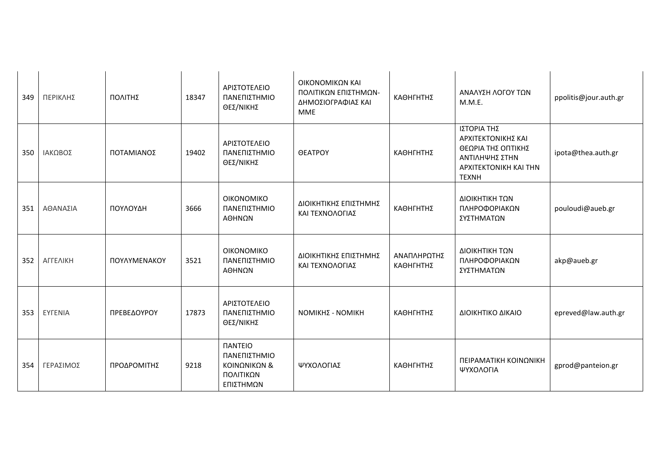| 349 | ΠΕΡΙΚΛΗΣ       | ΠΟΛΙΤΗΣ      | 18347 | ΑΡΙΣΤΟΤΕΛΕΙΟ<br>ΠΑΝΕΠΙΣΤΗΜΙΟ<br>ΘΕΣ/ΝΙΚΗΣ                                               | ΟΙΚΟΝΟΜΙΚΩΝ ΚΑΙ<br>ΠΟΛΙΤΙΚΩΝ ΕΠΙΣΤΗΜΩΝ-<br>ΔΗΜΟΣΙΟΓΡΑΦΙΑΣ ΚΑΙ<br><b>MME</b> | ΚΑΘΗΓΗΤΗΣ                | ΑΝΑΛΥΣΗ ΛΟΓΟΥ ΤΩΝ<br>M.M.E.                                                                                        | ppolitis@jour.auth.gr |
|-----|----------------|--------------|-------|-----------------------------------------------------------------------------------------|-----------------------------------------------------------------------------|--------------------------|--------------------------------------------------------------------------------------------------------------------|-----------------------|
| 350 | ΙΑΚΩΒΟΣ        | ΠΟΤΑΜΙΑΝΟΣ   | 19402 | ΑΡΙΣΤΟΤΕΛΕΙΟ<br>ΠΑΝΕΠΙΣΤΗΜΙΟ<br>ΘΕΣ/ΝΙΚΗΣ                                               | <b>OEATPOY</b>                                                              | ΚΑΘΗΓΗΤΗΣ                | ΙΣΤΟΡΙΑ ΤΗΣ<br>ΑΡΧΙΤΕΚΤΟΝΙΚΗΣ ΚΑΙ<br>ΘΕΩΡΙΑ ΤΗΣ ΟΠΤΙΚΗΣ<br>ΑΝΤΙΛΗΨΗΣ ΣΤΗΝ<br>APXITEKTONIKH KAI THN<br><b>TEXNH</b> | ipota@thea.auth.gr    |
| 351 | ΑΘΑΝΑΣΙΑ       | ΠΟΥΛΟΥΔΗ     | 3666  | <b>OIKONOMIKO</b><br>ΠΑΝΕΠΙΣΤΗΜΙΟ<br>ΑΘΗΝΩΝ                                             | ΔΙΟΙΚΗΤΙΚΗΣ ΕΠΙΣΤΗΜΗΣ<br>ΚΑΙ ΤΕΧΝΟΛΟΓΙΑΣ                                    | ΚΑΘΗΓΗΤΗΣ                | ΔΙΟΙΚΗΤΙΚΗ ΤΩΝ<br>ΠΛΗΡΟΦΟΡΙΑΚΩΝ<br>ΣΥΣΤΗΜΑΤΩΝ                                                                      | pouloudi@aueb.gr      |
| 352 | ΑΓΓΕΛΙΚΗ       | ΠΟΥΛΥΜΕΝΑΚΟΥ | 3521  | <b>OIKONOMIKO</b><br>ΠΑΝΕΠΙΣΤΗΜΙΟ<br>ΑΘΗΝΩΝ                                             | ΔΙΟΙΚΗΤΙΚΗΣ ΕΠΙΣΤΗΜΗΣ<br>ΚΑΙ ΤΕΧΝΟΛΟΓΙΑΣ                                    | ΑΝΑΠΛΗΡΩΤΗΣ<br>ΚΑΘΗΓΗΤΗΣ | ΔΙΟΙΚΗΤΙΚΗ ΤΩΝ<br>ΠΛΗΡΟΦΟΡΙΑΚΩΝ<br>ΣΥΣΤΗΜΑΤΩΝ                                                                      | akp@aueb.gr           |
| 353 | <b>EYFENIA</b> | ΠΡΕΒΕΔΟΥΡΟΥ  | 17873 | ΑΡΙΣΤΟΤΕΛΕΙΟ<br>ΠΑΝΕΠΙΣΤΗΜΙΟ<br>ΘΕΣ/ΝΙΚΗΣ                                               | ΝΟΜΙΚΗΣ - ΝΟΜΙΚΗ                                                            | ΚΑΘΗΓΗΤΗΣ                | ΔΙΟΙΚΗΤΙΚΟ ΔΙΚΑΙΟ                                                                                                  | epreved@law.auth.gr   |
| 354 | ΓΕΡΑΣΙΜΟΣ      | ΠΡΟΔΡΟΜΙΤΗΣ  | 9218  | <b><i><u>ITANTEIO</u></i></b><br>ΠΑΝΕΠΙΣΤΗΜΙΟ<br>ΚΟΙΝΩΝΙΚΩΝ &<br>ΠΟΛΙΤΙΚΩΝ<br>ΕΠΙΣΤΗΜΩΝ | ΨΥΧΟΛΟΓΙΑΣ                                                                  | ΚΑΘΗΓΗΤΗΣ                | ΠΕΙΡΑΜΑΤΙΚΗ ΚΟΙΝΩΝΙΚΗ<br>ΨΥΧΟΛΟΓΙΑ                                                                                 | gprod@panteion.gr     |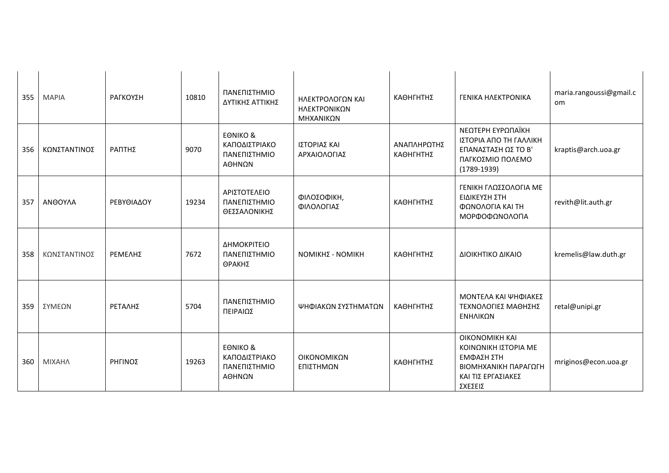| 355 | <b>MAPIA</b> | ΡΑΓΚΟΥΣΗ   | 10810 | ΠΑΝΕΠΙΣΤΗΜΙΟ<br>ΔΥΤΙΚΗΣ ΑΤΤΙΚΗΣ                                | ΗΛΕΚΤΡΟΛΟΓΩΝ ΚΑΙ<br>ΗΛΕΚΤΡΟΝΙΚΩΝ<br>ΜΗΧΑΝΙΚΩΝ | ΚΑΘΗΓΗΤΗΣ                | ΓΕΝΙΚΑ ΗΛΕΚΤΡΟΝΙΚΑ                                                                                                   | maria.rangoussi@gmail.c<br>om. |
|-----|--------------|------------|-------|----------------------------------------------------------------|-----------------------------------------------|--------------------------|----------------------------------------------------------------------------------------------------------------------|--------------------------------|
| 356 | ΚΩΝΣΤΑΝΤΙΝΟΣ | ΡΑΠΤΗΣ     | 9070  | <b>EONIKO &amp;</b><br>ΚΑΠΟΔΙΣΤΡΙΑΚΟ<br>ΠΑΝΕΠΙΣΤΗΜΙΟ<br>ΑΘΗΝΩΝ | ΙΣΤΟΡΙΑΣ ΚΑΙ<br>ΑΡΧΑΙΟΛΟΓΙΑΣ                  | ΑΝΑΠΛΗΡΩΤΗΣ<br>ΚΑΘΗΓΗΤΗΣ | ΝΕΩΤΕΡΗ ΕΥΡΩΠΑΪΚΗ<br>ΙΣΤΟΡΙΑ ΑΠΟ ΤΗ ΓΑΛΛΙΚΗ<br>ΕΠΑΝΑΣΤΑΣΗ ΩΣ ΤΟ Β'<br>ΠΑΓΚΟΣΜΙΟ ΠΟΛΕΜΟ<br>$(1789 - 1939)$            | kraptis@arch.uoa.gr            |
| 357 | ΑΝΘΟΥΛΑ      | ΡΕΒΥΘΙΑΔΟΥ | 19234 | ΑΡΙΣΤΟΤΕΛΕΙΟ<br>ΠΑΝΕΠΙΣΤΗΜΙΟ<br>ΘΕΣΣΑΛΟΝΙΚΗΣ                   | ΦΙΛΟΣΟΦΙΚΗ,<br>ΦΙΛΟΛΟΓΙΑΣ                     | ΚΑΘΗΓΗΤΗΣ                | ΓΕΝΙΚΗ ΓΛΩΣΣΟΛΟΓΙΑ ΜΕ<br>ΕΙΔΙΚΕΥΣΗ ΣΤΗ<br>ΦΩΝΟΛΟΓΙΑ ΚΑΙ ΤΗ<br>ΜΟΡΦΟΦΩΝΟΛΟΓΙΑ                                         | revith@lit.auth.gr             |
| 358 | ΚΩΝΣΤΑΝΤΙΝΟΣ | ΡΕΜΕΛΗΣ    | 7672  | ΔΗΜΟΚΡΙΤΕΙΟ<br>ΠΑΝΕΠΙΣΤΗΜΙΟ<br>ΘΡΑΚΗΣ                          | ΝΟΜΙΚΗΣ - ΝΟΜΙΚΗ                              | ΚΑΘΗΓΗΤΗΣ                | ΔΙΟΙΚΗΤΙΚΟ ΔΙΚΑΙΟ                                                                                                    | kremelis@law.duth.gr           |
| 359 | ΣΥΜΕΩΝ       | ΡΕΤΑΛΗΣ    | 5704  | ΠΑΝΕΠΙΣΤΗΜΙΟ<br>ΠΕΙΡΑΙΩΣ                                       | ΨΗΦΙΑΚΩΝ ΣΥΣΤΗΜΑΤΩΝ                           | ΚΑΘΗΓΗΤΗΣ                | ΜΟΝΤΕΛΑ ΚΑΙ ΨΗΦΙΑΚΕΣ<br>ΤΕΧΝΟΛΟΓΙΕΣ ΜΑΘΗΣΗΣ<br>ΕΝΗΛΙΚΩΝ                                                              | retal@unipi.gr                 |
| 360 | ΜΙΧΑΗΛ       | ΡΗΓΙΝΟΣ    | 19263 | <b>EONIKO &amp;</b><br>ΚΑΠΟΔΙΣΤΡΙΑΚΟ<br>ΠΑΝΕΠΙΣΤΗΜΙΟ<br>ΑΘΗΝΩΝ | ΟΙΚΟΝΟΜΙΚΩΝ<br>ΕΠΙΣΤΗΜΩΝ                      | ΚΑΘΗΓΗΤΗΣ                | <b>OIKONOMIKH KAI</b><br>ΚΟΙΝΩΝΙΚΗ ΙΣΤΟΡΙΑ ΜΕ<br>ΕΜΦΑΣΗ ΣΤΗ<br>ΒΙΟΜΗΧΑΝΙΚΗ ΠΑΡΑΓΩΓΗ<br>ΚΑΙ ΤΙΣ ΕΡΓΑΣΙΑΚΕΣ<br>ΣΧΕΣΕΙΣ | mriginos@econ.uoa.gr           |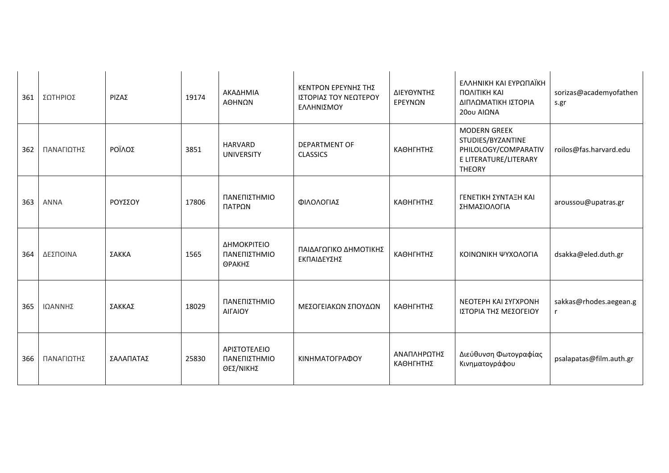| 361 | ΣΩΤΗΡΙΟΣ    | ΡΙΖΑΣ     | 19174 | ΑΚΑΔΗΜΙΑ<br>ΑΘΗΝΩΝ                        | ΚΕΝΤΡΟΝ ΕΡΕΥΝΗΣ ΤΗΣ<br>ΙΣΤΟΡΙΑΣ ΤΟΥ ΝΕΩΤΕΡΟΥ<br>ΕΛΛΗΝΙΣΜΟΥ | ΔΙΕΥΘΥΝΤΗΣ<br>ΕΡΕΥΝΩΝ    | ΕΛΛΗΝΙΚΗ ΚΑΙ ΕΥΡΩΠΑΪΚΗ<br><b><i>ΠΟΛΙΤΙΚΗ ΚΑΙ</i></b><br>ΔΙΠΛΩΜΑΤΙΚΗ ΙΣΤΟΡΙΑ<br>20ου ΑΙΩΝΑ                  | sorizas@academyofathen<br>s.gr |
|-----|-------------|-----------|-------|-------------------------------------------|------------------------------------------------------------|--------------------------|------------------------------------------------------------------------------------------------------------|--------------------------------|
| 362 | ΠΑΝΑΓΙΩΤΗΣ  | ΡΟΪΛΟΣ    | 3851  | <b>HARVARD</b><br><b>UNIVERSITY</b>       | <b>DEPARTMENT OF</b><br><b>CLASSICS</b>                    | ΚΑΘΗΓΗΤΗΣ                | <b>MODERN GREEK</b><br>STUDIES/BYZANTINE<br>PHILOLOGY/COMPARATIV<br>E LITERATURE/LITERARY<br><b>THEORY</b> | roilos@fas.harvard.edu         |
| 363 | <b>ANNA</b> | ΡΟΥΣΣΟΥ   | 17806 | ΠΑΝΕΠΙΣΤΗΜΙΟ<br>ΠΑΤΡΩΝ                    | ΦΙΛΟΛΟΓΙΑΣ                                                 | ΚΑΘΗΓΗΤΗΣ                | ΓΕΝΕΤΙΚΗ ΣΥΝΤΑΞΗ ΚΑΙ<br>ΣΗΜΑΣΙΟΛΟΓΙΑ                                                                       | aroussou@upatras.gr            |
| 364 | ΔΕΣΠΟΙΝΑ    | ΣΑΚΚΑ     | 1565  | ΔΗΜΟΚΡΙΤΕΙΟ<br>ΠΑΝΕΠΙΣΤΗΜΙΟ<br>ΘΡΑΚΗΣ     | ΠΑΙΔΑΓΩΓΙΚΟ ΔΗΜΟΤΙΚΗΣ<br>ΕΚΠΑΙΔΕΥΣΗΣ                       | ΚΑΘΗΓΗΤΗΣ                | ΚΟΙΝΩΝΙΚΗ ΨΥΧΟΛΟΓΙΑ                                                                                        | dsakka@eled.duth.gr            |
| 365 | ΙΩΑΝΝΗΣ     | ΣΑΚΚΑΣ    | 18029 | ΠΑΝΕΠΙΣΤΗΜΙΟ<br>ΑΙΓΑΙΟΥ                   | ΜΕΣΟΓΕΙΑΚΩΝ ΣΠΟΥΔΩΝ                                        | ΚΑΘΗΓΗΤΗΣ                | ΝΕΟΤΕΡΗ ΚΑΙ ΣΥΓΧΡΟΝΗ<br>ΙΣΤΟΡΙΑ ΤΗΣ ΜΕΣΟΓΕΙΟΥ                                                              | sakkas@rhodes.aegean.g<br>r    |
| 366 | ΠΑΝΑΓΙΩΤΗΣ  | ΣΑΛΑΠΑΤΑΣ | 25830 | ΑΡΙΣΤΟΤΕΛΕΙΟ<br>ΠΑΝΕΠΙΣΤΗΜΙΟ<br>ΘΕΣ/ΝΙΚΗΣ | ΚΙΝΗΜΑΤΟΓΡΑΦΟΥ                                             | ΑΝΑΠΛΗΡΩΤΗΣ<br>ΚΑΘΗΓΗΤΗΣ | Διεύθυνση Φωτογραφίας<br>Κινηματογράφου                                                                    | psalapatas@film.auth.gr        |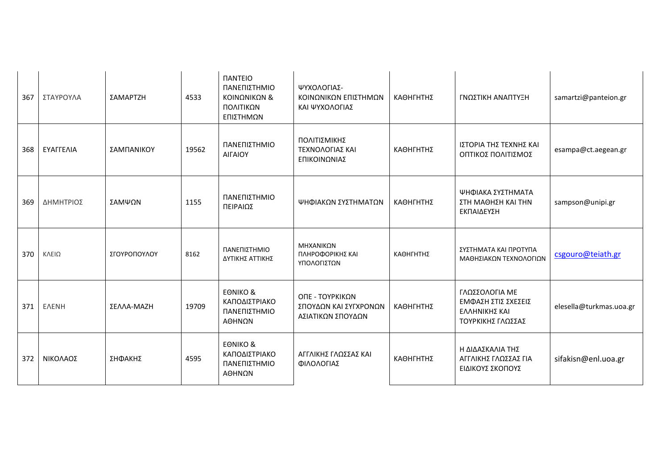| 367 | ΣΤΑΥΡΟΥΛΑ    | ΣΑΜΑΡΤΖΗ     | 4533  | <b><i><u>IANTEIO</u></i></b><br>ΠΑΝΕΠΙΣΤΗΜΙΟ<br>ΚΟΙΝΩΝΙΚΩΝ &<br>ΠΟΛΙΤΙΚΩΝ<br>ΕΠΙΣΤΗΜΩΝ | ΨΥΧΟΛΟΓΙΑΣ-<br>ΚΟΙΝΩΝΙΚΩΝ ΕΠΙΣΤΗΜΩΝ<br>ΚΑΙ ΨΥΧΟΛΟΓΙΑΣ         | ΚΑΘΗΓΗΤΗΣ | ΓΝΩΣΤΙΚΗ ΑΝΑΠΤΥΞΗ                                                           | samartzi@panteion.gr    |
|-----|--------------|--------------|-------|----------------------------------------------------------------------------------------|---------------------------------------------------------------|-----------|-----------------------------------------------------------------------------|-------------------------|
| 368 | ΕΥΑΓΓΕΛΙΑ    | ΣΑΜΠΑΝΙΚΟΥ   | 19562 | ΠΑΝΕΠΙΣΤΗΜΙΟ<br>ΑΙΓΑΙΟΥ                                                                | ΠΟΛΙΤΙΣΜΙΚΗΣ<br>ΤΕΧΝΟΛΟΓΙΑΣ ΚΑΙ<br>ΕΠΙΚΟΙΝΩΝΙΑΣ               | ΚΑΘΗΓΗΤΗΣ | ΙΣΤΟΡΙΑ ΤΗΣ ΤΕΧΝΗΣ ΚΑΙ<br>ΟΠΤΙΚΟΣ ΠΟΛΙΤΙΣΜΟΣ                                | esampa@ct.aegean.gr     |
| 369 | ΔΗΜΗΤΡΙΟΣ    | ΣΑΜΨΩΝ       | 1155  | ΠΑΝΕΠΙΣΤΗΜΙΟ<br>ΠΕΙΡΑΙΩΣ                                                               | ΨΗΦΙΑΚΩΝ ΣΥΣΤΗΜΑΤΩΝ                                           | ΚΑΘΗΓΗΤΗΣ | ΨΗΦΙΑΚΑ ΣΥΣΤΗΜΑΤΑ<br>ΣΤΗ ΜΑΘΗΣΗ ΚΑΙ ΤΗΝ<br>ΕΚΠΑΙΔΕΥΣΗ                       | sampson@unipi.gr        |
| 370 | ΚΛΕΙΩ        | ΣΓΟΥΡΟΠΟΥΛΟΥ | 8162  | ΠΑΝΕΠΙΣΤΗΜΙΟ<br>ΔΥΤΙΚΗΣ ΑΤΤΙΚΗΣ                                                        | ΜΗΧΑΝΙΚΩΝ<br>ΠΛΗΡΟΦΟΡΙΚΗΣ ΚΑΙ<br>ΥΠΟΛΟΓΙΣΤΩΝ                  | ΚΑΘΗΓΗΤΗΣ | ΣΥΣΤΗΜΑΤΑ ΚΑΙ ΠΡΟΤΥΠΑ<br>ΜΑΘΗΣΙΑΚΩΝ ΤΕΧΝΟΛΟΓΙΩΝ                             | csgouro@teiath.gr       |
| 371 | <b>EAENH</b> | ΣΕΛΛΑ-ΜΑΖΗ   | 19709 | <b>EONIKO &amp;</b><br>ΚΑΠΟΔΙΣΤΡΙΑΚΟ<br>ΠΑΝΕΠΙΣΤΗΜΙΟ<br>ΑΘΗΝΩΝ                         | ΟΠΕ - ΤΟΥΡΚΙΚΩΝ<br>ΣΠΟΥΔΩΝ ΚΑΙ ΣΥΓΧΡΟΝΩΝ<br>ΑΣΙΑΤΙΚΩΝ ΣΠΟΥΔΩΝ | ΚΑΘΗΓΗΤΗΣ | ΓΛΩΣΣΟΛΟΓΙΑ ΜΕ<br>ΕΜΦΑΣΗ ΣΤΙΣ ΣΧΕΣΕΙΣ<br>ΕΛΛΗΝΙΚΗΣ ΚΑΙ<br>ΤΟΥΡΚΙΚΗΣ ΓΛΩΣΣΑΣ | elesella@turkmas.uoa.gr |
| 372 | ΝΙΚΟΛΑΟΣ     | ΣΗΦΑΚΗΣ      | 4595  | <b>EONIKO &amp;</b><br>ΚΑΠΟΔΙΣΤΡΙΑΚΟ<br>ΠΑΝΕΠΙΣΤΗΜΙΟ<br>ΑΘΗΝΩΝ                         | ΑΓΓΛΙΚΗΣ ΓΛΩΣΣΑΣ ΚΑΙ<br>ΦΙΛΟΛΟΓΙΑΣ                            | ΚΑΘΗΓΗΤΗΣ | Η ΔΙΔΑΣΚΑΛΙΑ ΤΗΣ<br>ΑΓΓΛΙΚΗΣ ΓΛΩΣΣΑΣ ΓΙΑ<br>ΕΙΔΙΚΟΥΣ ΣΚΟΠΟΥΣ                | sifakisn@enl.uoa.gr     |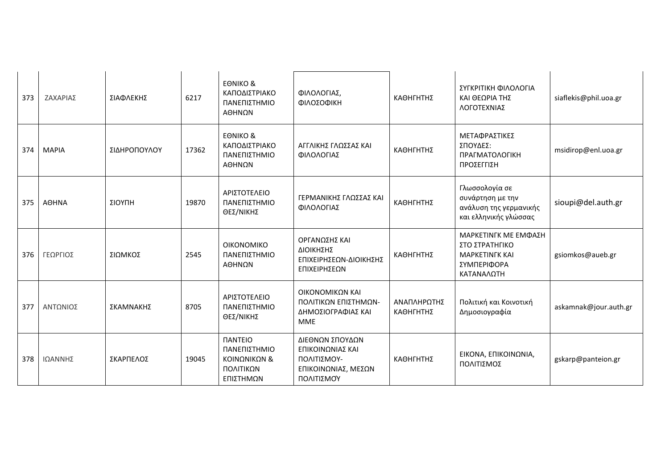| 373 | ΖΑΧΑΡΙΑΣ     | ΣΙΑΦΛΕΚΗΣ    | 6217  | <b>EONIKO &amp;</b><br>ΚΑΠΟΔΙΣΤΡΙΑΚΟ<br>ΠΑΝΕΠΙΣΤΗΜΙΟ<br>ΑΘΗΝΩΝ                          | ΦΙΛΟΛΟΓΙΑΣ,<br>ΦΙΛΟΣΟΦΙΚΗ                                                               | ΚΑΘΗΓΗΤΗΣ                | ΣΥΓΚΡΙΤΙΚΗ ΦΙΛΟΛΟΓΙΑ<br>ΚΑΙ ΘΕΩΡΙΑ ΤΗΣ<br>ΛΟΓΟΤΕΧΝΙΑΣ                                        | siaflekis@phil.uoa.gr |
|-----|--------------|--------------|-------|-----------------------------------------------------------------------------------------|-----------------------------------------------------------------------------------------|--------------------------|----------------------------------------------------------------------------------------------|-----------------------|
| 374 | <b>MAPIA</b> | ΣΙΔΗΡΟΠΟΥΛΟΥ | 17362 | <b>EONIKO &amp;</b><br>ΚΑΠΟΔΙΣΤΡΙΑΚΟ<br>ΠΑΝΕΠΙΣΤΗΜΙΟ<br>ΑΘΗΝΩΝ                          | ΑΓΓΛΙΚΗΣ ΓΛΩΣΣΑΣ ΚΑΙ<br>ΦΙΛΟΛΟΓΙΑΣ                                                      | ΚΑΘΗΓΗΤΗΣ                | <b>ΜΕΤΑΦΡΑΣΤΙΚΕΣ</b><br>ΣΠΟΥΔΕΣ:<br>ΠΡΑΓΜΑΤΟΛΟΓΙΚΗ<br>ΠΡΟΣΕΓΓΙΣΗ                             | msidirop@enl.uoa.gr   |
| 375 | <b>AOHNA</b> | ΣΙΟΥΠΗ       | 19870 | ΑΡΙΣΤΟΤΕΛΕΙΟ<br>ΠΑΝΕΠΙΣΤΗΜΙΟ<br>ΘΕΣ/ΝΙΚΗΣ                                               | ΓΕΡΜΑΝΙΚΗΣ ΓΛΩΣΣΑΣ ΚΑΙ<br>ΦΙΛΟΛΟΓΙΑΣ                                                    | ΚΑΘΗΓΗΤΗΣ                | Γλωσσολογία σε<br>συνάρτηση με την<br>ανάλυση της γερμανικής<br>και ελληνικής γλώσσας        | sioupi@del.auth.gr    |
| 376 | ΓΕΩΡΓΙΟΣ     | ΣΙΩΜΚΟΣ      | 2545  | ΟΙΚΟΝΟΜΙΚΟ<br>ΠΑΝΕΠΙΣΤΗΜΙΟ<br>ΑΘΗΝΩΝ                                                    | ΟΡΓΑΝΩΣΗΣ ΚΑΙ<br>ΔΙΟΙΚΗΣΗΣ<br>ΕΠΙΧΕΙΡΗΣΕΩΝ-ΔΙΟΙΚΗΣΗΣ<br>ΕΠΙΧΕΙΡΗΣΕΩΝ                    | ΚΑΘΗΓΗΤΗΣ                | ΜΑΡΚΕΤΙΝΓΚ ΜΕ ΕΜΦΑΣΗ<br>ΣΤΟ ΣΤΡΑΤΗΓΙΚΟ<br><b>MAPKETINFK KAI</b><br>ΣΥΜΠΕΡΙΦΟΡΑ<br>ΚΑΤΑΝΑΛΩΤΗ | gsiomkos@aueb.gr      |
| 377 | ΑΝΤΩΝΙΟΣ     | ΣΚΑΜΝΑΚΗΣ    | 8705  | ΑΡΙΣΤΟΤΕΛΕΙΟ<br>ΠΑΝΕΠΙΣΤΗΜΙΟ<br>ΘΕΣ/ΝΙΚΗΣ                                               | ΟΙΚΟΝΟΜΙΚΩΝ ΚΑΙ<br>ΠΟΛΙΤΙΚΩΝ ΕΠΙΣΤΗΜΩΝ-<br>ΔΗΜΟΣΙΟΓΡΑΦΙΑΣ ΚΑΙ<br><b>MME</b>             | ΑΝΑΠΛΗΡΩΤΗΣ<br>ΚΑΘΗΓΗΤΗΣ | Πολιτική και Κοινοτική<br>Δημοσιογραφία                                                      | askamnak@jour.auth.gr |
| 378 | ΙΩΑΝΝΗΣ      | ΣΚΑΡΠΕΛΟΣ    | 19045 | <b><i><u>ITANTEIO</u></i></b><br>ΠΑΝΕΠΙΣΤΗΜΙΟ<br>ΚΟΙΝΩΝΙΚΩΝ &<br>ΠΟΛΙΤΙΚΩΝ<br>ΕΠΙΣΤΗΜΩΝ | ΔΙΕΘΝΩΝ ΣΠΟΥΔΩΝ<br>ΕΠΙΚΟΙΝΩΝΙΑΣ ΚΑΙ<br>ΠΟΛΙΤΙΣΜΟΥ-<br>ΕΠΙΚΟΙΝΩΝΙΑΣ, ΜΕΣΩΝ<br>ΠΟΛΙΤΙΣΜΟΎ | ΚΑΘΗΓΗΤΗΣ                | ΕΙΚΟΝΑ, ΕΠΙΚΟΙΝΩΝΙΑ,<br>ΠΟΛΙΤΙΣΜΟΣ                                                           | gskarp@panteion.gr    |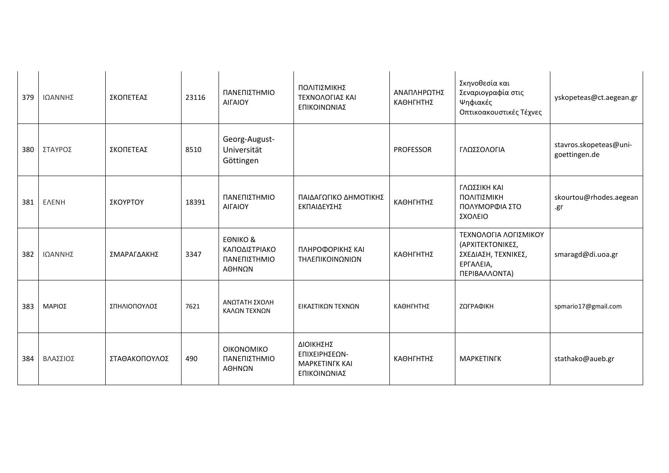| 379 | ΙΩΑΝΝΗΣ      | ΣΚΟΠΕΤΕΑΣ     | 23116 | ΠΑΝΕΠΙΣΤΗΜΙΟ<br>ΑΙΓΑΙΟΥ                                        | ΠΟΛΙΤΙΣΜΙΚΗΣ<br>ΤΕΧΝΟΛΟΓΙΑΣ ΚΑΙ<br>ΕΠΙΚΟΙΝΩΝΙΑΣ                     | ΑΝΑΠΛΗΡΩΤΗΣ<br>ΚΑΘΗΓΗΤΗΣ | Σκηνοθεσία και<br>Σεναριογραφία στις<br>Ψηφιακές<br>Οπτικοακουστικές Τέχνες                    | yskopeteas@ct.aegean.gr                 |
|-----|--------------|---------------|-------|----------------------------------------------------------------|---------------------------------------------------------------------|--------------------------|------------------------------------------------------------------------------------------------|-----------------------------------------|
| 380 | ΣΤΑΥΡΟΣ      | ΣΚΟΠΕΤΕΑΣ     | 8510  | Georg-August-<br>Universität<br>Göttingen                      |                                                                     | <b>PROFESSOR</b>         | ΓΛΩΣΣΟΛΟΓΙΑ                                                                                    | stavros.skopeteas@uni-<br>goettingen.de |
| 381 | <b>ENENH</b> | ΣΚΟΥΡΤΟΥ      | 18391 | ΠΑΝΕΠΙΣΤΗΜΙΟ<br>ΑΙΓΑΙΟΥ                                        | ΠΑΙΔΑΓΩΓΙΚΟ ΔΗΜΟΤΙΚΗΣ<br>ΕΚΠΑΙΔΕΥΣΗΣ                                | ΚΑΘΗΓΗΤΗΣ                | ΓΛΩΣΣΙΚΗ ΚΑΙ<br>ΠΟΛΙΤΙΣΜΙΚΗ<br>ΠΟΛΥΜΟΡΦΙΑ ΣΤΟ<br>ΣΧΟΛΕΙΟ                                       | skourtou@rhodes.aegean<br>.gr           |
| 382 | ΙΩΑΝΝΗΣ      | ΣΜΑΡΑΓΔΑΚΗΣ   | 3347  | <b>EONIKO &amp;</b><br>ΚΑΠΟΔΙΣΤΡΙΑΚΟ<br>ΠΑΝΕΠΙΣΤΗΜΙΟ<br>ΑΘΗΝΩΝ | ΠΛΗΡΟΦΟΡΙΚΗΣ ΚΑΙ<br>ΤΗΛΕΠΙΚΟΙΝΩΝΙΩΝ                                 | ΚΑΘΗΓΗΤΗΣ                | ΤΕΧΝΟΛΟΓΙΑ ΛΟΓΙΣΜΙΚΟΥ<br>(ΑΡΧΙΤΕΚΤΟΝΙΚΕΣ,<br>ΣΧΕΔΙΑΣΗ, ΤΕΧΝΙΚΕΣ,<br>ΕΡΓΑΛΕΙΑ,<br>ΠΕΡΙΒΑΛΛΟΝΤΑ) | smaragd@di.uoa.gr                       |
| 383 | ΜΑΡΙΟΣ       | ΣΠΗΛΙΟΠΟΥΛΟΣ  | 7621  | ΑΝΩΤΑΤΗ ΣΧΟΛΗ<br>ΚΑΛΩΝ ΤΕΧΝΩΝ                                  | ΕΙΚΑΣΤΙΚΩΝ ΤΕΧΝΩΝ                                                   | ΚΑΘΗΓΗΤΗΣ                | ΖΩΓΡΑΦΙΚΗ                                                                                      | spmario17@gmail.com                     |
| 384 | ΒΛΑΣΣΙΟΣ     | ΣΤΑΘΑΚΟΠΟΥΛΟΣ | 490   | <b>OIKONOMIKO</b><br>ΠΑΝΕΠΙΣΤΗΜΙΟ<br>ΑΘΗΝΩΝ                    | ΔΙΟΙΚΗΣΗΣ<br>ΕΠΙΧΕΙΡΗΣΕΩΝ-<br><b>MAPKETINFK KAI</b><br>ΕΠΙΚΟΙΝΩΝΙΑΣ | ΚΑΘΗΓΗΤΗΣ                | <b>MAPKETINFK</b>                                                                              | stathako@aueb.gr                        |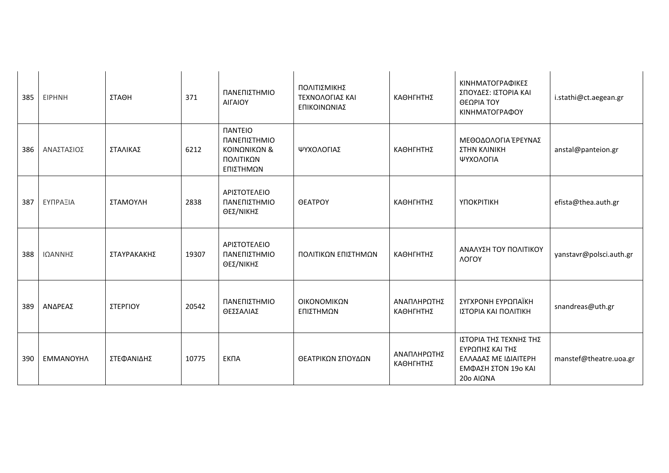| 385 | <b>EIPHNH</b> | ΣΤΑΘΗ       | 371   | ΠΑΝΕΠΙΣΤΗΜΙΟ<br>ΑΙΓΑΙΟΥ                                                                | ΠΟΛΙΤΙΣΜΙΚΗΣ<br>ΤΕΧΝΟΛΟΓΙΑΣ ΚΑΙ<br>ΕΠΙΚΟΙΝΩΝΙΑΣ | ΚΑΘΗΓΗΤΗΣ                | ΚΙΝΗΜΑΤΟΓΡΑΦΙΚΕΣ<br>ΣΠΟΥΔΕΣ: ΙΣΤΟΡΙΑ ΚΑΙ<br>ΘΕΩΡΙΑ ΤΟΥ<br>ΚΙΝΗΜΑΤΟΓΡΑΦΟΥ                              | i.stathi@ct.aegean.gr   |
|-----|---------------|-------------|-------|----------------------------------------------------------------------------------------|-------------------------------------------------|--------------------------|-------------------------------------------------------------------------------------------------------|-------------------------|
| 386 | ΑΝΑΣΤΑΣΙΟΣ    | ΣΤΑΛΙΚΑΣ    | 6212  | <b><i><u>IANTEIO</u></i></b><br>ΠΑΝΕΠΙΣΤΗΜΙΟ<br>ΚΟΙΝΩΝΙΚΩΝ &<br>ΠΟΛΙΤΙΚΩΝ<br>ΕΠΙΣΤΗΜΩΝ | ΨΥΧΟΛΟΓΙΑΣ                                      | ΚΑΘΗΓΗΤΗΣ                | ΜΕΘΟΔΟΛΟΓΙΑ ΈΡΕΥΝΑΣ<br>ΣΤΗΝ ΚΛΙΝΙΚΗ<br>ΨΥΧΟΛΟΓΙΑ                                                      | anstal@panteion.gr      |
| 387 | ΕΥΠΡΑΞΙΑ      | ΣΤΑΜΟΥΛΗ    | 2838  | ΑΡΙΣΤΟΤΕΛΕΙΟ<br>ΠΑΝΕΠΙΣΤΗΜΙΟ<br>ΘΕΣ/ΝΙΚΗΣ                                              | <b>OEATPOY</b>                                  | ΚΑΘΗΓΗΤΗΣ                | <b>ҮПОКРІТІКН</b>                                                                                     | efista@thea.auth.gr     |
| 388 | ΙΩΑΝΝΗΣ       | ΣΤΑΥΡΑΚΑΚΗΣ | 19307 | ΑΡΙΣΤΟΤΕΛΕΙΟ<br>ΠΑΝΕΠΙΣΤΗΜΙΟ<br>ΘΕΣ/ΝΙΚΗΣ                                              | ΠΟΛΙΤΙΚΩΝ ΕΠΙΣΤΗΜΩΝ                             | ΚΑΘΗΓΗΤΗΣ                | ΑΝΑΛΥΣΗ ΤΟΥ ΠΟΛΙΤΙΚΟΥ<br>ЛОГОҮ                                                                        | yanstavr@polsci.auth.gr |
| 389 | ΑΝΔΡΕΑΣ       | ΣΤΕΡΓΙΟΥ    | 20542 | ΠΑΝΕΠΙΣΤΗΜΙΟ<br>ΘΕΣΣΑΛΙΑΣ                                                              | ΟΙΚΟΝΟΜΙΚΩΝ<br>ΕΠΙΣΤΗΜΩΝ                        | ΑΝΑΠΛΗΡΩΤΗΣ<br>ΚΑΘΗΓΗΤΗΣ | ΣΥΓΧΡΟΝΗ ΕΥΡΩΠΑΪΚΗ<br>ΙΣΤΟΡΙΑ ΚΑΙ ΠΟΛΙΤΙΚΗ                                                            | snandreas@uth.gr        |
| 390 | ΕΜΜΑΝΟΥΗΛ     | ΣΤΕΦΑΝΙΔΗΣ  | 10775 | <b>EKNA</b>                                                                            | ΘΕΑΤΡΙΚΩΝ ΣΠΟΥΔΩΝ                               | ΑΝΑΠΛΗΡΩΤΗΣ<br>ΚΑΘΗΓΗΤΗΣ | ΙΣΤΟΡΙΑ ΤΗΣ ΤΕΧΝΗΣ ΤΗΣ<br>ΕΥΡΩΠΗΣ ΚΑΙ ΤΗΣ<br>ΕΛΛΑΔΑΣ ΜΕ ΙΔΙΑΙΤΕΡΗ<br>ΕΜΦΑΣΗ ΣΤΟΝ 19ο ΚΑΙ<br>20o AIQNA | manstef@theatre.uoa.gr  |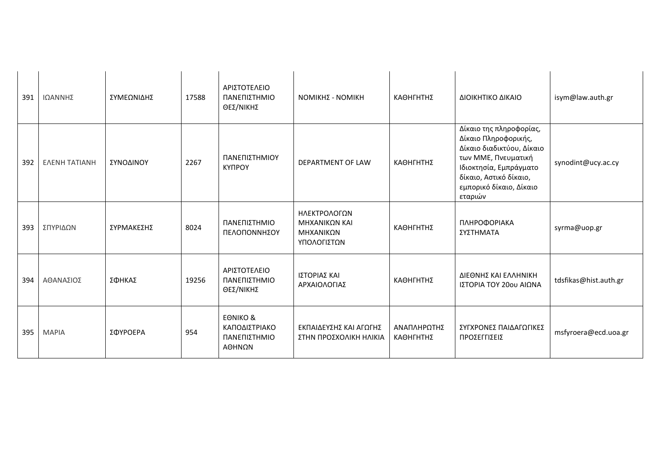| 391 | ΙΩΑΝΝΗΣ              | ΣΥΜΕΩΝΙΔΗΣ | 17588 | ΑΡΙΣΤΟΤΕΛΕΙΟ<br>ΠΑΝΕΠΙΣΤΗΜΙΟ<br>ΘΕΣ/ΝΙΚΗΣ                      | ΝΟΜΙΚΗΣ - ΝΟΜΙΚΗ                                          | ΚΑΘΗΓΗΤΗΣ                | ΔΙΟΙΚΗΤΙΚΟ ΔΙΚΑΙΟ                                                                                                                                                                             | isym@law.auth.gr      |
|-----|----------------------|------------|-------|----------------------------------------------------------------|-----------------------------------------------------------|--------------------------|-----------------------------------------------------------------------------------------------------------------------------------------------------------------------------------------------|-----------------------|
| 392 | <b>EAENH TATIANH</b> | ΣΥΝΟΔΙΝΟΥ  | 2267  | ΠΑΝΕΠΙΣΤΗΜΙΟΥ<br>КҮПРОҮ                                        | DEPARTMENT OF LAW                                         | ΚΑΘΗΓΗΤΗΣ                | Δίκαιο της πληροφορίας,<br>Δίκαιο Πληροφορικής,<br>Δίκαιο διαδικτύου, Δίκαιο<br>των ΜΜΕ, Πνευματική<br>Ιδιοκτησία, Εμπράγματο<br>δίκαιο, Αστικό δίκαιο,<br>εμπορικό δίκαιο, Δίκαιο<br>εταριών | synodint@ucy.ac.cy    |
| 393 | ΣΠΥΡΙΔΩΝ             | ΣΥΡΜΑΚΕΣΗΣ | 8024  | ΠΑΝΕΠΙΣΤΗΜΙΟ<br>ΠΕΛΟΠΟΝΝΗΣΟΥ                                   | ΗΛΕΚΤΡΟΛΟΓΩΝ<br>ΜΗΧΑΝΙΚΩΝ ΚΑΙ<br>ΜΗΧΑΝΙΚΩΝ<br>ΥΠΟΛΟΓΙΣΤΩΝ | ΚΑΘΗΓΗΤΗΣ                | ΠΛΗΡΟΦΟΡΙΑΚΑ<br>ΣΥΣΤΗΜΑΤΑ                                                                                                                                                                     | syrma@uop.gr          |
| 394 | ΑΘΑΝΑΣΙΟΣ            | ΣΦΗΚΑΣ     | 19256 | ΑΡΙΣΤΟΤΕΛΕΙΟ<br>ΠΑΝΕΠΙΣΤΗΜΙΟ<br>ΘΕΣ/ΝΙΚΗΣ                      | ΙΣΤΟΡΙΑΣ ΚΑΙ<br>ΑΡΧΑΙΟΛΟΓΙΑΣ                              | ΚΑΘΗΓΗΤΗΣ                | ΔΙΕΘΝΗΣ ΚΑΙ ΕΛΛΗΝΙΚΗ<br>ΙΣΤΟΡΙΑ ΤΟΥ 20ου ΑΙΩΝΑ                                                                                                                                                | tdsfikas@hist.auth.gr |
| 395 | <b>MAPIA</b>         | ΣΦΥΡΟΕΡΑ   | 954   | <b>EONIKO &amp;</b><br>ΚΑΠΟΔΙΣΤΡΙΑΚΟ<br>ΠΑΝΕΠΙΣΤΗΜΙΟ<br>ΑΘΗΝΩΝ | ΕΚΠΑΙΔΕΥΣΗΣ ΚΑΙ ΑΓΩΓΗΣ<br>ΣΤΗΝ ΠΡΟΣΧΟΛΙΚΗ ΗΛΙΚΙΑ          | ΑΝΑΠΛΗΡΩΤΗΣ<br>ΚΑΘΗΓΗΤΗΣ | ΣΥΓΧΡΟΝΕΣ ΠΑΙΔΑΓΩΓΙΚΕΣ<br>ΠΡΟΣΕΓΓΙΣΕΙΣ                                                                                                                                                        | msfyroera@ecd.uoa.gr  |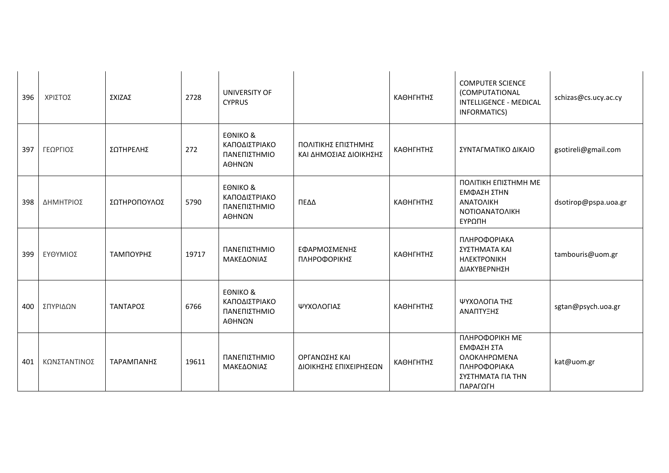| 396 | ΧΡΙΣΤΟΣ      | ΣΧΙΖΑΣ       | 2728  | UNIVERSITY OF<br><b>CYPRUS</b>                                 |                                                | ΚΑΘΗΓΗΤΗΣ | <b>COMPUTER SCIENCE</b><br>(COMPUTATIONAL<br><b>INTELLIGENCE - MEDICAL</b><br>INFORMATICS)    | schizas@cs.ucy.ac.cy |
|-----|--------------|--------------|-------|----------------------------------------------------------------|------------------------------------------------|-----------|-----------------------------------------------------------------------------------------------|----------------------|
| 397 | ΓΕΩΡΓΙΟΣ     | ΣΩΤΗΡΕΛΗΣ    | 272   | <b>EONIKO &amp;</b><br>ΚΑΠΟΔΙΣΤΡΙΑΚΟ<br>ΠΑΝΕΠΙΣΤΗΜΙΟ<br>ΑΘΗΝΩΝ | ΠΟΛΙΤΙΚΗΣ ΕΠΙΣΤΗΜΗΣ<br>ΚΑΙ ΔΗΜΟΣΙΑΣ ΔΙΟΙΚΗΣΗΣ  | ΚΑΘΗΓΗΤΗΣ | ΣΥΝΤΑΓΜΑΤΙΚΟ ΔΙΚΑΙΟ                                                                           | gsotireli@gmail.com  |
| 398 | ΔΗΜΗΤΡΙΟΣ    | ΣΩΤΗΡΟΠΟΥΛΟΣ | 5790  | <b>EONIKO &amp;</b><br>ΚΑΠΟΔΙΣΤΡΙΑΚΟ<br>ΠΑΝΕΠΙΣΤΗΜΙΟ<br>ΑΘΗΝΩΝ | ΠΕΔΔ                                           | ΚΑΘΗΓΗΤΗΣ | ΠΟΛΙΤΙΚΗ ΕΠΙΣΤΗΜΗ ΜΕ<br>ΕΜΦΑΣΗ ΣΤΗΝ<br>ΑΝΑΤΟΛΙΚΗ<br>ΝΟΤΙΟΑΝΑΤΟΛΙΚΗ<br>ΕΥΡΩΠΗ                  | dsotirop@pspa.uoa.gr |
| 399 | ΕΥΘΥΜΙΟΣ     | ΤΑΜΠΟΥΡΗΣ    | 19717 | ΠΑΝΕΠΙΣΤΗΜΙΟ<br>ΜΑΚΕΔΟΝΙΑΣ                                     | ΕΦΑΡΜΟΣΜΕΝΗΣ<br>ΠΛΗΡΟΦΟΡΙΚΗΣ                   | ΚΑΘΗΓΗΤΗΣ | ΠΛΗΡΟΦΟΡΙΑΚΑ<br>ΣΥΣΤΗΜΑΤΑ ΚΑΙ<br><b>HAEKTPONIKH</b><br>ΔΙΑΚΥΒΕΡΝΗΣΗ                           | tambouris@uom.gr     |
| 400 | ΣΠΥΡΙΔΩΝ     | ΤΑΝΤΑΡΟΣ     | 6766  | <b>EONIKO &amp;</b><br>ΚΑΠΟΔΙΣΤΡΙΑΚΟ<br>ΠΑΝΕΠΙΣΤΗΜΙΟ<br>ΑΘΗΝΩΝ | ΨΥΧΟΛΟΓΙΑΣ                                     | ΚΑΘΗΓΗΤΗΣ | ΨΥΧΟΛΟΓΙΑ ΤΗΣ<br>ΑΝΑΠΤΥΞΗΣ                                                                    | sgtan@psych.uoa.gr   |
| 401 | ΚΩΝΣΤΑΝΤΙΝΟΣ | ΤΑΡΑΜΠΑΝΗΣ   | 19611 | ΠΑΝΕΠΙΣΤΗΜΙΟ<br>ΜΑΚΕΔΟΝΙΑΣ                                     | <b>ΟΡΓΑΝΩΣΗΣ ΚΑΙ</b><br>ΔΙΟΙΚΗΣΗΣ ΕΠΙΧΕΙΡΗΣΕΩΝ | ΚΑΘΗΓΗΤΗΣ | ПЛНРОФОРІКН МЕ<br>ΕΜΦΑΣΗ ΣΤΑ<br>ΟΛΟΚΛΗΡΩΜΕΝΑ<br>ΠΛΗΡΟΦΟΡΙΑΚΑ<br>ΣΥΣΤΗΜΑΤΑ ΓΙΑ ΤΗΝ<br>ΠΑΡΑΓΩΓΗ | kat@uom.gr           |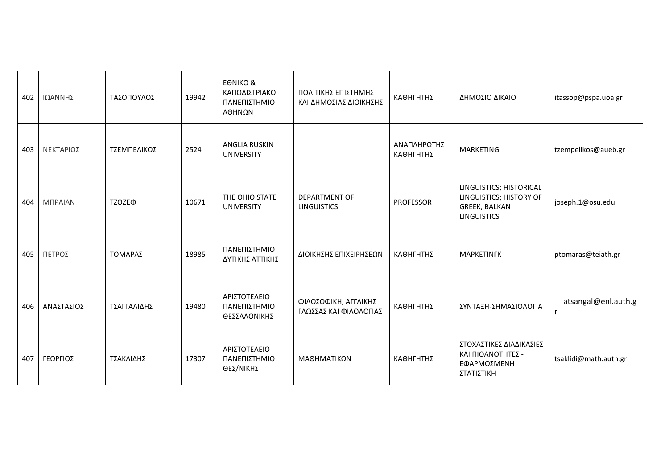| 402 | ΙΩΑΝΝΗΣ        | ΤΑΣΟΠΟΥΛΟΣ         | 19942 | <b>EONIKO &amp;</b><br>ΚΑΠΟΔΙΣΤΡΙΑΚΟ<br>ΠΑΝΕΠΙΣΤΗΜΙΟ<br>ΑΘΗΝΩΝ | ΠΟΛΙΤΙΚΗΣ ΕΠΙΣΤΗΜΗΣ<br>ΚΑΙ ΔΗΜΟΣΙΑΣ ΔΙΟΙΚΗΣΗΣ  | ΚΑΘΗΓΗΤΗΣ                | ΔΗΜΟΣΙΟ ΔΙΚΑΙΟ                                                                                   | itassop@pspa.uoa.gr   |
|-----|----------------|--------------------|-------|----------------------------------------------------------------|------------------------------------------------|--------------------------|--------------------------------------------------------------------------------------------------|-----------------------|
| 403 | ΝΕΚΤΑΡΙΟΣ      | ΤΖΕΜΠΕΛΙΚΟΣ        | 2524  | <b>ANGLIA RUSKIN</b><br><b>UNIVERSITY</b>                      |                                                | ΑΝΑΠΛΗΡΩΤΗΣ<br>ΚΑΘΗΓΗΤΗΣ | <b>MARKETING</b>                                                                                 | tzempelikos@aueb.gr   |
| 404 | <b>MUPAIAN</b> | TZOZE <sup>®</sup> | 10671 | THE OHIO STATE<br><b>UNIVERSITY</b>                            | <b>DEPARTMENT OF</b><br><b>LINGUISTICS</b>     | <b>PROFESSOR</b>         | LINGUISTICS; HISTORICAL<br>LINGUISTICS; HISTORY OF<br><b>GREEK; BALKAN</b><br><b>LINGUISTICS</b> | joseph.1@osu.edu      |
| 405 | ΠΕΤΡΟΣ         | ΤΟΜΑΡΑΣ            | 18985 | ΠΑΝΕΠΙΣΤΗΜΙΟ<br>ΔΥΤΙΚΗΣ ΑΤΤΙΚΗΣ                                | ΔΙΟΙΚΗΣΗΣ ΕΠΙΧΕΙΡΗΣΕΩΝ                         | ΚΑΘΗΓΗΤΗΣ                | <b>MAPKETINFK</b>                                                                                | ptomaras@teiath.gr    |
| 406 | ΑΝΑΣΤΑΣΙΟΣ     | ΤΣΑΓΓΑΛΙΔΗΣ        | 19480 | ΑΡΙΣΤΟΤΕΛΕΙΟ<br>ΠΑΝΕΠΙΣΤΗΜΙΟ<br>ΘΕΣΣΑΛΟΝΙΚΗΣ                   | ΦΙΛΟΣΟΦΙΚΗ, ΑΓΓΛΙΚΗΣ<br>ΓΛΩΣΣΑΣ ΚΑΙ ΦΙΛΟΛΟΓΙΑΣ | ΚΑΘΗΓΗΤΗΣ                | ΣΥΝΤΑΞΗ-ΣΗΜΑΣΙΟΛΟΓΙΑ                                                                             | atsangal@enl.auth.g   |
| 407 | ΓΕΩΡΓΙΟΣ       | ΤΣΑΚΛΙΔΗΣ          | 17307 | ΑΡΙΣΤΟΤΕΛΕΙΟ<br>ΠΑΝΕΠΙΣΤΗΜΙΟ<br>ΘΕΣ/ΝΙΚΗΣ                      | ΜΑΘΗΜΑΤΙΚΩΝ                                    | ΚΑΘΗΓΗΤΗΣ                | ΣΤΟΧΑΣΤΙΚΕΣ ΔΙΑΔΙΚΑΣΙΕΣ<br>ΚΑΙ ΠΙΘΑΝΟΤΗΤΕΣ -<br>ΕΦΑΡΜΟΣΜΕΝΗ<br>ΣΤΑΤΙΣΤΙΚΗ                        | tsaklidi@math.auth.gr |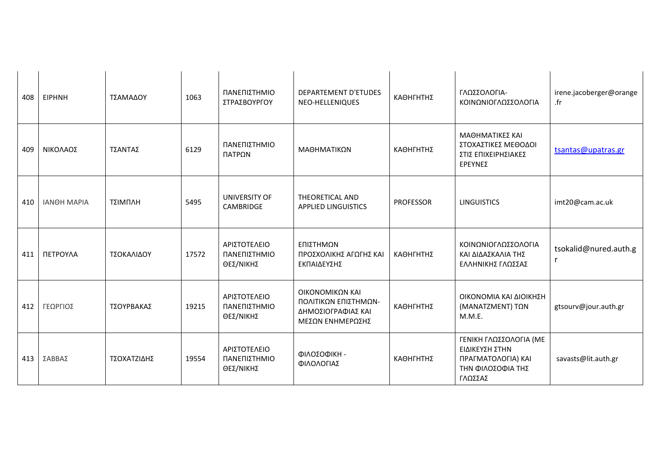| 408 | <b>EIPHNH</b>      | ΤΣΑΜΑΔΟΥ    | 1063  | ΠΑΝΕΠΙΣΤΗΜΙΟ<br>ΣΤΡΑΣΒΟΥΡΓΟΥ              | <b>DEPARTEMENT D'ETUDES</b><br>NEO-HELLENIQUES                                    | ΚΑΘΗΓΗΤΗΣ        | ΓΛΩΣΣΟΛΟΓΙΑ-<br>ΚΟΙΝΩΝΙΟΓΛΩΣΣΟΛΟΓΙΑ                                                            | irene.jacoberger@orange<br>.fr |
|-----|--------------------|-------------|-------|-------------------------------------------|-----------------------------------------------------------------------------------|------------------|------------------------------------------------------------------------------------------------|--------------------------------|
| 409 | ΝΙΚΟΛΑΟΣ           | ΤΣΑΝΤΑΣ     | 6129  | ΠΑΝΕΠΙΣΤΗΜΙΟ<br>ΠΑΤΡΩΝ                    | ΜΑΘΗΜΑΤΙΚΩΝ                                                                       | ΚΑΘΗΓΗΤΗΣ        | ΜΑΘΗΜΑΤΙΚΕΣ ΚΑΙ<br>ΣΤΟΧΑΣΤΙΚΕΣ ΜΕΘΟΔΟΙ<br>ΣΤΙΣ ΕΠΙΧΕΙΡΗΣΙΑΚΕΣ<br>ΕΡΕΥΝΕΣ                       | tsantas@upatras.gr             |
| 410 | <b>IANOH MAPIA</b> | ΤΣΙΜΠΛΗ     | 5495  | <b>UNIVERSITY OF</b><br>CAMBRIDGE         | THEORETICAL AND<br><b>APPLIED LINGUISTICS</b>                                     | <b>PROFESSOR</b> | <b>LINGUISTICS</b>                                                                             | imt20@cam.ac.uk                |
| 411 | ΠΕΤΡΟΥΛΑ           | ΤΣΟΚΑΛΙΔΟΥ  | 17572 | ΑΡΙΣΤΟΤΕΛΕΙΟ<br>ΠΑΝΕΠΙΣΤΗΜΙΟ<br>ΘΕΣ/ΝΙΚΗΣ | ΕΠΙΣΤΗΜΩΝ<br>ΠΡΟΣΧΟΛΙΚΗΣ ΑΓΩΓΗΣ ΚΑΙ<br>ΕΚΠΑΙΔΕΥΣΗΣ                                | ΚΑΘΗΓΗΤΗΣ        | ΚΟΙΝΩΝΙΟΓΛΩΣΣΟΛΟΓΙΑ<br>ΚΑΙ ΔΙΔΑΣΚΑΛΙΑ ΤΗΣ<br>ΕΛΛΗΝΙΚΗΣ ΓΛΩΣΣΑΣ                                 | tsokalid@nured.auth.g<br>r     |
| 412 | ΓΕΩΡΓΙΟΣ           | ΤΣΟΥΡΒΑΚΑΣ  | 19215 | ΑΡΙΣΤΟΤΕΛΕΙΟ<br>ΠΑΝΕΠΙΣΤΗΜΙΟ<br>ΘΕΣ/ΝΙΚΗΣ | ΟΙΚΟΝΟΜΙΚΩΝ ΚΑΙ<br>ΠΟΛΙΤΙΚΩΝ ΕΠΙΣΤΗΜΩΝ-<br>ΔΗΜΟΣΙΟΓΡΑΦΙΑΣ ΚΑΙ<br>ΜΕΣΩΝ ΕΝΗΜΕΡΩΣΗΣ | ΚΑΘΗΓΗΤΗΣ        | ΟΙΚΟΝΟΜΙΑ ΚΑΙ ΔΙΟΙΚΗΣΗ<br>(MANATZMENT) TΩN<br>M.M.E.                                           | gtsourv@jour.auth.gr           |
| 413 | ΣΑΒΒΑΣ             | ΤΣΟΧΑΤΖΙΔΗΣ | 19554 | ΑΡΙΣΤΟΤΕΛΕΙΟ<br>ΠΑΝΕΠΙΣΤΗΜΙΟ<br>ΘΕΣ/ΝΙΚΗΣ | ΦΙΛΟΣΟΦΙΚΗ -<br>ΦΙΛΟΛΟΓΙΑΣ                                                        | ΚΑΘΗΓΗΤΗΣ        | ΓΕΝΙΚΗ ΓΛΩΣΣΟΛΟΓΙΑ (ΜΕ<br>ΕΙΔΙΚΕΥΣΗ ΣΤΗΝ<br>ΠΡΑΓΜΑΤΟΛΟΓΙΑ) ΚΑΙ<br>ΤΗΝ ΦΙΛΟΣΟΦΙΑ ΤΗΣ<br>ΓΛΩΣΣΑΣ | savasts@lit.auth.gr            |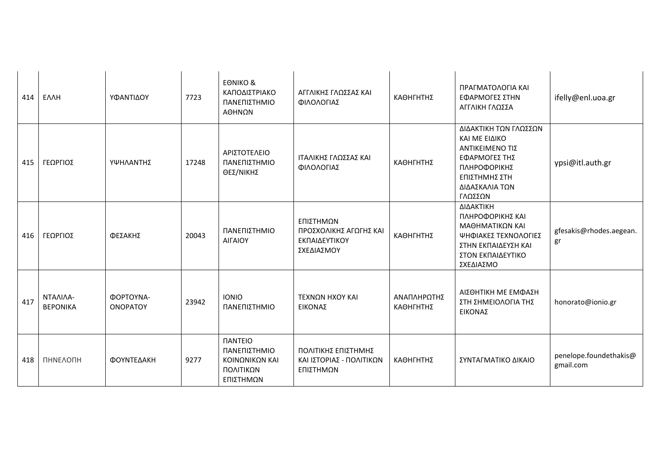| 414 | <b>EAAH</b>                 | ΥΦΑΝΤΙΔΟΥ                    | 7723  | <b>EONIKO &amp;</b><br>ΚΑΠΟΔΙΣΤΡΙΑΚΟ<br>ΠΑΝΕΠΙΣΤΗΜΙΟ<br>ΑΘΗΝΩΝ                            | ΑΓΓΛΙΚΗΣ ΓΛΩΣΣΑΣ ΚΑΙ<br>ΦΙΛΟΛΟΓΙΑΣ                                 | ΚΑΘΗΓΗΤΗΣ                | ΠΡΑΓΜΑΤΟΛΟΓΙΑ ΚΑΙ<br>ΕΦΑΡΜΟΓΕΣ ΣΤΗΝ<br>ΑΓΓΛΙΚΗ ΓΛΩΣΣΑ                                                                                    | ifelly@enl.uoa.gr                   |
|-----|-----------------------------|------------------------------|-------|-------------------------------------------------------------------------------------------|--------------------------------------------------------------------|--------------------------|------------------------------------------------------------------------------------------------------------------------------------------|-------------------------------------|
| 415 | ΓΕΩΡΓΙΟΣ                    | ΥΨΗΛΑΝΤΗΣ                    | 17248 | ΑΡΙΣΤΟΤΕΛΕΙΟ<br>ΠΑΝΕΠΙΣΤΗΜΙΟ<br>ΘΕΣ/ΝΙΚΗΣ                                                 | ΙΤΑΛΙΚΗΣ ΓΛΩΣΣΑΣ ΚΑΙ<br>ΦΙΛΟΛΟΓΙΑΣ                                 | ΚΑΘΗΓΗΤΗΣ                | ΔΙΔΑΚΤΙΚΗ ΤΩΝ ΓΛΩΣΣΩΝ<br>ΚΑΙ ΜΕ ΕΙΔΙΚΟ<br>ΑΝΤΙΚΕΙΜΕΝΟ ΤΙΣ<br>ΕΦΑΡΜΟΓΕΣ ΤΗΣ<br>ΠΛΗΡΟΦΟΡΙΚΗΣ<br>ΕΠΙΣΤΗΜΗΣ ΣΤΗ<br>ΔΙΔΑΣΚΑΛΙΑ ΤΩΝ<br>ΓΛΩΣΣΩΝ | ypsi@itl.auth.gr                    |
| 416 | ΓΕΩΡΓΙΟΣ                    | ΦΕΣΑΚΗΣ                      | 20043 | ΠΑΝΕΠΙΣΤΗΜΙΟ<br>ΑΙΓΑΙΟΥ                                                                   | ΕΠΙΣΤΗΜΩΝ<br>ΠΡΟΣΧΟΛΙΚΗΣ ΑΓΩΓΗΣ ΚΑΙ<br>ΕΚΠΑΙΔΕΥΤΙΚΟΥ<br>ΣΧΕΔΙΑΣΜΟΥ | ΚΑΘΗΓΗΤΗΣ                | ΔΙΔΑΚΤΙΚΗ<br>ΠΛΗΡΟΦΟΡΙΚΗΣ ΚΑΙ<br>ΜΑΘΗΜΑΤΙΚΩΝ ΚΑΙ<br>ΨΗΦΙΑΚΕΣ ΤΕΧΝΟΛΟΓΙΕΣ<br>ΣΤΗΝ ΕΚΠΑΙΔΕΥΣΗ ΚΑΙ<br>ΣΤΟΝ ΕΚΠΑΙΔΕΥΤΙΚΟ<br>ΣΧΕΔΙΑΣΜΟ        | gfesakis@rhodes.aegean.<br>gr       |
| 417 | ΝΤΑΛΙΛΑ-<br><b>BEPONIKA</b> | ΦΟΡΤΟΥΝΑ-<br><b>ONOPATOY</b> | 23942 | <b>IONIO</b><br>ΠΑΝΕΠΙΣΤΗΜΙΟ                                                              | ΤΕΧΝΩΝ ΗΧΟΥ ΚΑΙ<br>ΕΙΚΟΝΑΣ                                         | ΑΝΑΠΛΗΡΩΤΗΣ<br>ΚΑΘΗΓΗΤΗΣ | ΑΙΣΘΗΤΙΚΗ ΜΕ ΕΜΦΑΣΗ<br>ΣΤΗ ΣΗΜΕΙΟΛΟΓΙΑ ΤΗΣ<br>ΕΙΚΟΝΑΣ                                                                                    | honorato@ionio.gr                   |
| 418 | ΠΗΝΕΛΟΠΗ                    | ΦΟΥΝΤΕΔΑΚΗ                   | 9277  | <b><i><u>ITANTEIO</u></i></b><br>ΠΑΝΕΠΙΣΤΗΜΙΟ<br>ΚΟΙΝΩΝΙΚΩΝ ΚΑΙ<br>ΠΟΛΙΤΙΚΩΝ<br>ΕΠΙΣΤΗΜΩΝ | ΠΟΛΙΤΙΚΗΣ ΕΠΙΣΤΗΜΗΣ<br>ΚΑΙ ΙΣΤΟΡΙΑΣ - ΠΟΛΙΤΙΚΩΝ<br>ΕΠΙΣΤΗΜΩΝ       | ΚΑΘΗΓΗΤΗΣ                | ΣΥΝΤΑΓΜΑΤΙΚΟ ΔΙΚΑΙΟ                                                                                                                      | penelope.foundethakis@<br>gmail.com |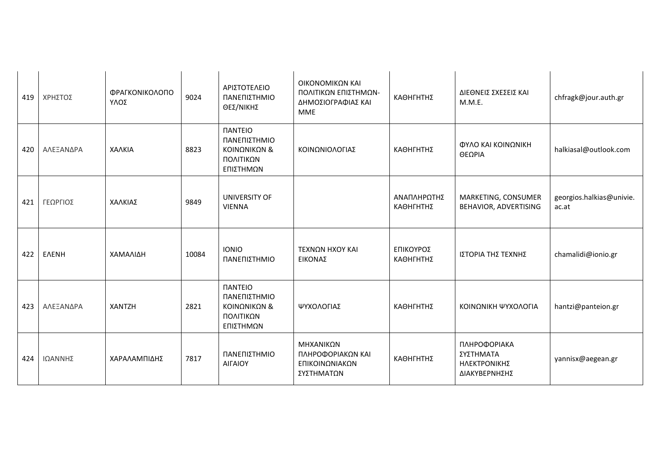| 419 | ΧΡΗΣΤΟΣ      | ΦΡΑΓΚΟΝΙΚΟΛΟΠΟ<br>ΥΛΟΣ | 9024  | ΑΡΙΣΤΟΤΕΛΕΙΟ<br>ΠΑΝΕΠΙΣΤΗΜΙΟ<br>ΘΕΣ/ΝΙΚΗΣ                                              | ΟΙΚΟΝΟΜΙΚΩΝ ΚΑΙ<br>ΠΟΛΙΤΙΚΩΝ ΕΠΙΣΤΗΜΩΝ-<br>ΔΗΜΟΣΙΟΓΡΑΦΙΑΣ ΚΑΙ<br><b>MME</b> | ΚΑΘΗΓΗΤΗΣ                | ΔΙΕΘΝΕΙΣ ΣΧΕΣΕΙΣ ΚΑΙ<br>M.M.E.                             | chfragk@jour.auth.gr              |
|-----|--------------|------------------------|-------|----------------------------------------------------------------------------------------|-----------------------------------------------------------------------------|--------------------------|------------------------------------------------------------|-----------------------------------|
| 420 | ΑΛΕΞΑΝΔΡΑ    | ΧΑΛΚΙΑ                 | 8823  | <b><i><u>IANTEIO</u></i></b><br>ΠΑΝΕΠΙΣΤΗΜΙΟ<br>ΚΟΙΝΩΝΙΚΩΝ &<br>ΠΟΛΙΤΙΚΩΝ<br>ΕΠΙΣΤΗΜΩΝ | ΚΟΙΝΩΝΙΟΛΟΓΙΑΣ                                                              | ΚΑΘΗΓΗΤΗΣ                | ΦΥΛΟ ΚΑΙ ΚΟΙΝΩΝΙΚΗ<br>ΘΕΩΡΙΑ                               | halkiasal@outlook.com             |
| 421 | ΓΕΩΡΓΙΟΣ     | ΧΑΛΚΙΑΣ                | 9849  | UNIVERSITY OF<br><b>VIENNA</b>                                                         |                                                                             | ΑΝΑΠΛΗΡΩΤΗΣ<br>ΚΑΘΗΓΗΤΗΣ | MARKETING, CONSUMER<br>BEHAVIOR, ADVERTISING               | georgios.halkias@univie.<br>ac.at |
| 422 | <b>EAENH</b> | ΧΑΜΑΛΙΔΗ               | 10084 | <b>IONIO</b><br>ΠΑΝΕΠΙΣΤΗΜΙΟ                                                           | ΤΕΧΝΩΝ ΗΧΟΥ ΚΑΙ<br>ΕΙΚΟΝΑΣ                                                  | ΕΠΙΚΟΥΡΟΣ<br>ΚΑΘΗΓΗΤΗΣ   | ΙΣΤΟΡΙΑ ΤΗΣ ΤΕΧΝΗΣ                                         | chamalidi@ionio.gr                |
| 423 | ΑΛΕΞΑΝΔΡΑ    | <b>XANTZH</b>          | 2821  | <b><i><u>IANTEIO</u></i></b><br>ΠΑΝΕΠΙΣΤΗΜΙΟ<br>ΚΟΙΝΩΝΙΚΩΝ &<br>ΠΟΛΙΤΙΚΩΝ<br>ΕΠΙΣΤΗΜΩΝ | ΨΥΧΟΛΟΓΙΑΣ                                                                  | ΚΑΘΗΓΗΤΗΣ                | ΚΟΙΝΩΝΙΚΗ ΨΥΧΟΛΟΓΙΑ                                        | hantzi@panteion.gr                |
| 424 | ΙΩΑΝΝΗΣ      | ΧΑΡΑΛΑΜΠΙΔΗΣ           | 7817  | ΠΑΝΕΠΙΣΤΗΜΙΟ<br>ΑΙΓΑΙΟΥ                                                                | ΜΗΧΑΝΙΚΩΝ<br>ΠΛΗΡΟΦΟΡΙΑΚΩΝ ΚΑΙ<br>ΕΠΙΚΟΙΝΩΝΙΑΚΩΝ<br>ΣΥΣΤΗΜΑΤΩΝ              | ΚΑΘΗΓΗΤΗΣ                | ΠΛΗΡΟΦΟΡΙΑΚΑ<br>ΣΥΣΤΗΜΑΤΑ<br>ΗΛΕΚΤΡΟΝΙΚΗΣ<br>ΔΙΑΚΥΒΕΡΝΗΣΗΣ | yannisx@aegean.gr                 |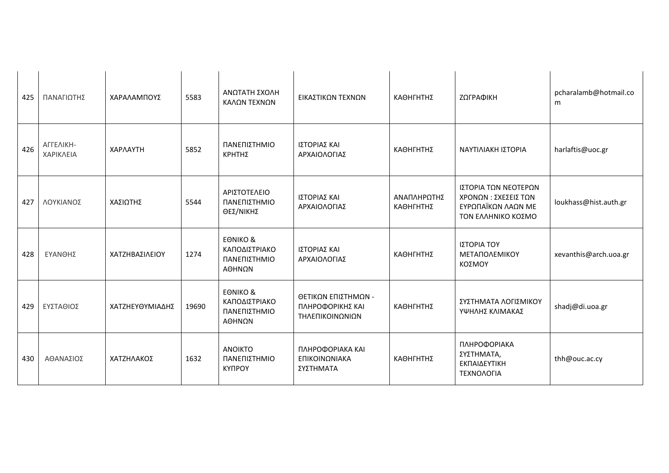| 425 | ΠΑΝΑΓΙΩΤΗΣ             | ΧΑΡΑΛΑΜΠΟΥΣ     | 5583  | ΑΝΩΤΑΤΗ ΣΧΟΛΗ<br>ΚΑΛΩΝ ΤΕΧΝΩΝ                                  | ΕΙΚΑΣΤΙΚΩΝ ΤΕΧΝΩΝ                                          | ΚΑΘΗΓΗΤΗΣ                | ΖΩΓΡΑΦΙΚΗ                                                                               | pcharalamb@hotmail.co<br>m |
|-----|------------------------|-----------------|-------|----------------------------------------------------------------|------------------------------------------------------------|--------------------------|-----------------------------------------------------------------------------------------|----------------------------|
| 426 | ΑΓΓΕΛΙΚΗ-<br>ΧΑΡΙΚΛΕΙΑ | ΧΑΡΛΑΥΤΗ        | 5852  | ΠΑΝΕΠΙΣΤΗΜΙΟ<br>ΚΡΗΤΗΣ                                         | ΙΣΤΟΡΙΑΣ ΚΑΙ<br>ΑΡΧΑΙΟΛΟΓΙΑΣ                               | ΚΑΘΗΓΗΤΗΣ                | ΝΑΥΤΙΛΙΑΚΗ ΙΣΤΟΡΙΑ                                                                      | harlaftis@uoc.gr           |
| 427 | ΛΟΥΚΙΑΝΟΣ              | ΧΑΣΙΩΤΗΣ        | 5544  | ΑΡΙΣΤΟΤΕΛΕΙΟ<br>ΠΑΝΕΠΙΣΤΗΜΙΟ<br>ΘΕΣ/ΝΙΚΗΣ                      | ΙΣΤΟΡΙΑΣ ΚΑΙ<br>ΑΡΧΑΙΟΛΟΓΙΑΣ                               | ΑΝΑΠΛΗΡΩΤΗΣ<br>ΚΑΘΗΓΗΤΗΣ | ΙΣΤΟΡΙΑ ΤΩΝ ΝΕΟΤΕΡΩΝ<br>ΧΡΟΝΩΝ: ΣΧΕΣΕΙΣ ΤΩΝ<br>ΕΥΡΩΠΑΪΚΩΝ ΛΑΩΝ ΜΕ<br>ΤΟΝ ΕΛΛΗΝΙΚΟ ΚΟΣΜΟ | loukhass@hist.auth.gr      |
| 428 | ΕΥΑΝΘΗΣ                | ΧΑΤΖΗΒΑΣΙΛΕΙΟΥ  | 1274  | <b>EONIKO &amp;</b><br>ΚΑΠΟΔΙΣΤΡΙΑΚΟ<br>ΠΑΝΕΠΙΣΤΗΜΙΟ<br>ΑΘΗΝΩΝ | ΙΣΤΟΡΙΑΣ ΚΑΙ<br>ΑΡΧΑΙΟΛΟΓΙΑΣ                               | ΚΑΘΗΓΗΤΗΣ                | ΙΣΤΟΡΙΑ ΤΟΥ<br><b>ΜΕΤΑΠΟΛΕΜΙΚΟΥ</b><br>ΚΟΣΜΟΥ                                           | xevanthis@arch.uoa.gr      |
| 429 | ΕΥΣΤΑΘΙΟΣ              | ΧΑΤΖΗΕΥΘΥΜΙΑΔΗΣ | 19690 | <b>EONIKO &amp;</b><br>ΚΑΠΟΔΙΣΤΡΙΑΚΟ<br>ΠΑΝΕΠΙΣΤΗΜΙΟ<br>ΑΘΗΝΩΝ | ΘΕΤΙΚΩΝ ΕΠΙΣΤΗΜΩΝ -<br>ΠΛΗΡΟΦΟΡΙΚΗΣ ΚΑΙ<br>ΤΗΛΕΠΙΚΟΙΝΩΝΙΩΝ | ΚΑΘΗΓΗΤΗΣ                | ΣΥΣΤΗΜΑΤΑ ΛΟΓΙΣΜΙΚΟΥ<br>ΥΨΗΛΗΣ ΚΛΙΜΑΚΑΣ                                                 | shadj@di.uoa.gr            |
| 430 | ΑΘΑΝΑΣΙΟΣ              | ΧΑΤΖΗΛΑΚΟΣ      | 1632  | <b>ANOIKTO</b><br>ΠΑΝΕΠΙΣΤΗΜΙΟ<br><b>KYNPOY</b>                | ΠΛΗΡΟΦΟΡΙΑΚΑ ΚΑΙ<br>ΕΠΙΚΟΙΝΩΝΙΑΚΑ<br>ΣΥΣΤΗΜΑΤΑ             | ΚΑΘΗΓΗΤΗΣ                | ΠΛΗΡΟΦΟΡΙΑΚΑ<br>ΣΥΣΤΗΜΑΤΑ,<br>ΕΚΠΑΙΔΕΥΤΙΚΗ<br>ΤΕΧΝΟΛΟΓΙΑ                                | thh@ouc.ac.cy              |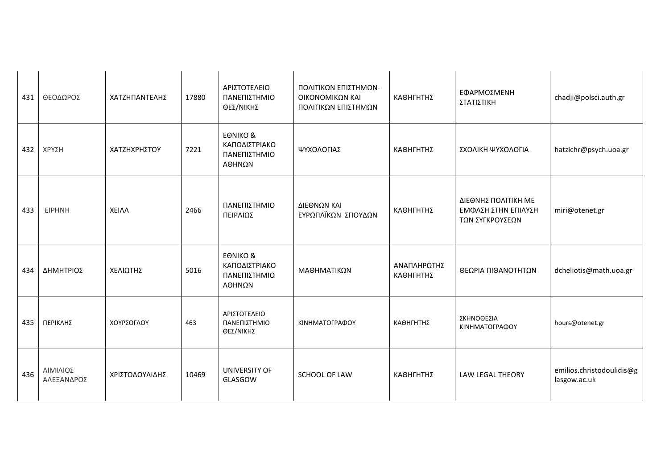| 431 | ΘΕΟΔΩΡΟΣ               | ΧΑΤΖΗΠΑΝΤΕΛΗΣ  | 17880 | ΑΡΙΣΤΟΤΕΛΕΙΟ<br>ΠΑΝΕΠΙΣΤΗΜΙΟ<br>ΘΕΣ/ΝΙΚΗΣ                      | ΠΟΛΙΤΙΚΩΝ ΕΠΙΣΤΗΜΩΝ-<br>ΟΙΚΟΝΟΜΙΚΩΝ ΚΑΙ<br>ΠΟΛΙΤΙΚΩΝ ΕΠΙΣΤΗΜΩΝ | ΚΑΘΗΓΗΤΗΣ                | ΕΦΑΡΜΟΣΜΕΝΗ<br>ΣΤΑΤΙΣΤΙΚΗ                                     | chadji@polsci.auth.gr                     |
|-----|------------------------|----------------|-------|----------------------------------------------------------------|----------------------------------------------------------------|--------------------------|---------------------------------------------------------------|-------------------------------------------|
| 432 | ΧΡΥΣΗ                  | ΧΑΤΖΗΧΡΗΣΤΟΥ   | 7221  | <b>EONIKO &amp;</b><br>ΚΑΠΟΔΙΣΤΡΙΑΚΟ<br>ΠΑΝΕΠΙΣΤΗΜΙΟ<br>ΑΘΗΝΩΝ | ΨΥΧΟΛΟΓΙΑΣ                                                     | ΚΑΘΗΓΗΤΗΣ                | ΣΧΟΛΙΚΗ ΨΥΧΟΛΟΓΙΑ                                             | hatzichr@psych.uoa.gr                     |
| 433 | <b>EIPHNH</b>          | <b>XEIAA</b>   | 2466  | ΠΑΝΕΠΙΣΤΗΜΙΟ<br>ΠΕΙΡΑΙΩΣ                                       | ΔΙΕΘΝΩΝ ΚΑΙ<br>ΕΥΡΩΠΑΪΚΩΝ ΣΠΟΥΔΩΝ                              | ΚΑΘΗΓΗΤΗΣ                | ΔΙΕΘΝΗΣ ΠΟΛΙΤΙΚΗ ΜΕ<br>ΕΜΦΑΣΗ ΣΤΗΝ ΕΠΙΛΥΣΗ<br>ΤΩΝ ΣΥΓΚΡΟΥΣΕΩΝ | miri@otenet.gr                            |
| 434 | ΔΗΜΗΤΡΙΟΣ              | ΧΕΛΙΩΤΗΣ       | 5016  | <b>EONIKO &amp;</b><br>ΚΑΠΟΔΙΣΤΡΙΑΚΟ<br>ΠΑΝΕΠΙΣΤΗΜΙΟ<br>ΑΘΗΝΩΝ | ΜΑΘΗΜΑΤΙΚΩΝ                                                    | ΑΝΑΠΛΗΡΩΤΗΣ<br>ΚΑΘΗΓΗΤΗΣ | ΘΕΩΡΙΑ ΠΙΘΑΝΟΤΗΤΩΝ                                            | dcheliotis@math.uoa.gr                    |
| 435 | ΠΕΡΙΚΛΗΣ               | ΧΟΥΡΣΟΓΛΟΥ     | 463   | ΑΡΙΣΤΟΤΕΛΕΙΟ<br>ΠΑΝΕΠΙΣΤΗΜΙΟ<br>ΘΕΣ/ΝΙΚΗΣ                      | ΚΙΝΗΜΑΤΟΓΡΑΦΟΥ                                                 | ΚΑΘΗΓΗΤΗΣ                | <b>ΣΚΗΝΟΘΕΣΙΑ</b><br>ΚΙΝΗΜΑΤΟΓΡΑΦΟΥ                           | hours@otenet.gr                           |
| 436 | ΑΙΜΙΛΙΟΣ<br>ΑΛΕΞΑΝΔΡΟΣ | ΧΡΙΣΤΟΔΟΥΛΙΔΗΣ | 10469 | UNIVERSITY OF<br>GLASGOW                                       | SCHOOL OF LAW                                                  | ΚΑΘΗΓΗΤΗΣ                | <b>LAW LEGAL THEORY</b>                                       | emilios.christodoulidis@g<br>lasgow.ac.uk |